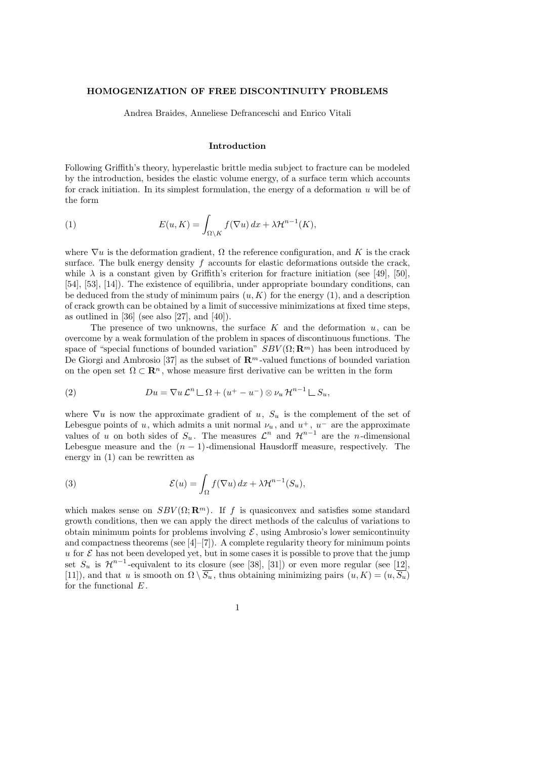## HOMOGENIZATION OF FREE DISCONTINUITY PROBLEMS

Andrea Braides, Anneliese Defranceschi and Enrico Vitali

### Introduction

Following Griffith's theory, hyperelastic brittle media subject to fracture can be modeled by the introduction, besides the elastic volume energy, of a surface term which accounts for crack initiation. In its simplest formulation, the energy of a deformation  $u$  will be of the form

(1) 
$$
E(u,K) = \int_{\Omega \setminus K} f(\nabla u) dx + \lambda \mathcal{H}^{n-1}(K),
$$

where  $\nabla u$  is the deformation gradient,  $\Omega$  the reference configuration, and K is the crack surface. The bulk energy density  $f$  accounts for elastic deformations outside the crack, while  $\lambda$  is a constant given by Griffith's criterion for fracture initiation (see [49], [50], [54], [53], [14]). The existence of equilibria, under appropriate boundary conditions, can be deduced from the study of minimum pairs  $(u, K)$  for the energy  $(1)$ , and a description of crack growth can be obtained by a limit of successive minimizations at fixed time steps, as outlined in  $[36]$  (see also  $[27]$ , and  $[40]$ ).

The presence of two unknowns, the surface  $K$  and the deformation  $u$ , can be overcome by a weak formulation of the problem in spaces of discontinuous functions. The space of "special functions of bounded variation"  $SBV(\Omega;\mathbf{R}^m)$  has been introduced by De Giorgi and Ambrosio [37] as the subset of  $\mathbb{R}^m$ -valued functions of bounded variation on the open set  $\Omega \subset \mathbf{R}^n$ , whose measure first derivative can be written in the form

(2) 
$$
Du = \nabla u \mathcal{L}^n \sqcup \Omega + (u^+ - u^-) \otimes \nu_u \mathcal{H}^{n-1} \sqcup S_u,
$$

where  $\nabla u$  is now the approximate gradient of u,  $S_u$  is the complement of the set of Lebesgue points of u, which admits a unit normal  $\nu_u$ , and  $u^+$ ,  $u^-$  are the approximate values of u on both sides of  $S_u$ . The measures  $\mathcal{L}^n$  and  $\mathcal{H}^{n-1}$  are the n-dimensional Lebesgue measure and the  $(n - 1)$ -dimensional Hausdorff measure, respectively. The energy in (1) can be rewritten as

(3) 
$$
\mathcal{E}(u) = \int_{\Omega} f(\nabla u) dx + \lambda \mathcal{H}^{n-1}(S_u),
$$

which makes sense on  $SBV(\Omega;\mathbf{R}^m)$ . If f is quasiconvex and satisfies some standard growth conditions, then we can apply the direct methods of the calculus of variations to obtain minimum points for problems involving  $\mathcal{E}$ , using Ambrosio's lower semicontinuity and compactness theorems (see  $[4]-[7]$ ). A complete regularity theory for minimum points u for  $\mathcal E$  has not been developed yet, but in some cases it is possible to prove that the jump set  $S_u$  is  $\mathcal{H}^{n-1}$ -equivalent to its closure (see [38], [31]) or even more regular (see [12], [11]), and that u is smooth on  $\Omega \setminus \overline{S_u}$ , thus obtaining minimizing pairs  $(u, K) = (u, \overline{S_u})$ for the functional  $E$ .

1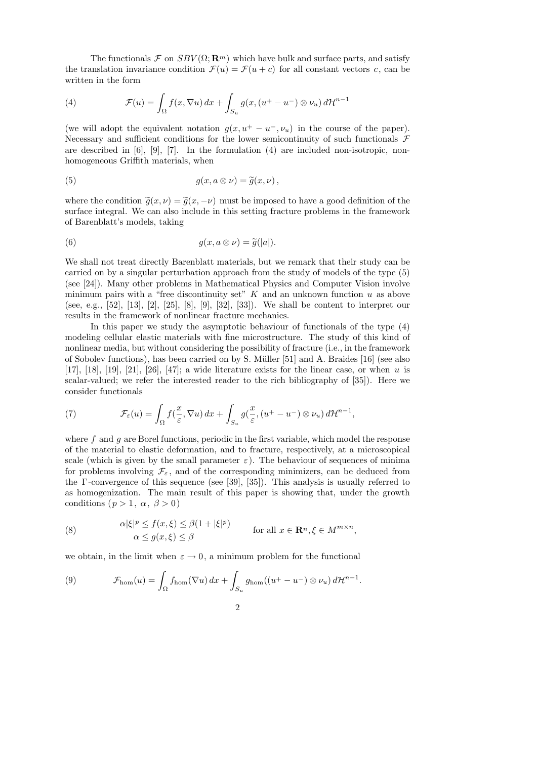The functionals  $\mathcal F$  on  $SBV(\Omega;\mathbf{R}^m)$  which have bulk and surface parts, and satisfy the translation invariance condition  $\mathcal{F}(u) = \mathcal{F}(u+c)$  for all constant vectors c, can be written in the form

(4) 
$$
\mathcal{F}(u) = \int_{\Omega} f(x, \nabla u) dx + \int_{S_u} g(x, (u^+ - u^-) \otimes \nu_u) d\mathcal{H}^{n-1}
$$

(we will adopt the equivalent notation  $q(x, u^+ - u^-, \nu_u)$  in the course of the paper). Necessary and sufficient conditions for the lower semicontinuity of such functionals  $\mathcal F$ are described in [6], [9], [7]. In the formulation (4) are included non-isotropic, nonhomogeneous Griffith materials, when

(5) 
$$
g(x, a \otimes \nu) = \widetilde{g}(x, \nu),
$$

where the condition  $\tilde{q}(x, \nu) = \tilde{q}(x, -\nu)$  must be imposed to have a good definition of the surface integral. We can also include in this setting fracture problems in the framework of Barenblatt's models, taking

(6) 
$$
g(x, a \otimes \nu) = \widetilde{g}(|a|).
$$

We shall not treat directly Barenblatt materials, but we remark that their study can be carried on by a singular perturbation approach from the study of models of the type (5) (see [24]). Many other problems in Mathematical Physics and Computer Vision involve minimum pairs with a "free discontinuity set"  $K$  and an unknown function  $u$  as above (see, e.g., [52], [13], [2], [25], [8], [9], [32], [33]). We shall be content to interpret our results in the framework of nonlinear fracture mechanics.

In this paper we study the asymptotic behaviour of functionals of the type (4) modeling cellular elastic materials with fine microstructure. The study of this kind of nonlinear media, but without considering the possibility of fracture (i.e., in the framework of Sobolev functions), has been carried on by S. Müller  $[51]$  and A. Braides  $[16]$  (see also [17], [18], [19], [21], [26], [47]; a wide literature exists for the linear case, or when u is scalar-valued; we refer the interested reader to the rich bibliography of [35]). Here we consider functionals

(7) 
$$
\mathcal{F}_{\varepsilon}(u) = \int_{\Omega} f(\frac{x}{\varepsilon}, \nabla u) dx + \int_{S_u} g(\frac{x}{\varepsilon}, (u^+ - u^-) \otimes \nu_u) d\mathcal{H}^{n-1},
$$

where  $f$  and  $g$  are Borel functions, periodic in the first variable, which model the response of the material to elastic deformation, and to fracture, respectively, at a microscopical scale (which is given by the small parameter  $\varepsilon$ ). The behaviour of sequences of minima for problems involving  $\mathcal{F}_{\varepsilon}$ , and of the corresponding minimizers, can be deduced from the  $\Gamma$ -convergence of this sequence (see [39], [35]). This analysis is usually referred to as homogenization. The main result of this paper is showing that, under the growth conditions  $(p > 1, \alpha, \beta > 0)$ 

(8) 
$$
\alpha |\xi|^p \le f(x,\xi) \le \beta (1+|\xi|^p) \quad \text{for all } x \in \mathbf{R}^n, \xi \in M^{m \times n},
$$

$$
\alpha \le g(x,\xi) \le \beta
$$

we obtain, in the limit when  $\varepsilon \to 0$ , a minimum problem for the functional

(9) 
$$
\mathcal{F}_{\text{hom}}(u) = \int_{\Omega} f_{\text{hom}}(\nabla u) dx + \int_{S_u} g_{\text{hom}}((u^+ - u^-) \otimes \nu_u) d\mathcal{H}^{n-1}.
$$

2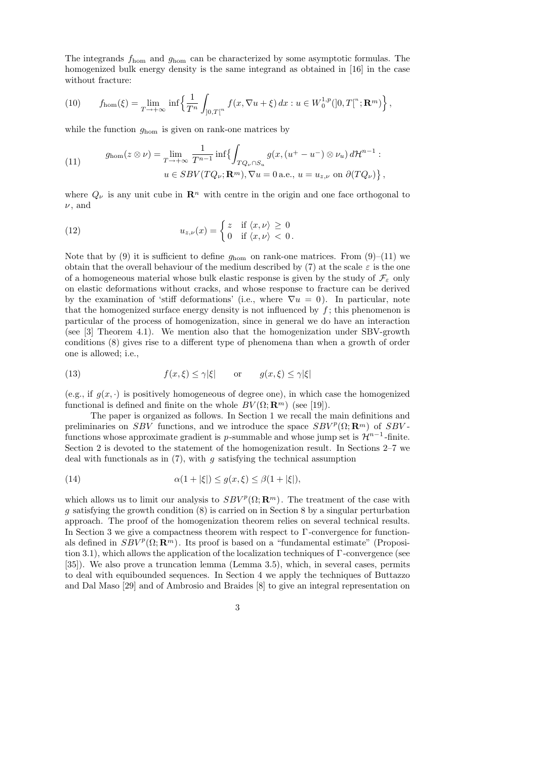The integrands fhom and ghom can be characterized by some asymptotic formulas. The homogenized bulk energy density is the same integrand as obtained in [16] in the case without fracture:

(10) 
$$
f_{\text{hom}}(\xi) = \lim_{T \to +\infty} \inf \left\{ \frac{1}{T^n} \int_{]0,T[^n} f(x, \nabla u + \xi) dx : u \in W_0^{1,p}([0,T[^n; \mathbf{R}^m]) \right\},
$$

while the function  $g_{\text{hom}}$  is given on rank-one matrices by

(11) 
$$
g_{\text{hom}}(z \otimes \nu) = \lim_{T \to +\infty} \frac{1}{T^{n-1}} \inf \{ \int_{TQ_{\nu} \cap S_u} g(x, (u^+ - u^-) \otimes \nu_u) d\mathcal{H}^{n-1} : u \in SBV(TQ_{\nu}; \mathbf{R}^m), \nabla u = 0 \text{ a.e., } u = u_{z,\nu} \text{ on } \partial(TQ_{\nu}) \},
$$

where  $Q_{\nu}$  is any unit cube in  $\mathbb{R}^n$  with centre in the origin and one face orthogonal to  $\nu$ , and

(12) 
$$
u_{z,\nu}(x) = \begin{cases} z & \text{if } \langle x,\nu \rangle \geq 0 \\ 0 & \text{if } \langle x,\nu \rangle < 0. \end{cases}
$$

Note that by (9) it is sufficient to define  $g_{\text{hom}}$  on rank-one matrices. From (9)–(11) we obtain that the overall behaviour of the medium described by (7) at the scale  $\varepsilon$  is the one of a homogeneous material whose bulk elastic response is given by the study of  $\mathcal{F}_{\varepsilon}$  only on elastic deformations without cracks, and whose response to fracture can be derived by the examination of 'stiff deformations' (i.e., where  $\nabla u = 0$ ). In particular, note that the homogenized surface energy density is not influenced by  $f$ ; this phenomenon is particular of the process of homogenization, since in general we do have an interaction (see [3] Theorem 4.1). We mention also that the homogenization under SBV-growth conditions (8) gives rise to a different type of phenomena than when a growth of order one is allowed; i.e.,

(13) 
$$
f(x,\xi) \le \gamma |\xi|
$$
 or  $g(x,\xi) \le \gamma |\xi|$ 

(e.g., if  $q(x, \cdot)$  is positively homogeneous of degree one), in which case the homogenized functional is defined and finite on the whole  $BV(\Omega; \mathbb{R}^m)$  (see [19]).

The paper is organized as follows. In Section 1 we recall the main definitions and preliminaries on SBV functions, and we introduce the space  $SBV^p(\Omega; \mathbf{R}^m)$  of SBVfunctions whose approximate gradient is p-summable and whose jump set is  $\mathcal{H}^{n-1}$ -finite. Section 2 is devoted to the statement of the homogenization result. In Sections 2–7 we deal with functionals as in  $(7)$ , with g satisfying the technical assumption

(14) 
$$
\alpha(1+|\xi|) \le g(x,\xi) \le \beta(1+|\xi|),
$$

which allows us to limit our analysis to  $SBV^p(\Omega;\mathbf{R}^m)$ . The treatment of the case with g satisfying the growth condition (8) is carried on in Section 8 by a singular perturbation approach. The proof of the homogenization theorem relies on several technical results. In Section 3 we give a compactness theorem with respect to  $\Gamma$ -convergence for functionals defined in  $SBV^p(\Omega;\mathbf{R}^m)$ . Its proof is based on a "fundamental estimate" (Proposition 3.1), which allows the application of the localization techniques of Γ -convergence (see [35]). We also prove a truncation lemma (Lemma 3.5), which, in several cases, permits to deal with equibounded sequences. In Section 4 we apply the techniques of Buttazzo and Dal Maso [29] and of Ambrosio and Braides [8] to give an integral representation on

3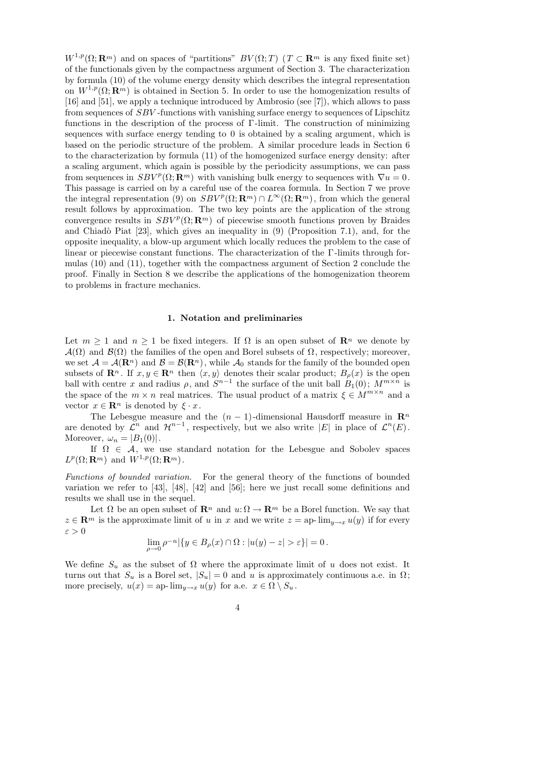$W^{1,p}(\Omega;\mathbf{R}^m)$  and on spaces of "partitions"  $BV(\Omega;T)$  ( $T \subset \mathbf{R}^m$  is any fixed finite set) of the functionals given by the compactness argument of Section 3. The characterization by formula (10) of the volume energy density which describes the integral representation on  $W^{1,p}(\Omega; \mathbf{R}^m)$  is obtained in Section 5. In order to use the homogenization results of [16] and [51], we apply a technique introduced by Ambrosio (see [7]), which allows to pass from sequences of SBV -functions with vanishing surface energy to sequences of Lipschitz functions in the description of the process of  $\Gamma$ -limit. The construction of minimizing sequences with surface energy tending to 0 is obtained by a scaling argument, which is based on the periodic structure of the problem. A similar procedure leads in Section 6 to the characterization by formula (11) of the homogenized surface energy density: after a scaling argument, which again is possible by the periodicity assumptions, we can pass from sequences in  $SBV^p(\Omega; \mathbf{R}^m)$  with vanishing bulk energy to sequences with  $\nabla u = 0$ . This passage is carried on by a careful use of the coarea formula. In Section 7 we prove the integral representation (9) on  $SBV^p(\Omega; \mathbf{R}^m) \cap L^{\infty}(\Omega; \mathbf{R}^m)$ , from which the general result follows by approximation. The two key points are the application of the strong convergence results in  $SBV^p(\Omega;\mathbf{R}^m)$  of piecewise smooth functions proven by Braides and Chiadò Piat  $[23]$ , which gives an inequality in  $(9)$  (Proposition 7.1), and, for the opposite inequality, a blow-up argument which locally reduces the problem to the case of linear or piecewise constant functions. The characterization of the Γ -limits through formulas (10) and (11), together with the compactness argument of Section 2 conclude the proof. Finally in Section 8 we describe the applications of the homogenization theorem to problems in fracture mechanics.

#### 1. Notation and preliminaries

Let  $m \geq 1$  and  $n \geq 1$  be fixed integers. If  $\Omega$  is an open subset of  $\mathbb{R}^n$  we denote by  $\mathcal{A}(\Omega)$  and  $\mathcal{B}(\Omega)$  the families of the open and Borel subsets of  $\Omega$ , respectively; moreover, we set  $\mathcal{A} = \mathcal{A}(\mathbf{R}^n)$  and  $\mathcal{B} = \mathcal{B}(\mathbf{R}^n)$ , while  $\mathcal{A}_0$  stands for the family of the bounded open subsets of  $\mathbf{R}^n$ . If  $x, y \in \mathbf{R}^n$  then  $\langle x, y \rangle$  denotes their scalar product;  $B_\rho(x)$  is the open ball with centre x and radius  $\rho$ , and  $S^{n-1}$  the surface of the unit ball  $B_1(0)$ ;  $M^{m \times n}$  is the space of the  $m \times n$  real matrices. The usual product of a matrix  $\xi \in M^{m \times n}$  and a vector  $x \in \mathbf{R}^n$  is denoted by  $\xi \cdot x$ .

The Lebesgue measure and the  $(n - 1)$ -dimensional Hausdorff measure in  $\mathbb{R}^n$ are denoted by  $\mathcal{L}^n$  and  $\mathcal{H}^{n-1}$ , respectively, but we also write |E| in place of  $\mathcal{L}^n(E)$ . Moreover,  $\omega_n = |B_1(0)|$ .

If  $\Omega \in \mathcal{A}$ , we use standard notation for the Lebesgue and Sobolev spaces  $L^p(\Omega; \mathbf{R}^m)$  and  $W^{1,p}(\Omega; \mathbf{R}^m)$ .

Functions of bounded variation. For the general theory of the functions of bounded variation we refer to [43], [48], [42] and [56]; here we just recall some definitions and results we shall use in the sequel.

Let  $\Omega$  be an open subset of  $\mathbb{R}^n$  and  $u: \Omega \to \mathbb{R}^m$  be a Borel function. We say that  $z \in \mathbb{R}^m$  is the approximate limit of u in x and we write  $z = ap$ -  $\lim_{y \to x} u(y)$  if for every ε > 0

$$
\lim_{\rho \to 0} \rho^{-n} |\{ y \in B_{\rho}(x) \cap \Omega : |u(y) - z| > \varepsilon \}| = 0.
$$

We define  $S_u$  as the subset of  $\Omega$  where the approximate limit of u does not exist. It turns out that  $S_u$  is a Borel set,  $|S_u| = 0$  and u is approximately continuous a.e. in  $\Omega$ ; more precisely,  $u(x) = ap$ -  $\lim_{y\to x} u(y)$  for a.e.  $x \in \Omega \setminus S_u$ .

$$
4\phantom{.0}
$$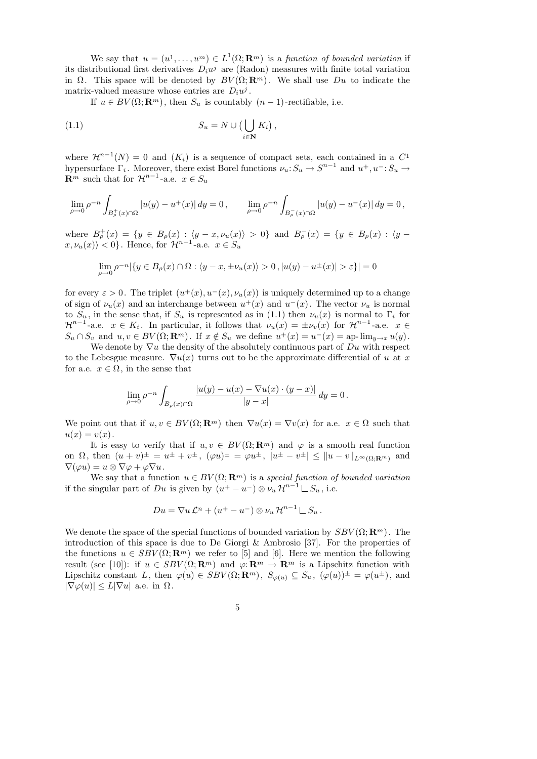We say that  $u = (u^1, \ldots, u^m) \in L^1(\Omega; \mathbf{R}^m)$  is a function of bounded variation if its distributional first derivatives  $D_i u^j$  are (Radon) measures with finite total variation in  $\Omega$ . This space will be denoted by  $BV(\Omega;\mathbf{R}^m)$ . We shall use  $Du$  to indicate the matrix-valued measure whose entries are  $D_i u^j$ .

If  $u \in BV(\Omega; \mathbf{R}^m)$ , then  $S_u$  is countably  $(n-1)$ -rectifiable, i.e.

(1.1) 
$$
S_u = N \cup \left(\bigcup_{i \in \mathbf{N}} K_i\right),
$$

where  $\mathcal{H}^{n-1}(N) = 0$  and  $(K_i)$  is a sequence of compact sets, each contained in a  $C^1$ hypersurface  $\Gamma_i$ . Moreover, there exist Borel functions  $\nu_u: S_u \to S^{n-1}$  and  $u^+, u^-: S_u \to$  $\mathbf{R}^m$  such that for  $\mathcal{H}^{n-1}$ -a.e.  $x \in S_u$ 

$$
\lim_{\rho \to 0} \rho^{-n} \int_{B^+_{\rho}(x) \cap \Omega} |u(y) - u^+(x)| \, dy = 0, \qquad \lim_{\rho \to 0} \rho^{-n} \int_{B^-_{\rho}(x) \cap \Omega} |u(y) - u^-(x)| \, dy = 0,
$$

where  $B_{\rho}^+(x) = \{y \in B_{\rho}(x) : \langle y - x, \nu_u(x) \rangle > 0\}$  and  $B_{\rho}^-(x) = \{y \in B_{\rho}(x) : \langle y - x, \nu_u(x) \rangle > 0\}$  $\langle x,\nu_u(x)\rangle < 0$ . Hence, for  $\mathcal{H}^{n-1}$ -a.e.  $x \in S_u$ 

$$
\lim_{\rho \to 0} \rho^{-n} |\{ y \in B_{\rho}(x) \cap \Omega : \langle y - x, \pm \nu_u(x) \rangle > 0 , |u(y) - u^{\pm}(x)| > \varepsilon \}| = 0
$$

for every  $\varepsilon > 0$ . The triplet  $(u^+(x), u^-(x), \nu_u(x))$  is uniquely determined up to a change of sign of  $\nu_u(x)$  and an interchange between  $u^+(x)$  and  $u^-(x)$ . The vector  $\nu_u$  is normal to  $S_u$ , in the sense that, if  $S_u$  is represented as in (1.1) then  $\nu_u(x)$  is normal to  $\Gamma_i$  for  $\mathcal{H}^{n-1}$ -a.e.  $x \in K_i$ . In particular, it follows that  $\nu_u(x) = \pm \nu_v(x)$  for  $\mathcal{H}^{n-1}$ -a.e.  $x \in$  $S_u \cap S_v$  and  $u, v \in BV(\Omega; \mathbf{R}^m)$ . If  $x \notin S_u$  we define  $u^+(x) = u^-(x) = \text{ap-}\lim_{y \to x} u(y)$ .

We denote by  $\nabla u$  the density of the absolutely continuous part of Du with respect to the Lebesgue measure.  $\nabla u(x)$  turns out to be the approximate differential of u at x for a.e.  $x \in \Omega$ , in the sense that

$$
\lim_{\rho \to 0} \rho^{-n} \int_{B_{\rho}(x) \cap \Omega} \frac{|u(y) - u(x) - \nabla u(x) \cdot (y - x)|}{|y - x|} dy = 0.
$$

We point out that if  $u, v \in BV(\Omega; \mathbf{R}^m)$  then  $\nabla u(x) = \nabla v(x)$  for a.e.  $x \in \Omega$  such that  $u(x) = v(x)$ .

It is easy to verify that if  $u, v \in BV(\Omega; \mathbb{R}^m)$  and  $\varphi$  is a smooth real function on  $\Omega$ , then  $(u + v)^{\pm} = u^{\pm} + v^{\pm}$ ,  $(\varphi u)^{\pm} = \varphi u^{\pm}$ ,  $|u^{\pm} - v^{\pm}| \leq ||u - v||_{L^{\infty}(\Omega; \mathbf{R}^m)}$  and  $\nabla(\varphi u) = u \otimes \nabla \varphi + \varphi \nabla u.$ 

We say that a function  $u \in BV(\Omega; \mathbf{R}^m)$  is a special function of bounded variation if the singular part of Du is given by  $(u^+ - u^-) \otimes \nu_u \mathcal{H}^{n-1} \sqcup S_u$ , i.e.

$$
Du = \nabla u \mathcal{L}^n + (u^+ - u^-) \otimes \nu_u \mathcal{H}^{n-1} \sqcup S_u.
$$

We denote the space of the special functions of bounded variation by  $SBV(\Omega;\mathbf{R}^m)$ . The introduction of this space is due to De Giorgi & Ambrosio [37]. For the properties of the functions  $u \in SBV(\Omega; \mathbf{R}^m)$  we refer to [5] and [6]. Here we mention the following result (see [10]): if  $u \in SBV(\Omega; \mathbf{R}^m)$  and  $\varphi: \mathbf{R}^m \to \mathbf{R}^m$  is a Lipschitz function with Lipschitz constant L, then  $\varphi(u) \in SBV(\Omega; \mathbf{R}^m)$ ,  $S_{\varphi(u)} \subseteq S_u$ ,  $(\varphi(u))^{\pm} = \varphi(u^{\pm})$ , and  $|\nabla \varphi(u)| \leq L|\nabla u|$  a.e. in  $\Omega$ .

5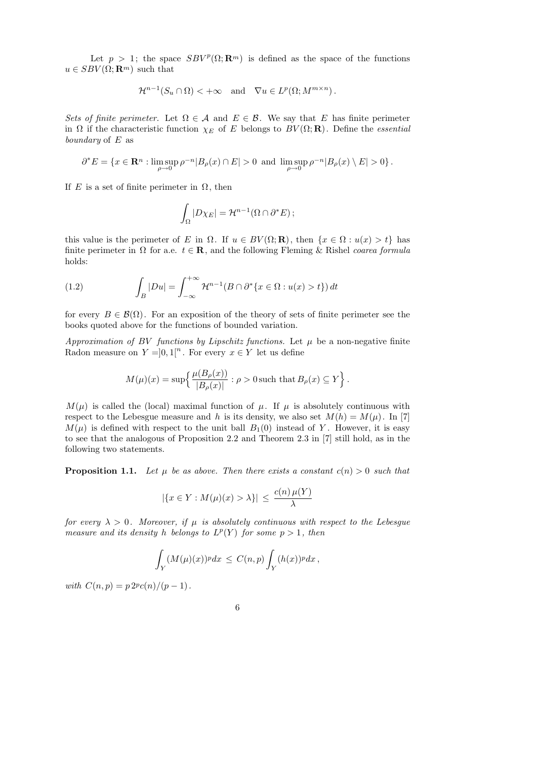Let  $p > 1$ ; the space  $SBV^p(\Omega; \mathbf{R}^m)$  is defined as the space of the functions  $u\in SBV(\Omega;\mathbf{R}^m)$  such that

$$
\mathcal{H}^{n-1}(S_u \cap \Omega) < +\infty \quad \text{and} \quad \nabla u \in L^p(\Omega; M^{m \times n}).
$$

Sets of finite perimeter. Let  $\Omega \in \mathcal{A}$  and  $E \in \mathcal{B}$ . We say that E has finite perimeter in  $\Omega$  if the characteristic function  $\chi_E$  of E belongs to  $BV(\Omega;\mathbf{R})$ . Define the *essential* boundary of  $E$  as

$$
\partial^* E = \{ x \in \mathbf{R}^n : \limsup_{\rho \to 0} \rho^{-n} |B_{\rho}(x) \cap E| > 0 \text{ and } \limsup_{\rho \to 0} \rho^{-n} |B_{\rho}(x) \setminus E| > 0 \}.
$$

If E is a set of finite perimeter in  $\Omega$ , then

$$
\int_{\Omega} |D\chi_E| = \mathcal{H}^{n-1}(\Omega \cap \partial^* E);
$$

this value is the perimeter of E in  $\Omega$ . If  $u \in BV(\Omega; \mathbf{R})$ , then  $\{x \in \Omega : u(x) > t\}$  has finite perimeter in  $\Omega$  for a.e.  $t \in \mathbb{R}$ , and the following Fleming & Rishel coarea formula holds:

(1.2) 
$$
\int_B |Du| = \int_{-\infty}^{+\infty} \mathcal{H}^{n-1}(B \cap \partial^* \{x \in \Omega : u(x) > t\}) dt
$$

for every  $B \in \mathcal{B}(\Omega)$ . For an exposition of the theory of sets of finite perimeter see the books quoted above for the functions of bounded variation.

Approximation of BV functions by Lipschitz functions. Let  $\mu$  be a non-negative finite Radon measure on  $Y = ]0,1[^n$ . For every  $x \in Y$  let us define

$$
M(\mu)(x) = \sup \left\{ \frac{\mu(B_{\rho}(x))}{|B_{\rho}(x)|} : \rho > 0 \text{ such that } B_{\rho}(x) \subseteq Y \right\}.
$$

 $M(\mu)$  is called the (local) maximal function of  $\mu$ . If  $\mu$  is absolutely continuous with respect to the Lebesgue measure and h is its density, we also set  $M(h) = M(\mu)$ . In [7]  $M(\mu)$  is defined with respect to the unit ball  $B_1(0)$  instead of Y. However, it is easy to see that the analogous of Proposition 2.2 and Theorem 2.3 in [7] still hold, as in the following two statements.

**Proposition 1.1.** Let  $\mu$  be as above. Then there exists a constant  $c(n) > 0$  such that

$$
|\{x \in Y : M(\mu)(x) > \lambda\}| \le \frac{c(n)\,\mu(Y)}{\lambda}
$$

for every  $\lambda > 0$ . Moreover, if  $\mu$  is absolutely continuous with respect to the Lebesgue measure and its density h belongs to  $L^p(Y)$  for some  $p > 1$ , then

$$
\int_Y (M(\mu)(x))^p dx \le C(n,p) \int_Y (h(x))^p dx,
$$

with  $C(n, p) = p \, 2^p c(n) / (p - 1)$ .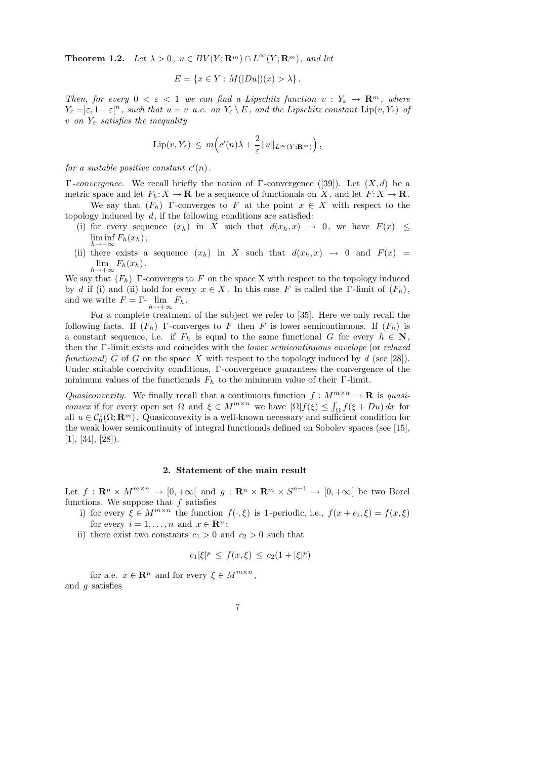**Theorem 1.2.** Let  $\lambda > 0$ ,  $u \in BV(Y; \mathbf{R}^m) \cap L^{\infty}(Y; \mathbf{R}^m)$ , and let

$$
E = \{x \in Y : M(|Du|)(x) > \lambda\}.
$$

Then, for every  $0 < \varepsilon < 1$  we can find a Lipschitz function  $v : Y_{\varepsilon} \to \mathbb{R}^m$ , where  $Y_{\varepsilon} = \varepsilon, 1 - \varepsilon[^n$ , such that  $u = v$  a.e. on  $Y_{\varepsilon} \setminus E$ , and the Lipschitz constant  $\text{Lip}(v, Y_{\varepsilon})$  of v on  $Y_{\varepsilon}$  satisfies the inequality

$$
\mathrm{Lip}(v,Y_{\varepsilon}) \, \leq \, m\Big(c'(n)\lambda + \frac{2}{\varepsilon}||u||_{L^{\infty}(Y;\mathbf{R}^m)}\Big)\,,
$$

for a suitable positive constant  $c'(n)$ .

Γ-convergence. We recall briefly the notion of Γ-convergence ([39]). Let  $(X, d)$  be a metric space and let  $F_h: X \to \overline{\mathbf{R}}$  be a sequence of functionals on X, and let  $F: X \to \overline{\mathbf{R}}$ . We say that  $(F_h)$  Γ-converges to F at the point  $x \in X$  with respect to the

- topology induced by  $d$ , if the following conditions are satisfied:
	- (i) for every sequence  $(x_h)$  in X such that  $d(x_h, x) \rightarrow 0$ , we have  $F(x) \leq$  $\liminf_{h\to+\infty}F_h(x_h);$
	- (ii) there exists a sequence  $(x_h)$  in X such that  $d(x_h, x) \rightarrow 0$  and  $F(x) =$  $\lim_{h\to+\infty}F_h(x_h).$

We say that  $(F_h)$  Γ-converges to F on the space X with respect to the topology induced by d if (i) and (ii) hold for every  $x \in X$ . In this case F is called the Γ-limit of  $(F_h)$ , and we write  $F = \Gamma \cdot \lim_{h \to +\infty} F_h$ .

For a complete treatment of the subject we refer to [35]. Here we only recall the following facts. If  $(F_h)$  Γ-converges to F then F is lower semicontinuous. If  $(F_h)$  is a constant sequence, i.e. if  $F_h$  is equal to the same functional G for every  $h \in \mathbb{N}$ , then the Γ -limit exists and coincides with the lower semicontinuous envelope (or relaxed functional)  $\overline{G}$  of G on the space X with respect to the topology induced by d (see [28]). Under suitable coercivity conditions, Γ -convergence guarantees the convergence of the minimum values of the functionals  $F_h$  to the minimum value of their  $\Gamma$ -limit.

Quasiconvexity. We finally recall that a continuous function  $f: M^{m \times n} \to \mathbf{R}$  is quasiconvex if for every open set  $\Omega$  and  $\xi \in M^{m \times n}$  we have  $|\Omega| f(\xi) \leq \int_{\Omega} f(\xi + Du) dx$  for all  $u \in C_0^1(\Omega; \mathbf{R}^m)$ . Quasiconvexity is a well-known necessary and sufficient condition for the weak lower semicontinuity of integral functionals defined on Sobolev spaces (see [15],  $[1], [34], [28]$ .

# 2. Statement of the main result

Let  $f: \mathbf{R}^n \times M^{m \times n} \to [0, +\infty[$  and  $g: \mathbf{R}^n \times \mathbf{R}^m \times S^{n-1} \to [0, +\infty[$  be two Borel functions. We suppose that  $f$  satisfies

- i) for every  $\xi \in M^{m \times n}$  the function  $f(\cdot, \xi)$  is 1-periodic, i.e.,  $f(x + e_i, \xi) = f(x, \xi)$ for every  $i = 1, ..., n$  and  $x \in \mathbb{R}^n$ ;
- ii) there exist two constants  $c_1 > 0$  and  $c_2 > 0$  such that

$$
c_1|\xi|^p \le f(x,\xi) \le c_2(1+|\xi|^p)
$$

for a.e.  $x \in \mathbb{R}^n$  and for every  $\xi \in M^{m \times n}$ , and g satisfies

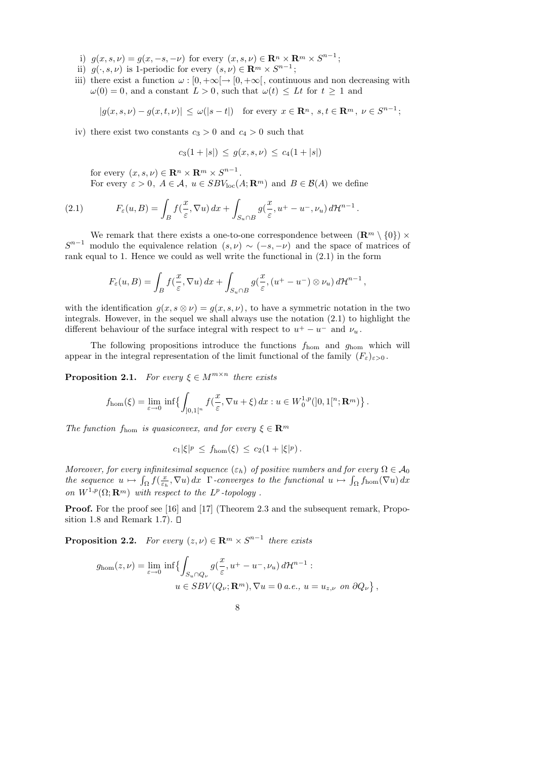- i)  $g(x, s, \nu) = g(x, -s, -\nu)$  for every  $(x, s, \nu) \in \mathbb{R}^n \times \mathbb{R}^m \times S^{n-1}$ ;
- ii)  $g(\cdot, s, \nu)$  is 1-periodic for every  $(s, \nu) \in \mathbb{R}^m \times S^{n-1}$ ;
- iii) there exist a function  $\omega : [0, +\infty[ \to [0, +\infty[$ , continuous and non decreasing with  $\omega(0) = 0$ , and a constant  $L > 0$ , such that  $\omega(t) \leq Lt$  for  $t \geq 1$  and

$$
|g(x, s, \nu) - g(x, t, \nu)| \le \omega(|s - t|) \quad \text{for every } x \in \mathbf{R}^n, \ s, t \in \mathbf{R}^m, \ \nu \in S^{n-1};
$$

iv) there exist two constants  $c_3 > 0$  and  $c_4 > 0$  such that

$$
c_3(1+|s|) \le g(x,s,\nu) \le c_4(1+|s|)
$$

for every  $(x, s, \nu) \in \mathbf{R}^n \times \mathbf{R}^m \times S^{n-1}$ .

For every  $\varepsilon > 0$ ,  $A \in \mathcal{A}$ ,  $u \in SBV_{loc}(A; \mathbf{R}^m)$  and  $B \in \mathcal{B}(A)$  we define

(2.1) 
$$
F_{\varepsilon}(u,B) = \int_{B} f(\frac{x}{\varepsilon}, \nabla u) dx + \int_{S_u \cap B} g(\frac{x}{\varepsilon}, u^+ - u^-, \nu_u) d\mathcal{H}^{n-1}.
$$

We remark that there exists a one-to-one correspondence between  $(\mathbb{R}^m \setminus \{0\}) \times$  $S^{n-1}$  modulo the equivalence relation  $(s, \nu) \sim (-s, -\nu)$  and the space of matrices of rank equal to 1. Hence we could as well write the functional in (2.1) in the form

$$
F_{\varepsilon}(u,B) = \int_{B} f(\frac{x}{\varepsilon}, \nabla u) dx + \int_{S_u \cap B} g(\frac{x}{\varepsilon}, (u^+ - u^-) \otimes \nu_u) d\mathcal{H}^{n-1},
$$

with the identification  $g(x, s \otimes \nu) = g(x, s, \nu)$ , to have a symmetric notation in the two integrals. However, in the sequel we shall always use the notation  $(2.1)$  to highlight the different behaviour of the surface integral with respect to  $u^+ - u^-$  and  $\nu_u$ .

The following propositions introduce the functions  $f_{\text{hom}}$  and  $g_{\text{hom}}$  which will appear in the integral representation of the limit functional of the family  $(F_{\varepsilon})_{\varepsilon>0}$ .

**Proposition 2.1.** For every  $\xi \in M^{m \times n}$  there exists

$$
f_{\text{hom}}(\xi) = \lim_{\varepsilon \to 0} \inf \left\{ \int_{]0,1[^n} f(\frac{x}{\varepsilon}, \nabla u + \xi) dx : u \in W_0^{1,p}([0,1[^n; \mathbf{R}^m) \right\}.
$$

The function  $f_{\text{hom}}$  is quasiconvex, and for every  $\xi \in \mathbf{R}^m$ 

$$
c_1|\xi|^p \le f_{\text{hom}}(\xi) \le c_2(1+|\xi|^p).
$$

Moreover, for every infinitesimal sequence  $(\varepsilon_h)$  of positive numbers and for every  $\Omega \in \mathcal{A}_0$ the sequence  $u \mapsto \int_{\Omega} f(\frac{x}{\varepsilon_h})$  $(\frac{x}{\varepsilon_h}, \nabla u) dx$  Γ-converges to the functional  $u \mapsto \int_{\Omega} f_{\text{hom}}(\nabla u) dx$ on  $W^{1,p}(\Omega; \mathbf{R}^m)$  with respect to the  $L^p$ -topology.

Proof. For the proof see [16] and [17] (Theorem 2.3 and the subsequent remark, Proposition 1.8 and Remark 1.7).  $\square$ 

**Proposition 2.2.** For every  $(z, \nu) \in \mathbb{R}^m \times S^{n-1}$  there exists

$$
g_{\text{hom}}(z,\nu) = \lim_{\varepsilon \to 0} \inf \{ \int_{S_u \cap Q_{\nu}} g(\frac{x}{\varepsilon}, u^+ - u^-, \nu_u) d\mathcal{H}^{n-1} :
$$
  

$$
u \in SBV(Q_{\nu}; \mathbf{R}^m), \nabla u = 0 \text{ a.e., } u = u_{z,\nu} \text{ on } \partial Q_{\nu} \},
$$

$$
8 \\
$$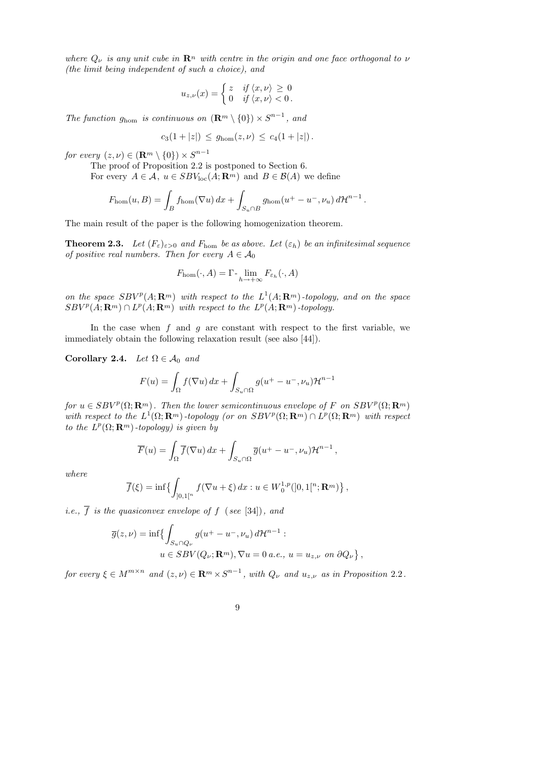where  $Q_{\nu}$  is any unit cube in  $\mathbb{R}^n$  with centre in the origin and one face orthogonal to  $\nu$ (the limit being independent of such a choice), and

$$
u_{z,\nu}(x) = \begin{cases} z & \text{if } \langle x, \nu \rangle \geq 0 \\ 0 & \text{if } \langle x, \nu \rangle < 0. \end{cases}
$$

The function  $g_{\text{hom}}$  is continuous on  $(\mathbb{R}^m \setminus \{0\}) \times S^{n-1}$ , and

$$
c_3(1+|z|) \le g_{\text{hom}}(z,\nu) \le c_4(1+|z|).
$$

for every  $(z, \nu) \in (\mathbf{R}^m \setminus \{0\}) \times S^{n-1}$ 

The proof of Proposition 2.2 is postponed to Section 6. For every  $A \in \mathcal{A}$ ,  $u \in SBV_{loc}(A; \mathbf{R}^m)$  and  $B \in \mathcal{B}(A)$  we define

$$
F_{\rm hom}(u, B) = \int_B f_{\rm hom}(\nabla u) dx + \int_{S_u \cap B} g_{\rm hom}(u^+ - u^-, \nu_u) d\mathcal{H}^{n-1}.
$$

The main result of the paper is the following homogenization theorem.

**Theorem 2.3.** Let  $(F_{\varepsilon})_{\varepsilon>0}$  and  $F_{\text{hom}}$  be as above. Let  $(\varepsilon_h)$  be an infinitesimal sequence of positive real numbers. Then for every  $A \in \mathcal{A}_0$ 

$$
F_{\rm hom}(\cdot,A)=\Gamma\text{-}\lim_{h\to+\infty}F_{\varepsilon_h}(\cdot,A)
$$

on the space  $SBV^p(A; \mathbf{R}^m)$  with respect to the  $L^1(A; \mathbf{R}^m)$ -topology, and on the space  $SBV^p(A; \mathbf{R}^m) \cap L^p(A; \mathbf{R}^m)$  with respect to the  $L^p(A; \mathbf{R}^m)$ -topology.

In the case when  $f$  and  $g$  are constant with respect to the first variable, we immediately obtain the following relaxation result (see also [44]).

Corollary 2.4. Let  $\Omega \in \mathcal{A}_0$  and

$$
F(u) = \int_{\Omega} f(\nabla u) dx + \int_{S_u \cap \Omega} g(u^+ - u^-, \nu_u) \mathcal{H}^{n-1}
$$

for  $u \in SBV^p(\Omega; \mathbf{R}^m)$ . Then the lower semicontinuous envelope of F on  $SBV^p(\Omega; \mathbf{R}^m)$ with respect to the  $L^1(\Omega;\mathbf{R}^m)$ -topology (or on  $SBV^p(\Omega;\mathbf{R}^m) \cap L^p(\Omega;\mathbf{R}^m)$  with respect to the  $L^p(\Omega; \mathbf{R}^m)$ -topology) is given by

$$
\overline{F}(u) = \int_{\Omega} \overline{f}(\nabla u) dx + \int_{S_u \cap \Omega} \overline{g}(u^+ - u^-, \nu_u) \mathcal{H}^{n-1},
$$

where

$$
\overline{f}(\xi) = \inf \{ \int_{]0,1[^n} f(\nabla u + \xi) \, dx : u \in W_0^{1,p}([0,1[^n; \mathbf{R}^m) \},
$$

*i.e.*,  $\overline{f}$  *is the quasiconvex envelope of f* (*see* [34]), and

$$
\overline{g}(z,\nu) = \inf \{ \int_{S_u \cap Q_{\nu}} g(u^+ - u^-, \nu_u) d\mathcal{H}^{n-1} :
$$
  
 
$$
u \in SBV(Q_{\nu}; \mathbf{R}^m), \nabla u = 0 \ a.e., \ u = u_{z,\nu} \ on \ \partial Q_{\nu} \},
$$

for every  $\xi \in M^{m \times n}$  and  $(z, \nu) \in \mathbf{R}^m \times S^{n-1}$ , with  $Q_{\nu}$  and  $u_{z, \nu}$  as in Proposition 2.2.

9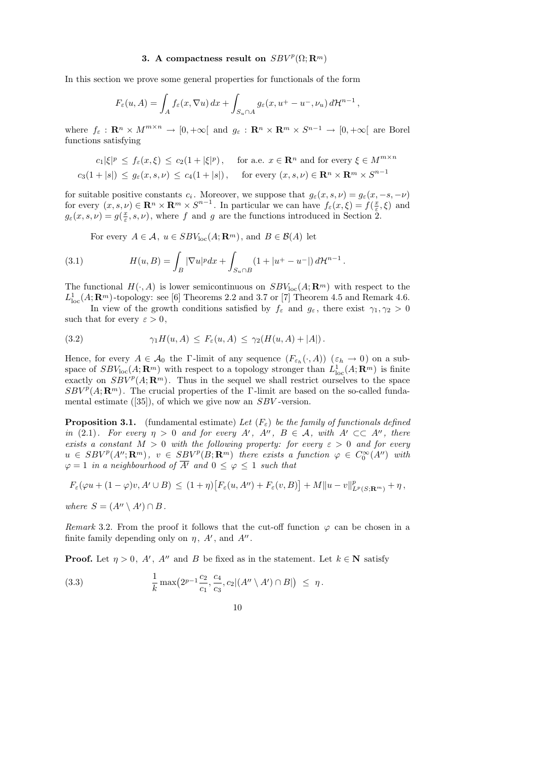# 3. A compactness result on  $SBV^p(\Omega; \mathbf{R}^m)$

In this section we prove some general properties for functionals of the form

$$
F_{\varepsilon}(u, A) = \int_{A} f_{\varepsilon}(x, \nabla u) dx + \int_{S_u \cap A} g_{\varepsilon}(x, u^+ - u^-, \nu_u) d\mathcal{H}^{n-1},
$$

where  $f_{\varepsilon}: \mathbf{R}^n \times M^{m \times n} \to [0, +\infty[$  and  $g_{\varepsilon}: \mathbf{R}^n \times \mathbf{R}^m \times S^{n-1} \to [0, +\infty[$  are Borel functions satisfying

$$
c_1|\xi|^p \le f_{\varepsilon}(x,\xi) \le c_2(1+|\xi|^p), \quad \text{for a.e. } x \in \mathbf{R}^n \text{ and for every } \xi \in M^{m \times n}
$$
  

$$
c_3(1+|s|) \le g_{\varepsilon}(x,s,\nu) \le c_4(1+|s|), \quad \text{for every } (x,s,\nu) \in \mathbf{R}^n \times \mathbf{R}^m \times S^{n-1}
$$

for suitable positive constants  $c_i$ . Moreover, we suppose that  $g_{\varepsilon}(x, s, \nu) = g_{\varepsilon}(x, -s, -\nu)$ for every  $(x, s, \nu) \in \mathbf{R}^n \times \mathbf{R}^m \times S^{n-1}$ . In particular we can have  $f_{\varepsilon}(x, \xi) = f(\frac{x}{\varepsilon})$  $(\frac{x}{\varepsilon}, \xi)$  and  $g_{\varepsilon}(x, s, \nu) = g(\frac{x}{\varepsilon})$  $(\frac{x}{\varepsilon}, s, \nu)$ , where f and g are the functions introduced in Section 2.

For every  $A \in \mathcal{A}$ ,  $u \in SBV_{loc}(A; \mathbf{R}^m)$ , and  $B \in \mathcal{B}(A)$  let

(3.1) 
$$
H(u, B) = \int_{B} |\nabla u|^p dx + \int_{S_u \cap B} (1 + |u^+ - u^-|) d\mathcal{H}^{n-1}.
$$

The functional  $H(\cdot, A)$  is lower semicontinuous on  $SBV_{loc}(A; \mathbf{R}^m)$  with respect to the  $L_{\text{loc}}^1(A; \mathbf{R}^m)$ -topology: see [6] Theorems 2.2 and 3.7 or [7] Theorem 4.5 and Remark 4.6.

In view of the growth conditions satisfied by  $f_{\varepsilon}$  and  $g_{\varepsilon}$ , there exist  $\gamma_1, \gamma_2 > 0$ such that for every  $\varepsilon > 0$ ,

(3.2) 
$$
\gamma_1 H(u, A) \leq F_{\varepsilon}(u, A) \leq \gamma_2(H(u, A) + |A|).
$$

Hence, for every  $A \in \mathcal{A}_0$  the  $\Gamma$ -limit of any sequence  $(F_{\varepsilon_h}(\cdot, A))$   $(\varepsilon_h \to 0)$  on a subspace of  $SBV_{\text{loc}}(A; \mathbf{R}^m)$  with respect to a topology stronger than  $L^1_{\text{loc}}(A; \mathbf{R}^m)$  is finite exactly on  $SBV^p(A; \mathbf{R}^m)$ . Thus in the sequel we shall restrict ourselves to the space  $SBV^p(A; \mathbf{R}^m)$ . The crucial properties of the Γ-limit are based on the so-called fundamental estimate  $([35])$ , of which we give now an  $SBV$ -version.

**Proposition 3.1.** (fundamental estimate) Let  $(F_{\varepsilon})$  be the family of functionals defined in (2.1). For every  $\eta > 0$  and for every A', A'', B  $\in$  A, with A'  $\subset \subset A''$ , there exists a constant  $M > 0$  with the following property: for every  $\varepsilon > 0$  and for every  $u \in SBV^p(A'';\mathbf{R}^m), v \in SBV^p(B;\mathbf{R}^m)$  there exists a function  $\varphi \in C_0^{\infty}(A'')$  with  $\varphi = 1$  in a neighbourhood of  $\overline{A'}$  and  $0 \leq \varphi \leq 1$  such that

$$
F_{\varepsilon}(\varphi u+(1-\varphi)v, A' \cup B) \leq (1+\eta)\big[F_{\varepsilon}(u, A'') + F_{\varepsilon}(v, B)\big]+M\|u-v\|_{L^{p}(S; \mathbf{R}^{m})}^{p} + \eta\,,
$$

where  $S = (A'' \setminus A') \cap B$ .

Remark 3.2. From the proof it follows that the cut-off function  $\varphi$  can be chosen in a finite family depending only on  $\eta$ , A', and A''.

**Proof.** Let  $\eta > 0$ , A', A'' and B be fixed as in the statement. Let  $k \in \mathbb{N}$  satisfy

(3.3) 
$$
\frac{1}{k} \max(2^{p-1} \frac{c_2}{c_1}, \frac{c_4}{c_3}, c_2 | (A'' \setminus A') \cap B|) \leq \eta.
$$

10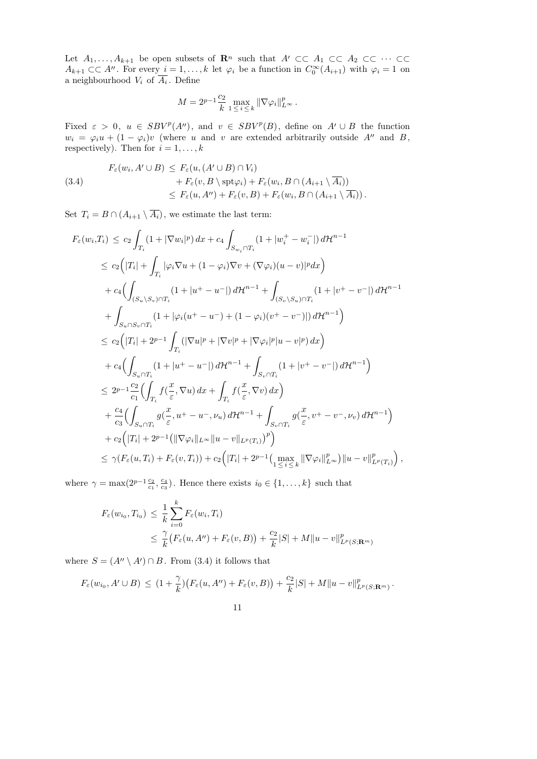Let  $A_1, \ldots, A_{k+1}$  be open subsets of  $\mathbb{R}^n$  such that  $A' \subset\subset A_1 \subset\subset A_2 \subset\subset \cdots \subset\subset$  $A_{k+1} \subset \subset A''$ . For every  $i = 1, ..., k$  let  $\varphi_i$  be a function in  $C_0^{\infty}(A_{i+1})$  with  $\varphi_i = 1$  on a neighbourhood  $V_i$  of  $A_i$ . Define

$$
M = 2^{p-1} \frac{c_2}{k} \max_{1 \le i \le k} \|\nabla \varphi_i\|_{L^\infty}^p.
$$

Fixed  $\varepsilon > 0$ ,  $u \in SBV^p(A'')$ , and  $v \in SBV^p(B)$ , define on  $A' \cup B$  the function  $w_i = \varphi_i u + (1 - \varphi_i)v$  (where u and v are extended arbitrarily outside A'' and B, respectively). Then for  $i = 1, \ldots, k$ 

(3.4)  
\n
$$
F_{\varepsilon}(w_i, A' \cup B) \leq F_{\varepsilon}(u, (A' \cup B) \cap V_i) + F_{\varepsilon}(v, B \setminus \text{spt}\varphi_i) + F_{\varepsilon}(w_i, B \cap (A_{i+1} \setminus \overline{A_i}))
$$
\n
$$
\leq F_{\varepsilon}(u, A'') + F_{\varepsilon}(v, B) + F_{\varepsilon}(w_i, B \cap (A_{i+1} \setminus \overline{A_i})).
$$

Set  $T_i = B \cap (A_{i+1} \setminus \overline{A_i})$ , we estimate the last term:

$$
F_{\varepsilon}(w_{i},T_{i}) \leq c_{2} \int_{T_{i}} (1+|\nabla w_{i}|^{p}) dx + c_{4} \int_{S_{w_{i}} \cap T_{i}} (1+|w_{i}^{+}-w_{i}^{-}|) d\mathcal{H}^{n-1}
$$
  
\n
$$
\leq c_{2} (|T_{i}| + \int_{T_{i}} |\varphi_{i} \nabla u + (1-\varphi_{i}) \nabla v + (\nabla \varphi_{i})(u-v)|^{p} dx)
$$
  
\n
$$
+ c_{4} (\int_{(S_{u} \setminus S_{v}) \cap T_{i}} (1+|u^{+}-u^{-}|) d\mathcal{H}^{n-1} + \int_{(S_{v} \setminus S_{u}) \cap T_{i}} (1+|v^{+}-v^{-}|) d\mathcal{H}^{n-1}
$$
  
\n
$$
+ \int_{S_{u} \cap S_{v} \cap T_{i}} (1+|\varphi_{i}(u^{+}-u^{-}) + (1-\varphi_{i})(v^{+}-v^{-})|) d\mathcal{H}^{n-1})
$$
  
\n
$$
\leq c_{2} (|T_{i}| + 2^{p-1} \int_{T_{i}} (|\nabla u|^{p} + |\nabla v|^{p} + |\nabla \varphi_{i}|^{p} |u-v|^{p}) dx)
$$
  
\n
$$
+ c_{4} (\int_{S_{u} \cap T_{i}} (1+|u^{+}-u^{-}|) d\mathcal{H}^{n-1} + \int_{S_{v} \cap T_{i}} (1+|v^{+}-v^{-}|) d\mathcal{H}^{n-1})
$$
  
\n
$$
\leq 2^{p-1} \frac{c_{2}}{c_{1}} (\int_{T_{i}} f(\frac{x}{\varepsilon}, \nabla u) dx + \int_{T_{i}} f(\frac{x}{\varepsilon}, \nabla v) dx)
$$
  
\n
$$
+ \frac{c_{4}}{c_{3}} (\int_{S_{u} \cap T_{i}} g(\frac{x}{\varepsilon}, u^{+}-u^{-}, \nu_{u}) d\mathcal{H}^{n-1} + \int_{S_{v} \cap T_{i}} g(\frac{x}{\varepsilon}, v^{+}-v^{-}, \nu_{v}) d\mathcal{H}^{n-1})
$$
  
\n
$$
+ c_{2} (|T_{i}| + 2^{p-1}
$$

where  $\gamma = \max(2^{p-1}\frac{c_2}{c_1}, \frac{c_4}{c_3})$  $\frac{c_4}{c_3}$ ). Hence there exists  $i_0 \in \{1, ..., k\}$  such that

$$
F_{\varepsilon}(w_{i_0}, T_{i_0}) \leq \frac{1}{k} \sum_{i=0}^{k} F_{\varepsilon}(w_i, T_i)
$$
  
 
$$
\leq \frac{\gamma}{k} (F_{\varepsilon}(u, A'') + F_{\varepsilon}(v, B)) + \frac{c_2}{k} |S| + M ||u - v||_{L^p(S; \mathbf{R}^m)}^p
$$

where  $S = (A'' \setminus A') \cap B$ . From (3.4) it follows that

$$
F_{\varepsilon}(w_{i_0}, A' \cup B) \leq (1 + \frac{\gamma}{k}) \big( F_{\varepsilon}(u, A'') + F_{\varepsilon}(v, B) \big) + \frac{c_2}{k} |S| + M ||u - v||_{L^p(S; \mathbf{R}^m)}^p.
$$

11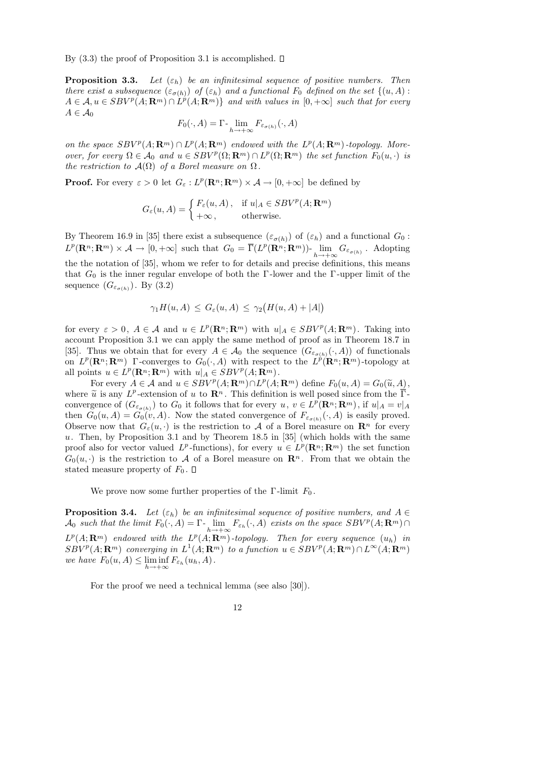By  $(3.3)$  the proof of Proposition 3.1 is accomplished.  $\Box$ 

**Proposition 3.3.** Let  $(\varepsilon_h)$  be an infinitesimal sequence of positive numbers. Then there exist a subsequence  $(\varepsilon_{\sigma(h)})$  of  $(\varepsilon_h)$  and a functional  $F_0$  defined on the set  $\{(u, A) :$  $A \in \mathcal{A}, u \in SBV^p(A; \mathbf{R}^m) \cap L^p(A; \mathbf{R}^m) \}$  and with values in  $[0, +\infty]$  such that for every  $A \in \mathcal{A}_0$ 

$$
F_0(\cdot, A) = \Gamma \cdot \lim_{h \to +\infty} F_{\varepsilon_{\sigma(h)}}(\cdot, A)
$$

on the space  $SBV^p(A; \mathbf{R}^m) \cap L^p(A; \mathbf{R}^m)$  endowed with the  $L^p(A; \mathbf{R}^m)$ -topology. Moreover, for every  $\Omega \in \mathcal{A}_0$  and  $u \in SBV^p(\Omega; \mathbf{R}^m) \cap L^p(\Omega; \mathbf{R}^m)$  the set function  $F_0(u, \cdot)$  is the restriction to  $\mathcal{A}(\Omega)$  of a Borel measure on  $\Omega$ .

**Proof.** For every  $\varepsilon > 0$  let  $G_{\varepsilon}: L^p(\mathbf{R}^n; \mathbf{R}^m) \times \mathcal{A} \to [0, +\infty]$  be defined by

$$
G_{\varepsilon}(u, A) = \begin{cases} F_{\varepsilon}(u, A), & \text{if } u|_{A} \in SBV^{p}(A; \mathbf{R}^{m}) \\ +\infty, & \text{otherwise.} \end{cases}
$$

By Theorem 16.9 in [35] there exist a subsequence  $(\varepsilon_{\sigma(h)})$  of  $(\varepsilon_h)$  and a functional  $G_0$ :  $L^p(\mathbf{R}^n;\mathbf{R}^m)\times\mathcal{A}\to[0,+\infty]$  such that  $G_0=\overline{\Gamma}(L^p(\mathbf{R}^n;\mathbf{R}^m))$ -  $\lim_{h\to+\infty}G_{\varepsilon_{\sigma(h)}}$ . Adopting the the notation of [35], whom we refer to for details and precise definitions, this means that  $G_0$  is the inner regular envelope of both the Γ-lower and the Γ-upper limit of the sequence  $(G_{\varepsilon_{\sigma(h)}})$ . By  $(3.2)$ 

$$
\gamma_1 H(u, A) \le G_{\varepsilon}(u, A) \le \gamma_2 \big( H(u, A) + |A| \big)
$$

for every  $\varepsilon > 0$ ,  $A \in \mathcal{A}$  and  $u \in L^p(\mathbf{R}^n; \mathbf{R}^m)$  with  $u|_A \in SBV^p(A; \mathbf{R}^m)$ . Taking into account Proposition 3.1 we can apply the same method of proof as in Theorem 18.7 in [35]. Thus we obtain that for every  $A \in \mathcal{A}_0$  the sequence  $(G_{\varepsilon_{\sigma(h)}}(\cdot, A))$  of functionals on  $L^p(\mathbf{R}^n;\mathbf{R}^m)$  Γ-converges to  $G_0(\cdot,A)$  with respect to the  $L^p(\mathbf{R}^n;\mathbf{R}^m)$ -topology at all points  $u \in L^p(\mathbf{R}^n; \mathbf{R}^m)$  with  $u|_A \in SBV^p(A; \mathbf{R}^m)$ .

For every  $A \in \mathcal{A}$  and  $u \in SBV^p(A; \mathbf{R}^m) \cap L^p(A; \mathbf{R}^m)$  define  $F_0(u, A) = G_0(\tilde{u}, A)$ ,<br>  $\tilde{u}$  is any  $L^p$  extension of u to  $\mathbf{R}^n$ . This definition is well posed since from the  $\overline{\Gamma}$ where  $\tilde{u}$  is any  $L^p$ -extension of u to  $\mathbb{R}^n$ . This definition is well posed since from the  $\overline{\Gamma}$ -<br>convergence of  $(G)$  to  $G_2$  it follows that for every  $u, u \in L^p(\mathbb{R}^n, \mathbb{R}^m)$  if  $u |_{L} = v |_{L}$ convergence of  $(G_{\varepsilon_{\sigma(h)}})$  to  $G_0$  it follows that for every  $u, v \in L^p(\mathbf{R}^n; \mathbf{R}^m)$ , if  $u|_A = v|_A$ then  $G_0(u, A) = G_0(v, A)$ . Now the stated convergence of  $F_{\varepsilon_{\sigma(h)}}(\cdot, A)$  is easily proved. Observe now that  $G_{\varepsilon}(u, \cdot)$  is the restriction to A of a Borel measure on  $\mathbb{R}^n$  for every u. Then, by Proposition 3.1 and by Theorem 18.5 in  $[35]$  (which holds with the same proof also for vector valued  $L^p$ -functions), for every  $u \in L^p(\mathbf{R}^n;\mathbf{R}^m)$  the set function  $G_0(u, \cdot)$  is the restriction to A of a Borel measure on  $\mathbb{R}^n$ . From that we obtain the stated measure property of  $F_0$ .  $\Box$ 

We prove now some further properties of the  $\Gamma$ -limit  $F_0$ .

**Proposition 3.4.** Let  $(\varepsilon_h)$  be an infinitesimal sequence of positive numbers, and  $A \in$  $\mathcal{A}_0$  such that the limit  $F_0(\cdot, A) = \Gamma$ -  $\lim_{h \to +\infty} F_{\varepsilon_h}(\cdot, A)$  exists on the space  $SBV^p(A; \mathbf{R}^m) \cap$  $L^p(A; \mathbf{R}^m)$  endowed with the  $L^p(A; \mathbf{R}^m)$ -topology. Then for every sequence  $(u_h)$  in  $SBV^p(A; \mathbf{R}^m)$  converging in  $L^1(A; \mathbf{R}^m)$  to a function  $u \in SBV^p(A; \mathbf{R}^m) \cap L^{\infty}(A; \mathbf{R}^m)$ we have  $F_0(u, A) \leq \liminf_{h \to +\infty} F_{\varepsilon_h}(u_h, A)$ .

For the proof we need a technical lemma (see also [30]).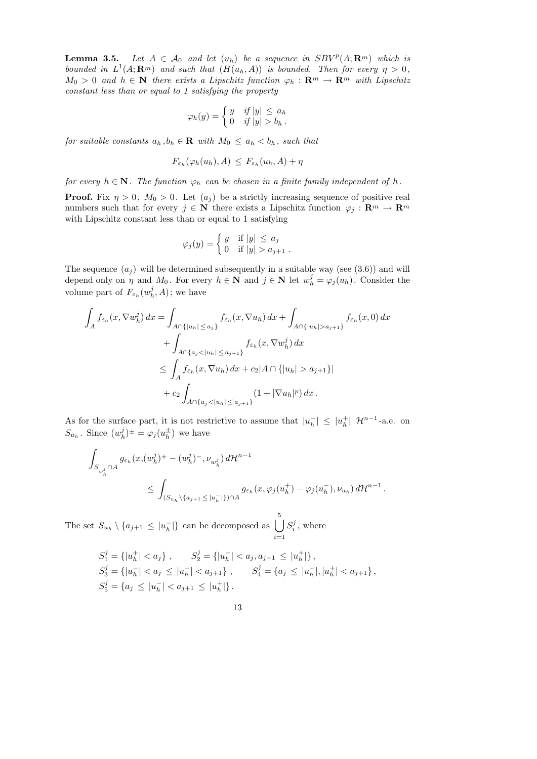**Lemma 3.5.** Let  $A \in \mathcal{A}_0$  and let  $(u_h)$  be a sequence in  $SBV^p(A; \mathbf{R}^m)$  which is bounded in  $L^1(A; \mathbf{R}^m)$  and such that  $(H(u_h, A))$  is bounded. Then for every  $\eta > 0$ ,  $M_0 > 0$  and  $h \in \mathbb{N}$  there exists a Lipschitz function  $\varphi_h : \mathbb{R}^m \to \mathbb{R}^m$  with Lipschitz constant less than or equal to 1 satisfying the property

$$
\varphi_h(y) = \begin{cases} y & \text{if } |y| \le a_h \\ 0 & \text{if } |y| > b_h \end{cases}.
$$

for suitable constants  $a_h$ ,  $b_h \in \mathbf{R}$  with  $M_0 \le a_h < b_h$ , such that

$$
F_{\varepsilon_h}(\varphi_h(u_h), A) \leq F_{\varepsilon_h}(u_h, A) + \eta
$$

for every  $h \in \mathbb{N}$ . The function  $\varphi_h$  can be chosen in a finite family independent of h.

**Proof.** Fix  $\eta > 0$ ,  $M_0 > 0$ . Let  $(a_j)$  be a strictly increasing sequence of positive real numbers such that for every  $j \in \mathbb{N}$  there exists a Lipschitz function  $\varphi_j : \mathbb{R}^m \to \mathbb{R}^m$ with Lipschitz constant less than or equal to 1 satisfying

$$
\varphi_j(y) = \begin{cases} y & \text{if } |y| \leq a_j \\ 0 & \text{if } |y| > a_{j+1} \end{cases}.
$$

The sequence  $(a_i)$  will be determined subsequently in a suitable way (see (3.6)) and will depend only on  $\eta$  and  $M_0$ . For every  $h \in \mathbb{N}$  and  $j \in \mathbb{N}$  let  $w_h^j = \varphi_j(u_h)$ . Consider the volume part of  $F_{\varepsilon_h}(w_h^j)$  $_h^j$ , A); we have

$$
\int_{A} f_{\varepsilon_{h}}(x, \nabla w_{h}^{j}) dx = \int_{A \cap \{|u_{h}| \leq a_{j}\}} f_{\varepsilon_{h}}(x, \nabla u_{h}) dx + \int_{A \cap \{|u_{h}| > a_{j+1}\}} f_{\varepsilon_{h}}(x, 0) dx \n+ \int_{A \cap \{a_{j} < |u_{h}| \leq a_{j+1}\}} f_{\varepsilon_{h}}(x, \nabla w_{h}^{j}) dx \n\leq \int_{A} f_{\varepsilon_{h}}(x, \nabla u_{h}) dx + c_{2} |A \cap \{|u_{h}| > a_{j+1}\}| \n+ c_{2} \int_{A \cap \{a_{j} < |u_{h}| \leq a_{j+1}\}} (1 + |\nabla u_{h}|^{p}) dx.
$$

As for the surface part, it is not restrictive to assume that  $|u_h|$  $|_{h}^{-}|\leq |u_{h}^{+}|$  $\uparrow_h^+$  |  $\mathcal{H}^{n-1}$ -a.e. on  $S_{u_h}$ . Since  $(w_h^j)$  $\phi_h^j)^{\pm} = \varphi_j(u_h^{\pm})$  $\frac{1}{h}$  we have

$$
\int_{S_{w_h^j} \cap A} g_{\varepsilon_h}(x, (w_h^j)^+ - (w_h^j)^-, \nu_{w_h^j}) d\mathcal{H}^{n-1}
$$
\n
$$
\leq \int_{(S_{u_h} \setminus \{a_{j+1} \leq |u_h^-|\}) \cap A} g_{\varepsilon_h}(x, \varphi_j(u_h^+) - \varphi_j(u_h^-), \nu_{u_h}) d\mathcal{H}^{n-1}.
$$

The set  $S_{u_h} \setminus \{a_{j+1} \leq |u_h^ \binom{-}{h}$  can be decomposed as  $\bigcup$ 5  $i=1$  $S_i^j$  $\binom{J}{i}$ , where

$$
S_1^j = \{ |u_h^+| < a_j \}, \qquad S_2^j = \{ |u_h^-| < a_j, a_{j+1} \le |u_h^+| \},
$$
\n
$$
S_3^j = \{ |u_h^-| < a_j \le |u_h^+| < a_{j+1} \}, \qquad S_4^j = \{ a_j \le |u_h^-|, |u_h^+| < a_{j+1} \},
$$
\n
$$
S_5^j = \{ a_j \le |u_h^-| < a_{j+1} \le |u_h^+| \}.
$$

13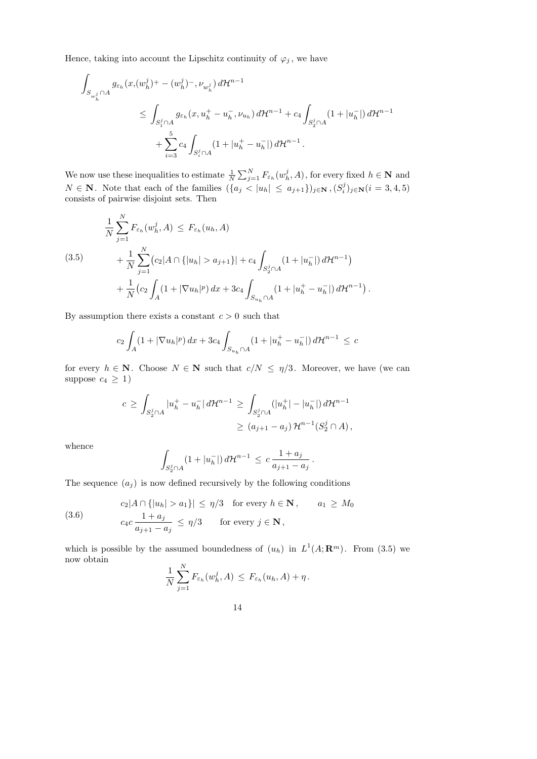Hence, taking into account the Lipschitz continuity of  $\varphi_j$ , we have

$$
\int_{S_{w_h^j} \cap A} g_{\varepsilon_h}(x, (w_h^j)^+ - (w_h^j)^-, \nu_{w_h^j}) d\mathcal{H}^{n-1}
$$
\n
$$
\leq \int_{S_1^j \cap A} g_{\varepsilon_h}(x, u_h^+ - u_h^-, \nu_{u_h}) d\mathcal{H}^{n-1} + c_4 \int_{S_2^j \cap A} (1 + |u_h^-|) d\mathcal{H}^{n-1}
$$
\n
$$
+ \sum_{i=3}^5 c_4 \int_{S_i^j \cap A} (1 + |u_h^+ - u_h^-|) d\mathcal{H}^{n-1}.
$$

We now use these inequalities to estimate  $\frac{1}{N} \sum_{j=1}^{N} F_{\varepsilon_h}(w_h^j)$  $h_h^j$ , A), for every fixed  $h \in \mathbf{N}$  and  $N \in \mathbf{N}$ . Note that each of the families  $({a_j} < |u_h| \le a_{j+1})_{j \in \mathbf{N}}$ ,  $(S_i^j)$  $j_j^{(j)}_{i,j\in \mathbf{N}} (i=3,4,5)$ consists of pairwise disjoint sets. Then

$$
\frac{1}{N} \sum_{j=1}^{N} F_{\varepsilon_h}(w_h^j, A) \leq F_{\varepsilon_h}(u_h, A)
$$
\n
$$
+ \frac{1}{N} \sum_{j=1}^{N} (c_2 |A \cap \{|u_h| > a_{j+1}\}| + c_4 \int_{S_2^j \cap A} (1 + |u_h^-|) d\mathcal{H}^{n-1})
$$
\n
$$
+ \frac{1}{N} (c_2 \int_A (1 + |\nabla u_h|^p) dx + 3c_4 \int_{S_{u_h} \cap A} (1 + |u_h^+ - u_h^-|) d\mathcal{H}^{n-1}).
$$

By assumption there exists a constant  $c > 0$  such that

$$
c_2 \int_A (1+|\nabla u_h|^p) \, dx + 3c_4 \int_{S_{u_h} \cap A} (1+|u_h^+ - u_h^-|) \, d\mathcal{H}^{n-1} \leq c
$$

for every  $h \in \mathbf{N}$ . Choose  $N \in \mathbf{N}$  such that  $c/N \leq \eta/3$ . Moreover, we have (we can suppose  $c_4 \geq 1$ )

$$
c \ge \int_{S_2^j \cap A} |u_h^+ - u_h^-| d\mathcal{H}^{n-1} \ge \int_{S_2^j \cap A} (|u_h^+| - |u_h^-|) d\mathcal{H}^{n-1}
$$
  

$$
\ge (a_{j+1} - a_j) \mathcal{H}^{n-1}(S_2^j \cap A),
$$

whence

$$
\int_{S_2^j \cap A} (1+|u_h^-|) d\mathcal{H}^{n-1} \leq c \frac{1+a_j}{a_{j+1}-a_j}.
$$

The sequence  $(a_j)$  is now defined recursively by the following conditions

(3.6) 
$$
c_2|A \cap \{|u_h| > a_1\}| \leq \eta/3 \quad \text{for every } h \in \mathbf{N}, \qquad a_1 \geq M_0
$$

$$
c_4c \frac{1+a_j}{a_{j+1}-a_j} \leq \eta/3 \qquad \text{for every } j \in \mathbf{N},
$$

which is possible by the assumed boundedness of  $(u_h)$  in  $L^1(A; \mathbf{R}^m)$ . From (3.5) we now obtain

$$
\frac{1}{N}\sum_{j=1}^N F_{\varepsilon_h}(w_h^j, A) \leq F_{\varepsilon_h}(u_h, A) + \eta.
$$

14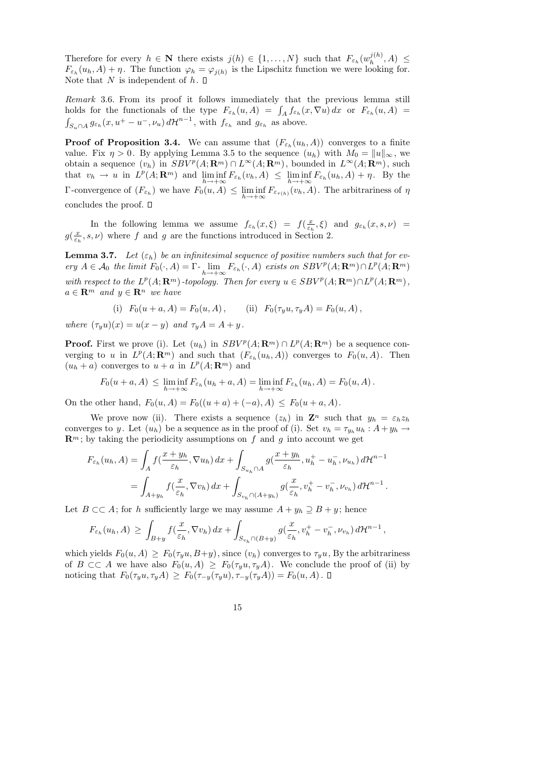Therefore for every  $h \in \mathbf{N}$  there exists  $j(h) \in \{1, ..., N\}$  such that  $F_{\varepsilon_h}(w_h^{j(h)})$  $h^{J^{(n)}},A) \leq$  $F_{\varepsilon_h}(u_h, A) + \eta$ . The function  $\varphi_h = \varphi_{j(h)}$  is the Lipschitz function we were looking for. Note that N is independent of  $h$ .  $\Box$ 

Remark 3.6. From its proof it follows immediately that the previous lemma still holds for the functionals of the type  $F_{\varepsilon_h}(u, A) = \int_A f_{\varepsilon_h}(x, \nabla u) dx$  or  $F_{\varepsilon_h}(u, A) =$  $\int_{S_u \cap A} g_{\varepsilon_h}(x, u^+ - u^-, \nu_u) d\mathcal{H}^{n-1}$ , with  $f_{\varepsilon_h}$  and  $g_{\varepsilon_h}$  as above.

**Proof of Proposition 3.4.** We can assume that  $(F_{\varepsilon_h}(u_h, A))$  converges to a finite value. Fix  $\eta > 0$ . By applying Lemma 3.5 to the sequence  $(u_h)$  with  $M_0 = ||u||_{\infty}$ , we obtain a sequence  $(v_h)$  in  $SBV^p(A; \mathbf{R}^m) \cap L^{\infty}(A; \mathbf{R}^m)$ , bounded in  $L^{\infty}(A; \mathbf{R}^m)$ , such that  $v_h \to u$  in  $L^p(A; \mathbf{R}^m)$  and  $\liminf_{h \to +\infty} F_{\varepsilon_h}(v_h, A) \leq \liminf_{h \to +\infty} F_{\varepsilon_h}(u_h, A) + \eta$ . By the Γ-convergence of  $(F_{\varepsilon_h})$  we have  $F_0(u, A) \le \liminf_{h \to +\infty} F_{\varepsilon_{\tau(h)}}(v_h, A)$ . The arbitrariness of  $η$ concludes the proof.

In the following lemma we assume  $f_{\varepsilon_h}(x,\xi) = f(\frac{x}{\varepsilon_h})$  $(\frac{x}{\varepsilon_h}, \xi)$  and  $g_{\varepsilon_h}(x, s, \nu)$  =  $g(\frac{x}{\varepsilon})$  $(\frac{x}{\varepsilon_h}, s, \nu)$  where f and g are the functions introduced in Section 2.

**Lemma 3.7.** Let  $(\varepsilon_h)$  be an infinitesimal sequence of positive numbers such that for every  $A \in \mathcal{A}_0$  the limit  $F_0(\cdot, A) = \Gamma \cdot \lim_{h \to +\infty} F_{\varepsilon_h}(\cdot, A)$  exists on  $SBV^p(A; \mathbf{R}^m) \cap L^p(A; \mathbf{R}^m)$ with respect to the  $L^p(A; \mathbf{R}^m)$ -topology. Then for every  $u \in SBV^p(A; \mathbf{R}^m) \cap L^p(A; \mathbf{R}^m)$ ,  $a \in \mathbb{R}^m$  and  $y \in \mathbb{R}^n$  we have

(i) 
$$
F_0(u + a, A) = F_0(u, A)
$$
, (ii)  $F_0(\tau_y u, \tau_y A) = F_0(u, A)$ ,

where  $(\tau_y u)(x) = u(x - y)$  and  $\tau_y A = A + y$ .

**Proof.** First we prove (i). Let  $(u_h)$  in  $SBV^p(A; \mathbf{R}^m) \cap L^p(A; \mathbf{R}^m)$  be a sequence converging to u in  $L^p(A; \mathbf{R}^m)$  and such that  $(F_{\varepsilon_h}(u_h, A))$  converges to  $F_0(u, A)$ . Then  $(u_h + a)$  converges to  $u + a$  in  $L^p(A; \mathbb{R}^m)$  and

$$
F_0(u+a,A) \leq \liminf_{h \to +\infty} F_{\varepsilon_h}(u_h+a,A) = \liminf_{h \to +\infty} F_{\varepsilon_h}(u_h,A) = F_0(u,A).
$$

On the other hand,  $F_0(u, A) = F_0((u+a)+(-a), A) \leq F_0(u+a, A)$ .

We prove now (ii). There exists a sequence  $(z_h)$  in  $\mathbb{Z}^n$  such that  $y_h = \varepsilon_h z_h$ converges to y. Let  $(u_h)$  be a sequence as in the proof of (i). Set  $v_h = \tau_{y_h} u_h : A + y_h \to \infty$  $\mathbf{R}^m$ ; by taking the periodicity assumptions on f and g into account we get

$$
F_{\varepsilon_h}(u_h, A) = \int_A f\left(\frac{x+y_h}{\varepsilon_h}, \nabla u_h\right) dx + \int_{S_{u_h} \cap A} g\left(\frac{x+y_h}{\varepsilon_h}, u_h^+ - u_h^-, \nu_{u_h}\right) d\mathcal{H}^{n-1}
$$
  
= 
$$
\int_{A+y_h} f\left(\frac{x}{\varepsilon_h}, \nabla v_h\right) dx + \int_{S_{v_h} \cap (A+y_h)} g\left(\frac{x}{\varepsilon_h}, v_h^+ - v_h^-, \nu_{v_h}\right) d\mathcal{H}^{n-1}.
$$

Let  $B \subset\subset A$ ; for h sufficiently large we may assume  $A + y_h \supseteq B + y$ ; hence

$$
F_{\varepsilon_h}(u_h, A) \geq \int_{B+y} f(\frac{x}{\varepsilon_h}, \nabla v_h) dx + \int_{S_{v_h} \cap (B+y)} g(\frac{x}{\varepsilon_h}, v_h^+ - v_h^-, \nu_{v_h}) d\mathcal{H}^{n-1},
$$

which yields  $F_0(u, A) > F_0(\tau_u u, B+y)$ , since  $(v_h)$  converges to  $\tau_u u$ , By the arbitrariness of  $B \subset\subset A$  we have also  $F_0(u, A) \geq F_0(\tau_y u, \tau_y A)$ . We conclude the proof of (ii) by noticing that  $F_0(\tau_y u, \tau_y A) \geq F_0(\tau_{-y}(\tau_y u), \tau_{-y}(\tau_y A)) = F_0(u, A)$ .  $\Box$ 

15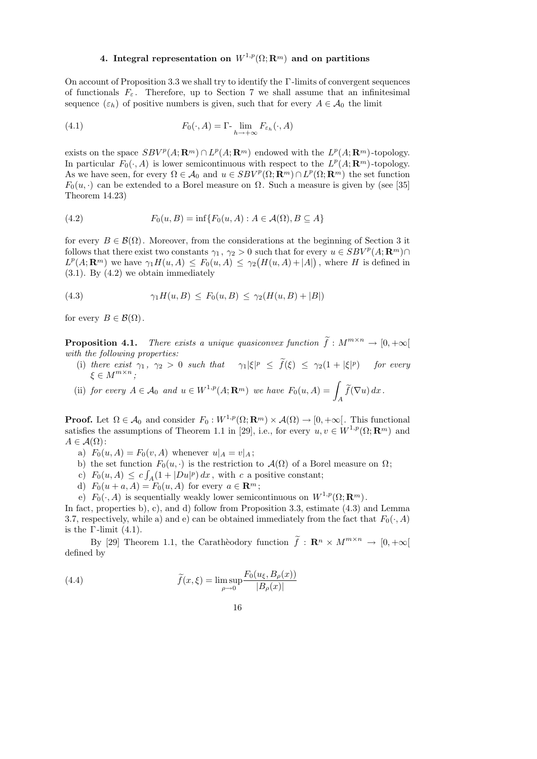# 4. Integral representation on  $W^{1,p}(\Omega;\mathbf{R}^m)$  and on partitions

On account of Proposition 3.3 we shall try to identify the Γ -limits of convergent sequences of functionals  $F_{\varepsilon}$ . Therefore, up to Section 7 we shall assume that an infinitesimal sequence  $(\varepsilon_h)$  of positive numbers is given, such that for every  $A \in \mathcal{A}_0$  the limit

(4.1) 
$$
F_0(\cdot, A) = \Gamma \cdot \lim_{h \to +\infty} F_{\varepsilon_h}(\cdot, A)
$$

exists on the space  $SBV^p(A; \mathbf{R}^m) \cap L^p(A; \mathbf{R}^m)$  endowed with the  $L^p(A; \mathbf{R}^m)$ -topology. In particular  $F_0(\cdot, A)$  is lower semicontinuous with respect to the  $L^p(A; \mathbf{R}^m)$ -topology. As we have seen, for every  $\Omega \in \mathcal{A}_0$  and  $u \in SBV^p(\Omega; \mathbf{R}^m) \cap L^p(\Omega; \mathbf{R}^m)$  the set function  $F_0(u, \cdot)$  can be extended to a Borel measure on  $\Omega$ . Such a measure is given by (see [35] Theorem 14.23)

(4.2) 
$$
F_0(u, B) = \inf \{ F_0(u, A) : A \in \mathcal{A}(\Omega), B \subseteq A \}
$$

for every  $B \in \mathcal{B}(\Omega)$ . Moreover, from the considerations at the beginning of Section 3 it follows that there exist two constants  $\gamma_1, \gamma_2 > 0$  such that for every  $u \in SBV^p(A; \mathbf{R}^m) \cap$  $L^p(A; \mathbf{R}^m)$  we have  $\gamma_1 H(u, A) \leq F_0(u, A) \leq \gamma_2 \big( H(u, A) + |A| \big)$ , where H is defined in (3.1). By (4.2) we obtain immediately

(4.3) 
$$
\gamma_1 H(u, B) \leq F_0(u, B) \leq \gamma_2 (H(u, B) + |B|)
$$

for every  $B \in \mathcal{B}(\Omega)$ .

**Proposition 4.1.** There exists a unique quasiconvex function  $\tilde{f}: M^{m \times n} \to [0, +\infty[$ with the following properties:

(i) there exist  $\gamma_1$ ,  $\gamma_2 > 0$  such that  $\gamma_1|\xi|^p \leq f(\xi) \leq \gamma_2(1 + |\xi|^p)$  for every  $\xi \in M^{m \times n}$ ;

(ii) for every 
$$
A \in \mathcal{A}_0
$$
 and  $u \in W^{1,p}(A; \mathbf{R}^m)$  we have  $F_0(u, A) = \int_A \widetilde{f}(\nabla u) dx$ .

**Proof.** Let  $\Omega \in \mathcal{A}_0$  and consider  $F_0: W^{1,p}(\Omega; \mathbf{R}^m) \times \mathcal{A}(\Omega) \to [0, +\infty]$ . This functional satisfies the assumptions of Theorem 1.1 in [29], i.e., for every  $u, v \in W^{1,p}(\Omega; \mathbb{R}^m)$  and  $A \in \mathcal{A}(\Omega)$ :

a)  $F_0(u, A) = F_0(v, A)$  whenever  $u|_A = v|_A$ ;

- b) the set function  $F_0(u, \cdot)$  is the restriction to  $\mathcal{A}(\Omega)$  of a Borel measure on  $\Omega$ ;
- c)  $F_0(u, A) \leq c \int_A (1 + |Du|^p) dx$ , with c a positive constant;
- d)  $F_0(u+a, A) = F_0(u, A)$  for every  $a \in \mathbf{R}^m$ ;

e)  $F_0(\cdot, A)$  is sequentially weakly lower semicontinuous on  $W^{1,p}(\Omega; \mathbf{R}^m)$ .

In fact, properties b), c), and d) follow from Proposition 3.3, estimate (4.3) and Lemma 3.7, respectively, while a) and e) can be obtained immediately from the fact that  $F_0(\cdot, A)$ is the  $\Gamma$ -limit (4.1).

By [29] Theorem 1.1, the Caratheodory function  $\tilde{f}$ :  $\mathbf{R}^n \times M^{m \times n} \to [0, +\infty]$ defined by

(4.4) 
$$
\widetilde{f}(x,\xi) = \limsup_{\rho \to 0} \frac{F_0(u_\xi, B_\rho(x))}{|B_\rho(x)|}
$$

16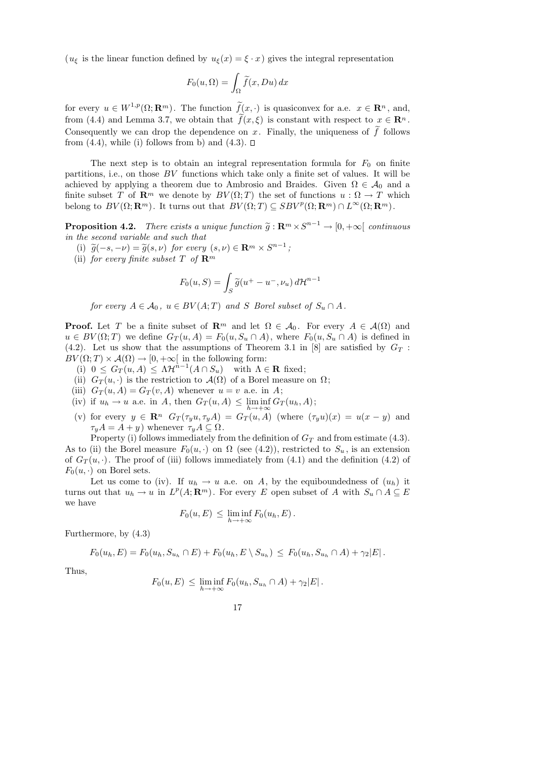( $u_{\xi}$  is the linear function defined by  $u_{\xi}(x) = \xi \cdot x$ ) gives the integral representation

$$
F_0(u,\Omega) = \int_{\Omega} \widetilde{f}(x, Du) \, dx
$$

for every  $u \in W^{1,p}(\Omega; \mathbf{R}^m)$ . The function  $\widetilde{f}(x, \cdot)$  is quasiconvex for a.e.  $x \in \mathbf{R}^n$ , and, from (4.4) and Lemma 3.7, we obtain that  $f(x,\xi)$  is constant with respect to  $x \in \mathbb{R}^n$ . Consequently we can drop the dependence on x. Finally, the uniqueness of f follows from  $(4.4)$ , while (i) follows from b) and  $(4.3)$ .  $\Box$ 

The next step is to obtain an integral representation formula for  $F_0$  on finite partitions, i.e., on those BV functions which take only a finite set of values. It will be achieved by applying a theorem due to Ambrosio and Braides. Given  $\Omega \in \mathcal{A}_0$  and a finite subset T of  $\mathbf{R}^m$  we denote by  $BV(\Omega; T)$  the set of functions  $u : \Omega \to T$  which belong to  $BV(\Omega; \mathbf{R}^m)$ . It turns out that  $BV(\Omega; T) \subseteq SBV^p(\Omega; \mathbf{R}^m) \cap L^{\infty}(\Omega; \mathbf{R}^m)$ .

**Proposition 4.2.** There exists a unique function  $\tilde{g}: \mathbb{R}^m \times S^{n-1} \to [0, +\infty[$  continuous<br>in the second variable and such that in the second variable and such that

- (i)  $\widetilde{g}(-s, -\nu) = \widetilde{g}(s, \nu)$  for every  $(s, \nu) \in \mathbf{R}^m \times S^{n-1}$ ;<br>(ii) for every finite system  $T$  of  $\mathbf{R}^m$ 
	- (ii) for every finite subset T of  $\mathbf{R}^m$

$$
F_0(u, S) = \int_S \widetilde{g}(u^+ - u^-, \nu_u) d\mathcal{H}^{n-1}
$$

for every  $A \in \mathcal{A}_0$ ,  $u \in BV(A;T)$  and S Borel subset of  $S_u \cap A$ .

**Proof.** Let T be a finite subset of  $\mathbb{R}^m$  and let  $\Omega \in \mathcal{A}_0$ . For every  $A \in \mathcal{A}(\Omega)$  and  $u \in BV(\Omega; T)$  we define  $G_T(u, A) = F_0(u, S_u \cap A)$ , where  $F_0(u, S_u \cap A)$  is defined in (4.2). Let us show that the assumptions of Theorem 3.1 in [8] are satisfied by  $G_T$ :  $BV(\Omega; T) \times \mathcal{A}(\Omega) \to [0, +\infty]$  in the following form:

- (i)  $0 \leq G_T(u, A) \leq \Lambda \mathcal{H}^{n-1}(A \cap S_u)$  with  $\Lambda \in \mathbf{R}$  fixed;
- (ii)  $G_T(u, \cdot)$  is the restriction to  $\mathcal{A}(\Omega)$  of a Borel measure on  $\Omega$ ;
- (iii)  $G_T(u, A) = G_T(v, A)$  whenever  $u = v$  a.e. in A;
- (iv) if  $u_h \to u$  a.e. in A, then  $G_T(u, A) \leq \liminf_{h \to +\infty} G_T(u_h, A)$ ;
- (v) for every  $y \in \mathbb{R}^n$   $G_T(\tau_y u, \tau_y A) = G_T(u, A)$  (where  $(\tau_y u)(x) = u(x y)$  and  $\tau_y A = A + y$ ) whenever  $\tau_y A \subseteq \Omega$ .

Property (i) follows immediately from the definition of  $G_T$  and from estimate (4.3).

As to (ii) the Borel measure  $F_0(u, \cdot)$  on  $\Omega$  (see (4.2)), restricted to  $S_u$ , is an extension of  $G_T(u, \cdot)$ . The proof of (iii) follows immediately from (4.1) and the definition (4.2) of  $F_0(u, \cdot)$  on Borel sets.

Let us come to (iv). If  $u_h \to u$  a.e. on A, by the equiboundedness of  $(u_h)$  it turns out that  $u_h \to u$  in  $L^p(A; \mathbf{R}^m)$ . For every E open subset of A with  $S_u \cap A \subseteq E$ we have

$$
F_0(u, E) \leq \liminf_{h \to +\infty} F_0(u_h, E).
$$

Furthermore, by (4.3)

$$
F_0(u_h, E) = F_0(u_h, S_{u_h} \cap E) + F_0(u_h, E \setminus S_{u_h}) \leq F_0(u_h, S_{u_h} \cap A) + \gamma_2 |E|.
$$

Thus,

$$
F_0(u, E) \leq \liminf_{h \to +\infty} F_0(u_h, S_{u_h} \cap A) + \gamma_2 |E|.
$$

17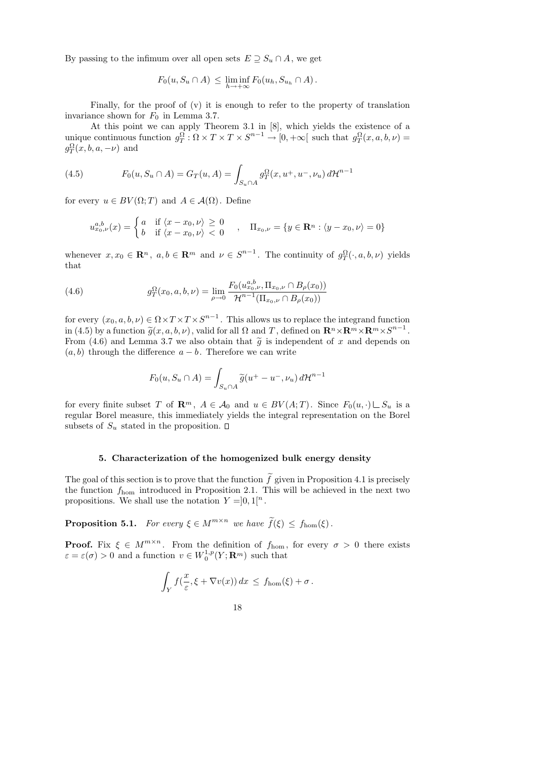By passing to the infimum over all open sets  $E \supseteq S_u \cap A$ , we get

$$
F_0(u, S_u \cap A) \leq \liminf_{h \to +\infty} F_0(u_h, S_{u_h} \cap A).
$$

Finally, for the proof of (v) it is enough to refer to the property of translation invariance shown for  $F_0$  in Lemma 3.7.

At this point we can apply Theorem 3.1 in [8], which yields the existence of a unique continuous function  $g_T^{\Omega} : \Omega \times T \times T \times S^{n-1} \to [0, +\infty[$  such that  $g_T^{\Omega}(x, a, b, \nu) =$  $g_T^{\Omega}(x, b, a, -\nu)$  and

(4.5) 
$$
F_0(u, S_u \cap A) = G_T(u, A) = \int_{S_u \cap A} g_T^{\Omega}(x, u^+, u^-, \nu_u) d\mathcal{H}^{n-1}
$$

for every  $u \in BV(\Omega; T)$  and  $A \in \mathcal{A}(\Omega)$ . Define

$$
u_{x_0,\nu}^{a,b}(x) = \begin{cases} a & \text{if } \langle x - x_0, \nu \rangle \ge 0 \\ b & \text{if } \langle x - x_0, \nu \rangle < 0 \end{cases}, \quad \Pi_{x_0,\nu} = \{ y \in \mathbf{R}^n : \langle y - x_0, \nu \rangle = 0 \}
$$

whenever  $x, x_0 \in \mathbb{R}^n$ ,  $a, b \in \mathbb{R}^m$  and  $\nu \in S^{n-1}$ . The continuity of  $g_T^{\Omega}(\cdot, a, b, \nu)$  yields that

(4.6) 
$$
g_T^{\Omega}(x_0, a, b, \nu) = \lim_{\rho \to 0} \frac{F_0(u_{x_0, \nu}^{a, b}, \Pi_{x_0, \nu} \cap B_{\rho}(x_0))}{\mathcal{H}^{n-1}(\Pi_{x_0, \nu} \cap B_{\rho}(x_0))}
$$

for every  $(x_0, a, b, \nu) \in \Omega \times T \times T \times S^{n-1}$ . This allows us to replace the integrand function in (4.5) by a function  $\tilde{g}(x, a, b, \nu)$ , valid for all  $\Omega$  and T, defined on  $\mathbf{R}^n \times \mathbf{R}^m \times \mathbf{R}^m \times S^{n-1}$ .<br>From (4.6) and Lemma 3.7 we also obtain that  $\tilde{g}$  is independent of x and depends on From (4.6) and Lemma 3.7 we also obtain that  $\tilde{g}$  is independent of x and depends on  $(a, b)$  through the difference  $a - b$ . Therefore we can write

$$
F_0(u, S_u \cap A) = \int_{S_u \cap A} \widetilde{g}(u^+ - u^-, \nu_u) d\mathcal{H}^{n-1}
$$

for every finite subset T of  $\mathbf{R}^m$ ,  $A \in \mathcal{A}_0$  and  $u \in BV(A;T)$ . Since  $F_0(u, \cdot) \cup S_u$  is a regular Borel measure, this immediately yields the integral representation on the Borel subsets of  $S_u$  stated in the proposition.  $\square$ 

# 5. Characterization of the homogenized bulk energy density

The goal of this section is to prove that the function  $f$  given in Proposition 4.1 is precisely the function  $f_{\text{hom}}$  introduced in Proposition 2.1. This will be achieved in the next two propositions. We shall use the notation  $Y = ]0,1[^n$ .

**Proposition 5.1.** For every  $\xi \in M^{m \times n}$  we have  $\widetilde{f}(\xi) \leq f_{\text{hom}}(\xi)$ .

**Proof.** Fix  $\xi \in M^{m \times n}$ . From the definition of  $f_{\text{hom}}$ , for every  $\sigma > 0$  there exists  $\varepsilon = \varepsilon(\sigma) > 0$  and a function  $v \in W_0^{1,p}$  $_{0}^{1,p}(Y;\mathbf{R}^m)$  such that

$$
\int_Y f(\frac{x}{\varepsilon}, \xi + \nabla v(x)) dx \le f_{\text{hom}}(\xi) + \sigma.
$$

18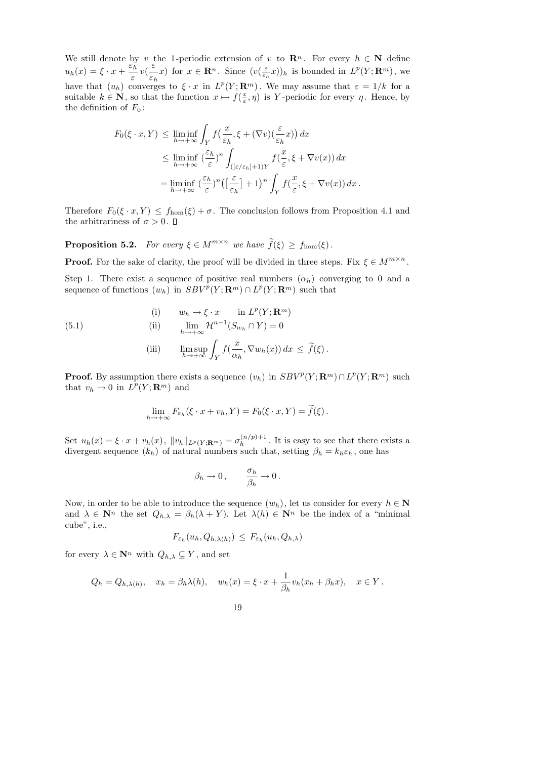We still denote by v the 1-periodic extension of v to  $\mathbb{R}^n$ . For every  $h \in \mathbb{N}$  define  $u_h(x) = \xi \cdot x + \frac{\varepsilon_h}{\varepsilon_h}$ ε  $v($ ε  $\varepsilon_h$ x) for  $x \in \mathbf{R}^n$ . Since  $(v(\frac{\varepsilon}{\varepsilon})$  $(\frac{\varepsilon}{\varepsilon_h}x))_h$  is bounded in  $L^p(Y; \mathbf{R}^m)$ , we have that  $(u_h)$  converges to  $\xi \cdot x$  in  $L^p(Y; \mathbf{R}^m)$ . We may assume that  $\varepsilon = 1/k$  for a suitable  $k \in \mathbb{N}$ , so that the function  $x \mapsto f(\frac{x}{\varepsilon})$  $(\frac{x}{\varepsilon}, \eta)$  is Y-periodic for every  $\eta$ . Hence, by the definition of  $F_0$ :

$$
F_0(\xi \cdot x, Y) \le \liminf_{h \to +\infty} \int_Y f\left(\frac{x}{\varepsilon_h}, \xi + (\nabla v)\left(\frac{\varepsilon}{\varepsilon_h}x\right)\right) dx
$$
  

$$
\le \liminf_{h \to +\infty} \left(\frac{\varepsilon_h}{\varepsilon}\right)^n \int_{\left([\varepsilon/\varepsilon_h]+1\right)Y} f\left(\frac{x}{\varepsilon}, \xi + \nabla v(x)\right) dx
$$
  

$$
= \liminf_{h \to +\infty} \left(\frac{\varepsilon_h}{\varepsilon}\right)^n \left(\left[\frac{\varepsilon}{\varepsilon_h}\right] + 1\right)^n \int_Y f\left(\frac{x}{\varepsilon}, \xi + \nabla v(x)\right) dx.
$$

Therefore  $F_0(\xi \cdot x, Y) \le f_{\text{hom}}(\xi) + \sigma$ . The conclusion follows from Proposition 4.1 and the arbitrariness of  $\sigma > 0$ .  $\Box$ 

**Proposition 5.2.** For every  $\xi \in M^{m \times n}$  we have  $\widetilde{f}(\xi) \ge f_{\text{hom}}(\xi)$ .

**Proof.** For the sake of clarity, the proof will be divided in three steps. Fix  $\xi \in M^{m \times n}$ .

Step 1. There exist a sequence of positive real numbers  $(\alpha_h)$  converging to 0 and a sequence of functions  $(w_h)$  in  $SBV^p(Y; \mathbf{R}^m) \cap L^p(Y; \mathbf{R}^m)$  such that

(5.1) (i) 
$$
w_h \to \xi \cdot x \quad \text{in } L^p(Y; \mathbf{R}^m)
$$

$$
\text{(ii)} \quad \lim_{h \to +\infty} \mathcal{H}^{n-1}(S_{w_h} \cap Y) = 0
$$

(iii) 
$$
\limsup_{h \to +\infty} \int_Y f(\frac{x}{\alpha_h}, \nabla w_h(x)) dx \leq \tilde{f}(\xi).
$$

**Proof.** By assumption there exists a sequence  $(v_h)$  in  $SBV^p(Y; \mathbf{R}^m) \cap L^p(Y; \mathbf{R}^m)$  such that  $v_h \to 0$  in  $L^p(Y; \mathbf{R}^m)$  and

$$
\lim_{h \to +\infty} F_{\varepsilon_h}(\xi \cdot x + v_h, Y) = F_0(\xi \cdot x, Y) = \widetilde{f}(\xi).
$$

Set  $u_h(x) = \xi \cdot x + v_h(x)$ ,  $||v_h||_{L^p(Y; \mathbf{R}^m)} = \sigma_h^{(n/p)+1}$  $\int_{h}^{(n/p)+1}$ . It is easy to see that there exists a divergent sequence  $(k_h)$  of natural numbers such that, setting  $\beta_h = k_h \varepsilon_h$ , one has

$$
\beta_h \to 0\,, \qquad \frac{\sigma_h}{\beta_h} \to 0\,.
$$

Now, in order to be able to introduce the sequence  $(w_h)$ , let us consider for every  $h \in \mathbb{N}$ and  $\lambda \in \mathbb{N}^n$  the set  $Q_{h,\lambda} = \beta_h(\lambda + Y)$ . Let  $\lambda(h) \in \mathbb{N}^n$  be the index of a "minimal" cube", i.e.,

$$
F_{\varepsilon_h}(u_h, Q_{h,\lambda(h)}) \leq F_{\varepsilon_h}(u_h, Q_{h,\lambda})
$$

for every  $\lambda \in \mathbf{N}^n$  with  $Q_{h,\lambda} \subseteq Y$ , and set

$$
Q_h = Q_{h,\lambda(h)},
$$
  $x_h = \beta_h \lambda(h),$   $w_h(x) = \xi \cdot x + \frac{1}{\beta_h} v_h(x_h + \beta_h x),$   $x \in Y.$ 

$$
19\quad
$$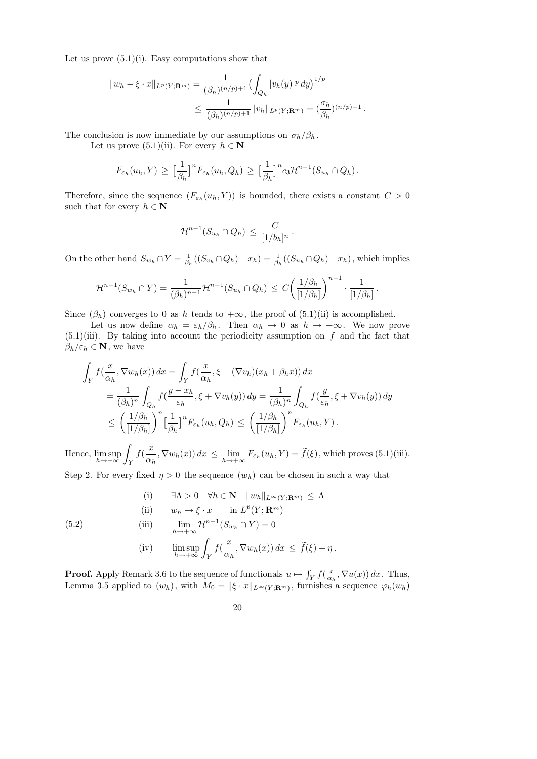Let us prove  $(5.1)(i)$ . Easy computations show that

$$
||w_h - \xi \cdot x||_{L^p(Y; \mathbf{R}^m)} = \frac{1}{(\beta_h)^{(n/p)+1}} \left( \int_{Q_h} |v_h(y)|^p \, dy \right)^{1/p}
$$
  
 
$$
\leq \frac{1}{(\beta_h)^{(n/p)+1}} ||v_h||_{L^p(Y; \mathbf{R}^m)} = \left( \frac{\sigma_h}{\beta_h} \right)^{(n/p)+1}.
$$

The conclusion is now immediate by our assumptions on  $\sigma_h/\beta_h$ .

Let us prove  $(5.1)(ii)$ . For every  $h \in \mathbb{N}$ 

$$
F_{\varepsilon_h}(u_h, Y) \geq \left[\frac{1}{\beta_h}\right]^n F_{\varepsilon_h}(u_h, Q_h) \geq \left[\frac{1}{\beta_h}\right]^n c_3 \mathcal{H}^{n-1}(S_{u_h} \cap Q_h).
$$

Therefore, since the sequence  $(F_{\varepsilon_h}(u_h, Y))$  is bounded, there exists a constant  $C > 0$ such that for every  $h \in \mathbb{N}$ 

$$
\mathcal{H}^{n-1}(S_{u_h} \cap Q_h) \, \leq \, \frac{C}{[1/b_h]^n} \, .
$$

On the other hand  $S_{w_h} \cap Y = \frac{1}{\beta_h}$  $\frac{1}{\beta_h}((S_{v_h} \cap Q_h) - x_h) = \frac{1}{\beta_h}((S_{u_h} \cap Q_h) - x_h)$ , which implies

$$
\mathcal{H}^{n-1}(S_{w_h} \cap Y) = \frac{1}{(\beta_h)^{n-1}} \mathcal{H}^{n-1}(S_{u_h} \cap Q_h) \leq C \left( \frac{1/\beta_h}{[1/\beta_h]} \right)^{n-1} \cdot \frac{1}{[1/\beta_h]}.
$$

Since  $(\beta_h)$  converges to 0 as h tends to  $+\infty$ , the proof of  $(5.1)(ii)$  is accomplished.

Let us now define  $\alpha_h = \varepsilon_h/\beta_h$ . Then  $\alpha_h \to 0$  as  $h \to +\infty$ . We now prove  $(5.1)(iii)$ . By taking into account the periodicity assumption on f and the fact that  $\beta_h/\varepsilon_h \in \mathbf{N}$ , we have

$$
\int_{Y} f\left(\frac{x}{\alpha_{h}}, \nabla w_{h}(x)\right) dx = \int_{Y} f\left(\frac{x}{\alpha_{h}}, \xi + (\nabla v_{h})(x_{h} + \beta_{h}x)\right) dx
$$
\n
$$
= \frac{1}{(\beta_{h})^{n}} \int_{Q_{h}} f\left(\frac{y - x_{h}}{\varepsilon_{h}}, \xi + \nabla v_{h}(y)\right) dy = \frac{1}{(\beta_{h})^{n}} \int_{Q_{h}} f\left(\frac{y}{\varepsilon_{h}}, \xi + \nabla v_{h}(y)\right) dy
$$
\n
$$
\leq \left(\frac{1/\beta_{h}}{[1/\beta_{h}]}\right)^{n} \left[\frac{1}{\beta_{h}}\right]^{n} F_{\varepsilon_{h}}(u_{h}, Q_{h}) \leq \left(\frac{1/\beta_{h}}{[1/\beta_{h}]}\right)^{n} F_{\varepsilon_{h}}(u_{h}, Y).
$$

Hence,  $\limsup_{h\to+\infty}$ Z Y  $f($  $\boldsymbol{x}$  $\alpha_h$  $,\nabla w_h(x)) dx \leq \lim_{h \to +\infty} F_{\varepsilon_h}(u_h, Y) = f(\xi),$  which proves (5.1)(iii).

Step 2. For every fixed  $\eta > 0$  the sequence  $(w_h)$  can be chosen in such a way that

(i) 
$$
\exists \Lambda > 0 \quad \forall h \in \mathbf{N} \quad ||w_h||_{L^{\infty}(Y; \mathbf{R}^m)} \leq \Lambda
$$
  
\n(ii)  $w_h \to \xi \cdot x$  in  $L^p(Y; \mathbf{R}^m)$   
\n(iii)  $\lim_{h \to +\infty} \mathcal{H}^{n-1}(S_{w_h} \cap Y) = 0$   
\n(iv)  $\limsup_{h \to +\infty} \int_Y f(\frac{x}{\alpha_h}, \nabla w_h(x)) dx \leq \tilde{f}(\xi) + \eta$ .

(5.2)

**Proof.** Apply Remark 3.6 to the sequence of functionals  $u \mapsto \int_Y f(\frac{x}{\alpha_i})$  $\frac{x}{\alpha_h}, \nabla u(x)$  dx. Thus, Lemma 3.5 applied to  $(w_h)$ , with  $M_0 = ||\xi \cdot x||_{L^\infty(Y; \mathbf{R}^m)}$ , furnishes a sequence  $\varphi_h(w_h)$ 

$$
20\quad
$$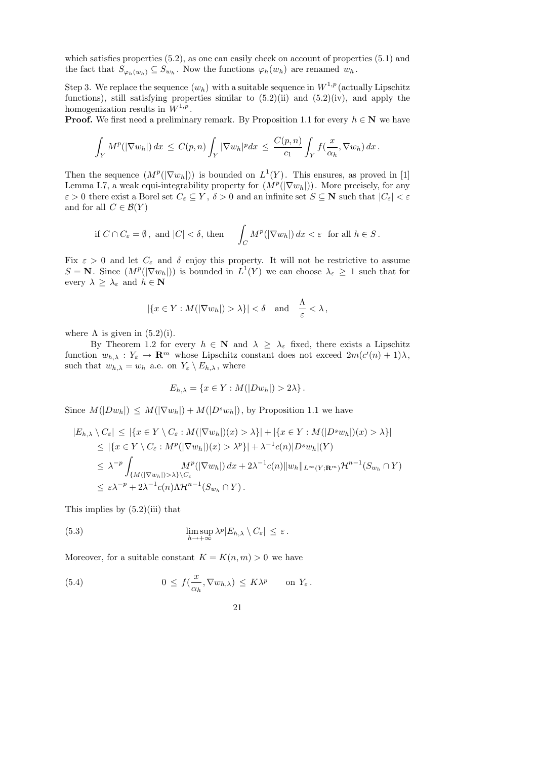which satisfies properties  $(5.2)$ , as one can easily check on account of properties  $(5.1)$  and the fact that  $S_{\varphi_h(w_h)} \subseteq S_{w_h}$ . Now the functions  $\varphi_h(w_h)$  are renamed  $w_h$ .

Step 3. We replace the sequence  $(w_h)$  with a suitable sequence in  $W^{1,p}$  (actually Lipschitz functions), still satisfying properties similar to  $(5.2)(ii)$  and  $(5.2)(iv)$ , and apply the homogenization results in  $W^{1,p}$ .

**Proof.** We first need a preliminary remark. By Proposition 1.1 for every  $h \in \mathbb{N}$  we have

$$
\int_Y M^p(|\nabla w_h|) dx \leq C(p,n) \int_Y |\nabla w_h|^p dx \leq \frac{C(p,n)}{c_1} \int_Y f(\frac{x}{\alpha_h}, \nabla w_h) dx.
$$

Then the sequence  $(M^p(|\nabla w_h|))$  is bounded on  $L^1(Y)$ . This ensures, as proved in [1] Lemma I.7, a weak equi-integrability property for  $(M^p(|\nabla w_h|))$ . More precisely, for any  $\varepsilon > 0$  there exist a Borel set  $C_{\varepsilon} \subseteq Y$ ,  $\delta > 0$  and an infinite set  $S \subseteq \mathbb{N}$  such that  $|C_{\varepsilon}| < \varepsilon$ and for all  $C \in \mathcal{B}(Y)$ 

if 
$$
C \cap C_{\varepsilon} = \emptyset
$$
, and  $|C| < \delta$ , then  $\int_{C} M^{p}(|\nabla w_{h}|) dx < \varepsilon$  for all  $h \in S$ .

Fix  $\varepsilon > 0$  and let  $C_{\varepsilon}$  and  $\delta$  enjoy this property. It will not be restrictive to assume  $S = \mathbf{N}$ . Since  $(M^p(|\nabla w_h|))$  is bounded in  $L^1(Y)$  we can choose  $\lambda_{\varepsilon} \geq 1$  such that for every  $\lambda \geq \lambda_{\varepsilon}$  and  $h \in \mathbb{N}$ 

$$
|\{x \in Y : M(|\nabla w_h|) > \lambda\}| < \delta \text{ and } \frac{\Lambda}{\varepsilon} < \lambda,
$$

where  $\Lambda$  is given in  $(5.2)(i)$ .

By Theorem 1.2 for every  $h \in \mathbb{N}$  and  $\lambda \geq \lambda_{\varepsilon}$  fixed, there exists a Lipschitz function  $w_{h,\lambda}: Y_{\varepsilon} \to \mathbf{R}^m$  whose Lipschitz constant does not exceed  $2m(c'(n) + 1)\lambda$ , such that  $w_{h,\lambda} = w_h$  a.e. on  $Y_{\varepsilon} \setminus E_{h,\lambda}$ , where

$$
E_{h,\lambda} = \{x \in Y : M(|Dw_h|) > 2\lambda\}.
$$

Since  $M(|Dw_h|) \leq M(|\nabla w_h|) + M(|D^s w_h|)$ , by Proposition 1.1 we have

$$
|E_{h,\lambda} \setminus C_{\varepsilon}| \leq |\{x \in Y \setminus C_{\varepsilon} : M(|\nabla w_h|)(x) > \lambda\}| + |\{x \in Y : M(|D^s w_h|)(x) > \lambda\}|
$$
  
\n
$$
\leq |\{x \in Y \setminus C_{\varepsilon} : M^p(|\nabla w_h|)(x) > \lambda^p\}| + \lambda^{-1} c(n)|D^s w_h|(Y)
$$
  
\n
$$
\leq \lambda^{-p} \int_{\{M(|\nabla w_h|) > \lambda\} \setminus C_{\varepsilon}} M^p(|\nabla w_h|) dx + 2\lambda^{-1} c(n) \|w_h\|_{L^{\infty}(Y; \mathbf{R}^m)} \mathcal{H}^{n-1}(S_{w_h} \cap Y)
$$
  
\n
$$
\leq \varepsilon \lambda^{-p} + 2\lambda^{-1} c(n) \Lambda \mathcal{H}^{n-1}(S_{w_h} \cap Y).
$$

This implies by  $(5.2)(iii)$  that

(5.3) 
$$
\limsup_{h \to +\infty} \lambda^p |E_{h,\lambda} \setminus C_{\varepsilon}| \leq \varepsilon.
$$

Moreover, for a suitable constant  $K = K(n, m) > 0$  we have

(5.4) 
$$
0 \leq f(\frac{x}{\alpha_h}, \nabla w_{h,\lambda}) \leq K\lambda^p \quad \text{on } Y_{\varepsilon}.
$$

21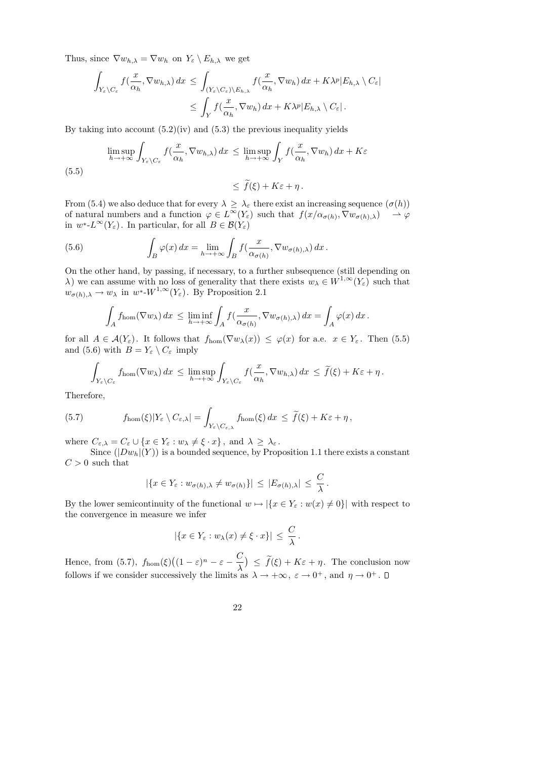Thus, since  $\nabla w_{h,\lambda} = \nabla w_h$  on  $Y_{\varepsilon} \setminus E_{h,\lambda}$  we get

$$
\int_{Y_{\varepsilon}\backslash C_{\varepsilon}} f\left(\frac{x}{\alpha_{h}}, \nabla w_{h,\lambda}\right) dx \leq \int_{(Y_{\varepsilon}\backslash C_{\varepsilon})\backslash E_{h,\lambda}} f\left(\frac{x}{\alpha_{h}}, \nabla w_{h}\right) dx + K\lambda^{p} |E_{h,\lambda}\setminus C_{\varepsilon}|
$$
\n
$$
\leq \int_{Y} f\left(\frac{x}{\alpha_{h}}, \nabla w_{h}\right) dx + K\lambda^{p} |E_{h,\lambda}\setminus C_{\varepsilon}|.
$$

By taking into account  $(5.2)(iv)$  and  $(5.3)$  the previous inequality yields

$$
\limsup_{h \to +\infty} \int_{Y_{\varepsilon} \setminus C_{\varepsilon}} f(\frac{x}{\alpha_h}, \nabla w_{h,\lambda}) dx \le \limsup_{h \to +\infty} \int_Y f(\frac{x}{\alpha_h}, \nabla w_h) dx + K\varepsilon
$$
\n(5.5)\n
$$
\le \tilde{f}(\xi) + K\varepsilon + \eta.
$$

From (5.4) we also deduce that for every  $\lambda \geq \lambda_{\varepsilon}$  there exist an increasing sequence  $(\sigma(h))$ of natural numbers and a function  $\varphi \in L^{\infty}(Y_{\varepsilon})$  such that  $f(x/\alpha_{\sigma(h)}, \nabla w_{\sigma(h),\lambda}) \longrightarrow \varphi$ in  $w^*$ - $L^{\infty}(Y_{\varepsilon})$ . In particular, for all  $B \in \mathcal{B}(Y_{\varepsilon})$ 

(5.6) 
$$
\int_B \varphi(x) dx = \lim_{h \to +\infty} \int_B f(\frac{x}{\alpha_{\sigma(h)}}, \nabla w_{\sigma(h),\lambda}) dx.
$$

On the other hand, by passing, if necessary, to a further subsequence (still depending on  $\lambda$ ) we can assume with no loss of generality that there exists  $w_{\lambda} \in W^{1,\infty}(Y_{\varepsilon})$  such that  $w_{\sigma(h),\lambda} \to w_{\lambda}$  in  $w^*$ - $W^{1,\infty}(Y_{\varepsilon})$ . By Proposition 2.1

$$
\int_A f_{\text{hom}}(\nabla w_\lambda) dx \le \liminf_{h \to +\infty} \int_A f(\frac{x}{\alpha_{\sigma(h)}}, \nabla w_{\sigma(h),\lambda}) dx = \int_A \varphi(x) dx.
$$

for all  $A \in \mathcal{A}(Y_{\varepsilon})$ . It follows that  $f_{\text{hom}}(\nabla w_{\lambda}(x)) \leq \varphi(x)$  for a.e.  $x \in Y_{\varepsilon}$ . Then (5.5) and (5.6) with  $B = Y_{\varepsilon} \setminus C_{\varepsilon}$  imply

$$
\int_{Y_{\varepsilon}\setminus C_{\varepsilon}} f_{\rm hom}(\nabla w_{\lambda}) dx \leq \limsup_{h\to+\infty} \int_{Y_{\varepsilon}\setminus C_{\varepsilon}} f(\frac{x}{\alpha_h}, \nabla w_{h,\lambda}) dx \leq \tilde{f}(\xi) + K\varepsilon + \eta.
$$

Therefore,

(5.7) 
$$
f_{\text{hom}}(\xi)|Y_{\varepsilon}\setminus C_{\varepsilon,\lambda}|=\int_{Y_{\varepsilon}\setminus C_{\varepsilon,\lambda}}f_{\text{hom}}(\xi)\,dx\,\leq\,\widetilde{f}(\xi)+K\varepsilon+\eta\,,
$$

where  $C_{\varepsilon,\lambda} = C_{\varepsilon} \cup \{x \in Y_{\varepsilon} : w_{\lambda} \neq \xi \cdot x\}$ , and  $\lambda \geq \lambda_{\varepsilon}$ .

Since  $(|Dw_h|(Y))$  is a bounded sequence, by Proposition 1.1 there exists a constant  $C > 0$  such that

$$
|\{x \in Y_{\varepsilon} : w_{\sigma(h),\lambda} \neq w_{\sigma(h)}\}| \leq |E_{\sigma(h),\lambda}| \leq \frac{C}{\lambda}.
$$

By the lower semicontinuity of the functional  $w \mapsto |\{x \in Y_{\varepsilon} : w(x) \neq 0\}|$  with respect to the convergence in measure we infer

$$
|\{x \in Y_{\varepsilon} : w_{\lambda}(x) \neq \xi \cdot x\}| \leq \frac{C}{\lambda}.
$$

Hence, from (5.7),  $f_{\text{hom}}(\xi)((1-\varepsilon)^n-\varepsilon-\frac{C}{\lambda})$ λ  $\big) \leq f(\xi) + K\varepsilon + \eta$ . The conclusion now follows if we consider successively the limits as  $\lambda \to +\infty$ ,  $\varepsilon \to 0^+$ , and  $\eta \to 0^+$ .

22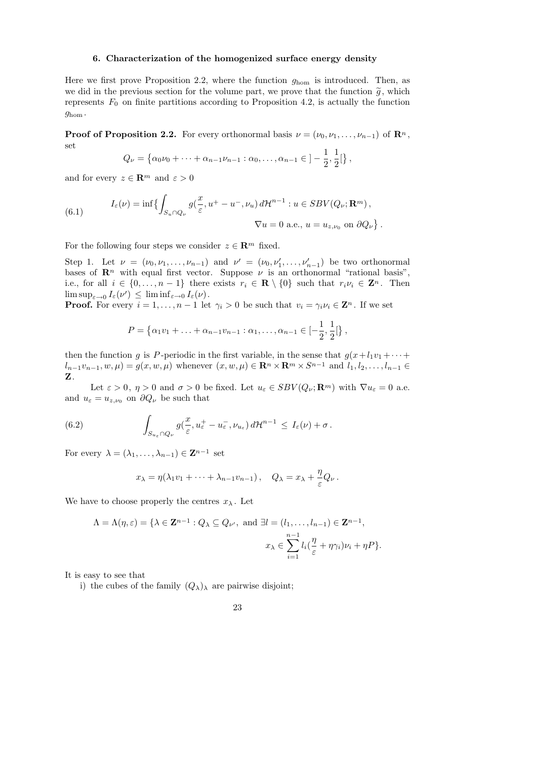## 6. Characterization of the homogenized surface energy density

Here we first prove Proposition 2.2, where the function  $g_{\text{hom}}$  is introduced. Then, as we did in the previous section for the volume part, we prove that the function  $\tilde{g}$ , which represents  $F_0$  on finite partitions according to Proposition 4.2, is actually the function ghom .

**Proof of Proposition 2.2.** For every orthonormal basis  $\nu = (\nu_0, \nu_1, \dots, \nu_{n-1})$  of  $\mathbb{R}^n$ , set

$$
Q_{\nu} = \left\{ \alpha_0 \nu_0 + \dots + \alpha_{n-1} \nu_{n-1} : \alpha_0, \dots, \alpha_{n-1} \in \,] - \frac{1}{2}, \frac{1}{2} [ \right\},\,
$$

and for every  $z \in \mathbb{R}^m$  and  $\varepsilon > 0$ 

(6.1) 
$$
I_{\varepsilon}(\nu) = \inf \left\{ \int_{S_u \cap Q_{\nu}} g(\frac{x}{\varepsilon}, u^+ - u^-, \nu_u) d\mathcal{H}^{n-1} : u \in SBV(Q_{\nu}; \mathbf{R}^m), \nabla u = 0 \text{ a.e., } u = u_{z, \nu_0} \text{ on } \partial Q_{\nu} \right\}.
$$

For the following four steps we consider  $z \in \mathbb{R}^m$  fixed.

Step 1. Let  $\nu = (\nu_0, \nu_1, \dots, \nu_{n-1})$  and  $\nu' = (\nu_0, \nu'_1, \dots, \nu'_{n-1})$  be two orthonormal bases of  $\mathbb{R}^n$  with equal first vector. Suppose  $\nu$  is an orthonormal "rational basis", i.e., for all  $i \in \{0, ..., n-1\}$  there exists  $r_i \in \mathbf{R} \setminus \{0\}$  such that  $r_i \nu_i \in \mathbf{Z}^n$ . Then  $\limsup_{\varepsilon\to 0} I_{\varepsilon}(\nu') \leq \liminf_{\varepsilon\to 0} I_{\varepsilon}(\nu).$ 

**Proof.** For every  $i = 1, ..., n - 1$  let  $\gamma_i > 0$  be such that  $v_i = \gamma_i v_i \in \mathbb{Z}^n$ . If we set

$$
P = \{ \alpha_1 v_1 + \ldots + \alpha_{n-1} v_{n-1} : \alpha_1, \ldots, \alpha_{n-1} \in [-\frac{1}{2}, \frac{1}{2}[\},\
$$

then the function g is P-periodic in the first variable, in the sense that  $g(x+l_1v_1 + \cdots +$  $l_{n-1}v_{n-1}, w, \mu$  =  $g(x, w, \mu)$  whenever  $(x, w, \mu) \in \mathbb{R}^n \times \mathbb{R}^m \times S^{n-1}$  and  $l_1, l_2, \ldots, l_{n-1} \in$ Z.

Let  $\varepsilon > 0$ ,  $\eta > 0$  and  $\sigma > 0$  be fixed. Let  $u_{\varepsilon} \in SBV(Q_{\nu}; \mathbf{R}^m)$  with  $\nabla u_{\varepsilon} = 0$  a.e. and  $u_{\varepsilon} = u_{z,\nu_0}$  on  $\partial Q_{\nu}$  be such that

(6.2) 
$$
\int_{S_{u_{\varepsilon}} \cap Q_{\nu}} g(\frac{x}{\varepsilon}, u_{\varepsilon}^+ - u_{\varepsilon}^-, \nu_{u_{\varepsilon}}) d\mathcal{H}^{n-1} \leq I_{\varepsilon}(\nu) + \sigma.
$$

For every  $\lambda = (\lambda_1, \ldots, \lambda_{n-1}) \in \mathbb{Z}^{n-1}$  set

$$
x_{\lambda} = \eta(\lambda_1 v_1 + \dots + \lambda_{n-1} v_{n-1}), \quad Q_{\lambda} = x_{\lambda} + \frac{\eta}{\varepsilon} Q_{\nu}.
$$

We have to choose properly the centres  $x_{\lambda}$ . Let

$$
\Lambda = \Lambda(\eta, \varepsilon) = \{ \lambda \in \mathbf{Z}^{n-1} : Q_{\lambda} \subseteq Q_{\nu'}, \text{ and } \exists l = (l_1, \dots, l_{n-1}) \in \mathbf{Z}^{n-1},
$$

$$
x_{\lambda} \in \sum_{i=1}^{n-1} l_i \left( \frac{\eta}{\varepsilon} + \eta \gamma_i \right) \nu_i + \eta P \}.
$$

It is easy to see that

i) the cubes of the family  $(Q_{\lambda})_{\lambda}$  are pairwise disjoint;

23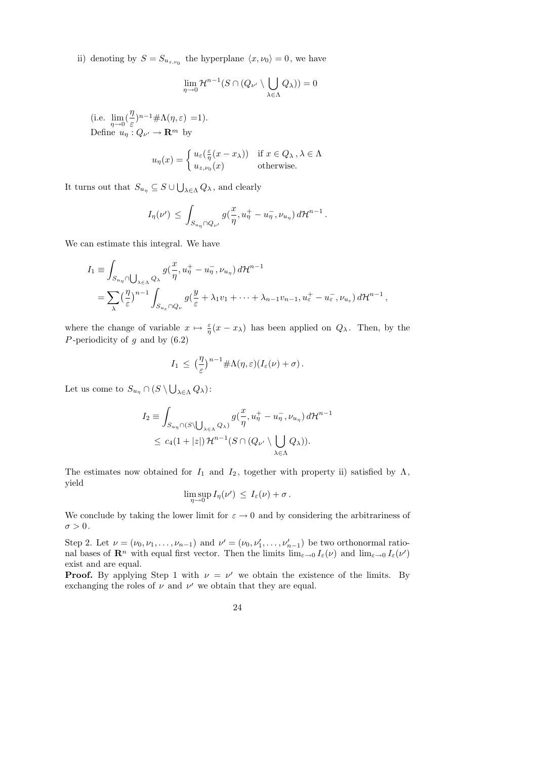ii) denoting by  $S = S_{u_{z,\nu_0}}$  the hyperplane  $\langle x, \nu_0 \rangle = 0$ , we have

$$
\lim_{\eta \to 0} \mathcal{H}^{n-1}(S \cap (Q_{\nu'} \setminus \bigcup_{\lambda \in \Lambda} Q_{\lambda})) = 0
$$

(i.e.  $\lim_{\eta \to 0}$ ) η ε  $)^{n-1} \# \Lambda(\eta, \varepsilon) = 1$ . Define  $u_{\eta}: Q_{\nu'} \to \mathbf{R}^m$  by

$$
u_{\eta}(x) = \begin{cases} u_{\varepsilon}(\frac{\varepsilon}{\eta}(x - x_{\lambda})) & \text{if } x \in Q_{\lambda}, \lambda \in \Lambda \\ u_{z, \nu_0}(x) & \text{otherwise.} \end{cases}
$$

It turns out that  $S_{u_{\eta}} \subseteq S \cup \bigcup_{\lambda \in \Lambda} Q_{\lambda}$ , and clearly

$$
I_{\eta}(\nu') \leq \int_{S_{u_{\eta}} \cap Q_{\nu'}} g\left(\frac{x}{\eta}, u_{\eta}^+ - u_{\eta}^-, \nu_{u_{\eta}}\right) d\mathcal{H}^{n-1}.
$$

We can estimate this integral. We have

$$
I_1 \equiv \int_{S_{u_\eta} \cap \bigcup_{\lambda \in \Lambda} Q_\lambda} g(\frac{x}{\eta}, u_\eta^+ - u_\eta^-,\nu_{u_\eta}) d\mathcal{H}^{n-1}
$$
  
= 
$$
\sum_{\lambda} \left(\frac{\eta}{\varepsilon}\right)^{n-1} \int_{S_{u_\varepsilon} \cap Q_\nu} g(\frac{y}{\varepsilon} + \lambda_1 v_1 + \dots + \lambda_{n-1} v_{n-1}, u_\varepsilon^+ - u_\varepsilon^-,\nu_{u_\varepsilon}) d\mathcal{H}^{n-1},
$$

where the change of variable  $x \mapsto \frac{\varepsilon}{\eta}(x - x_\lambda)$  has been applied on  $Q_\lambda$ . Then, by the P-periodicity of  $g$  and by  $(6.2)$ 

$$
I_1 \leq \left(\frac{\eta}{\varepsilon}\right)^{n-1} \#\Lambda(\eta,\varepsilon)(I_{\varepsilon}(\nu)+\sigma).
$$

Let us come to  $S_{u_\eta} \cap (S \setminus \bigcup_{\lambda \in \Lambda} Q_{\lambda})$ :

$$
I_2 \equiv \int_{S_{u_\eta} \cap (S \setminus \bigcup_{\lambda \in \Lambda} Q_\lambda)} g(\frac{x}{\eta}, u_\eta^+ - u_\eta^-, \nu_{u_\eta}) d\mathcal{H}^{n-}
$$
  

$$
\leq c_4 (1+|z|) \mathcal{H}^{n-1}(S \cap (Q_{\nu'} \setminus \bigcup_{\lambda \in \Lambda} Q_\lambda)).
$$

n−1

The estimates now obtained for  $I_1$  and  $I_2$ , together with property ii) satisfied by  $\Lambda$ , yield

$$
\limsup_{\eta\to 0} I_{\eta}(\nu') \leq I_{\varepsilon}(\nu) + \sigma.
$$

We conclude by taking the lower limit for  $\varepsilon \to 0$  and by considering the arbitrariness of  $\sigma>0$  .

Step 2. Let  $\nu = (\nu_0, \nu_1, \dots, \nu_{n-1})$  and  $\nu' = (\nu_0, \nu'_1, \dots, \nu'_{n-1})$  be two orthonormal rational bases of  $\mathbf{R}^n$  with equal first vector. Then the limits  $\lim_{\varepsilon\to 0} I_{\varepsilon}(\nu)$  and  $\lim_{\varepsilon\to 0} I_{\varepsilon}(\nu')$ exist and are equal.

**Proof.** By applying Step 1 with  $\nu = \nu'$  we obtain the existence of the limits. By exchanging the roles of  $\nu$  and  $\nu'$  we obtain that they are equal.

24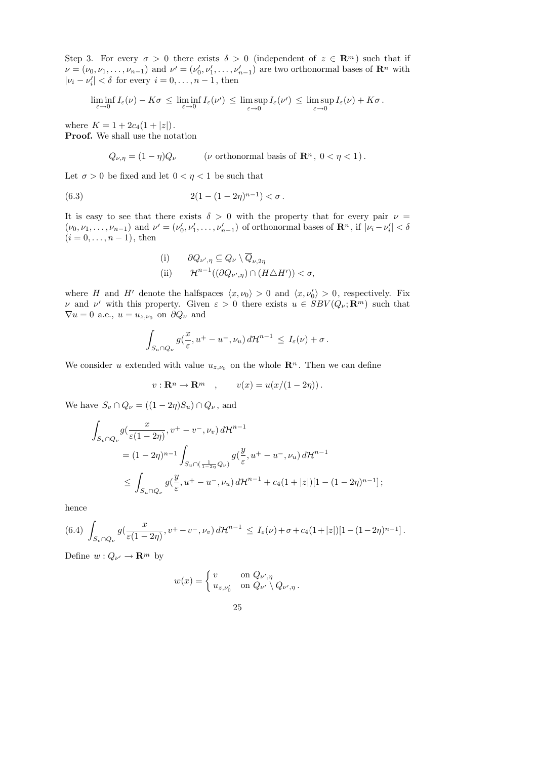Step 3. For every  $\sigma > 0$  there exists  $\delta > 0$  (independent of  $z \in \mathbb{R}^m$ ) such that if  $\nu = (\nu_0, \nu_1, \dots, \nu_{n-1})$  and  $\nu' = (\nu'_0, \nu'_1, \dots, \nu'_{n-1})$  are two orthonormal bases of  $\mathbb{R}^n$  with  $|\nu_i - \nu'_i| < \delta$  for every  $i = 0, \dots, n - 1$ , then

$$
\liminf_{\varepsilon\to 0} I_{\varepsilon}(\nu) - K\sigma \le \liminf_{\varepsilon\to 0} I_{\varepsilon}(\nu') \le \limsup_{\varepsilon\to 0} I_{\varepsilon}(\nu') \le \limsup_{\varepsilon\to 0} I_{\varepsilon}(\nu) + K\sigma.
$$

where  $K = 1 + 2c_4(1 + |z|)$ . Proof. We shall use the notation

 $Q_{\nu,\eta} = (1 - \eta)Q_{\nu}$  (*v* orthonormal basis of  $\mathbb{R}^n$ ,  $0 < \eta < 1$ ).

Let  $\sigma > 0$  be fixed and let  $0 < \eta < 1$  be such that

(6.3) 
$$
2(1 - (1 - 2\eta)^{n-1}) < \sigma.
$$

It is easy to see that there exists  $\delta > 0$  with the property that for every pair  $\nu =$  $(\nu_0, \nu_1, \dots, \nu_{n-1})$  and  $\nu' = (\nu'_0, \nu'_1, \dots, \nu'_{n-1})$  of orthonormal bases of  $\mathbb{R}^n$ , if  $|\nu_i - \nu'_i| < \delta$  $(i = 0, \ldots, n - 1)$ , then

(i) 
$$
\partial Q_{\nu',\eta} \subseteq Q_{\nu} \setminus \overline{Q}_{\nu,2\eta}
$$
  
\n(ii)  $\mathcal{H}^{n-1}((\partial Q_{\nu',\eta}) \cap (H \triangle H')) < \sigma$ ,

where H and H<sup>t</sup> denote the halfspaces  $\langle x, \nu_0 \rangle > 0$  and  $\langle x, \nu'_0 \rangle > 0$ , respectively. Fix v and v' with this property. Given  $\varepsilon > 0$  there exists  $u \in SBV(Q_\nu; \mathbf{R}^m)$  such that  $\nabla u = 0$  a.e.,  $u = u_{z,\nu_0}$  on  $\partial Q_{\nu}$  and

$$
\int_{S_u \cap Q_{\nu}} g(\frac{x}{\varepsilon}, u^+ - u^-, \nu_u) d\mathcal{H}^{n-1} \leq I_{\varepsilon}(\nu) + \sigma.
$$

We consider u extended with value  $u_{z,\nu_0}$  on the whole  $\mathbf{R}^n$ . Then we can define

$$
v: \mathbf{R}^n \to \mathbf{R}^m \quad , \qquad v(x) = u(x/(1-2\eta)) \, .
$$

We have  $S_v \cap Q_v = ((1 - 2\eta)S_u) \cap Q_v$ , and

$$
\int_{S_v \cap Q_{\nu}} g(\frac{x}{\varepsilon(1-2\eta)}, v^+ - v^-, \nu_v) d\mathcal{H}^{n-1}
$$
\n
$$
= (1 - 2\eta)^{n-1} \int_{S_u \cap (\frac{1}{1-2\eta}, Q_{\nu})} g(\frac{y}{\varepsilon}, u^+ - u^-, \nu_u) d\mathcal{H}^{n-1}
$$
\n
$$
\leq \int_{S_u \cap Q_{\nu}} g(\frac{y}{\varepsilon}, u^+ - u^-, \nu_u) d\mathcal{H}^{n-1} + c_4 (1 + |z|)[1 - (1 - 2\eta)^{n-1}];
$$

hence

$$
(6.4) \ \int_{S_v \cap Q_{\nu}} g(\frac{x}{\varepsilon(1-2\eta)}, v^+ - v^-, \nu_v) d\mathcal{H}^{n-1} \leq I_{\varepsilon}(\nu) + \sigma + c_4(1+|z|)[1-(1-2\eta)^{n-1}].
$$

Define  $w: Q_{\nu'} \to \mathbf{R}^m$  by

$$
w(x) = \begin{cases} v & \text{on } Q_{\nu',\eta} \\ u_{z,\nu'_0} & \text{on } Q_{\nu'} \setminus Q_{\nu',\eta} \end{cases}.
$$

25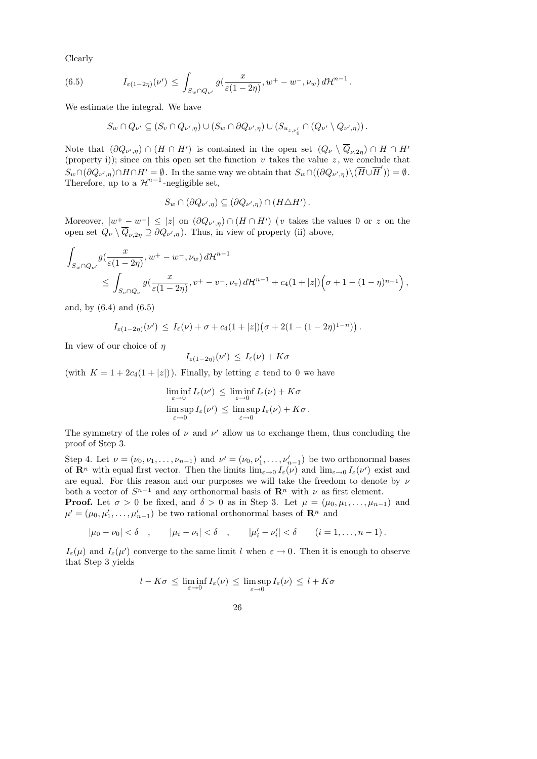Clearly

(6.5) 
$$
I_{\varepsilon(1-2\eta)}(\nu') \leq \int_{S_w \cap Q_{\nu'}} g(\frac{x}{\varepsilon(1-2\eta)}, w^+ - w^-, \nu_w) d\mathcal{H}^{n-1}.
$$

We estimate the integral. We have

$$
S_w \cap Q_{\nu'} \subseteq (S_v \cap Q_{\nu',\eta}) \cup (S_w \cap \partial Q_{\nu',\eta}) \cup (S_{u_{z,\nu'_0}} \cap (Q_{\nu'} \setminus Q_{\nu',\eta})).
$$

Note that  $(\partial Q_{\nu',\eta}) \cap (H \cap H')$  is contained in the open set  $(Q_{\nu} \setminus Q_{\nu,2\eta}) \cap H \cap H'$ (property i)); since on this open set the function  $v$  takes the value  $z$ , we conclude that  $S_w \cap (\partial Q_{\nu',\eta}) \cap H \cap H' = \emptyset$ . In the same way we obtain that  $S_w \cap ((\partial Q_{\nu',\eta}) \setminus (\overline{H} \cup \overline{H}')) = \emptyset$ . Therefore, up to a  $\mathcal{H}^{n-1}$ -negligible set,

$$
S_w \cap (\partial Q_{\nu',\eta}) \subseteq (\partial Q_{\nu',\eta}) \cap (H \triangle H') .
$$

Moreover,  $|w^+ - w^-| \leq |z|$  on  $(\partial Q_{\nu',\eta}) \cap (H \cap H')$  (v takes the values 0 or z on the open set  $Q_{\nu} \setminus Q_{\nu,2\eta} \supseteq \partial Q_{\nu',\eta}$ . Thus, in view of property (ii) above,

$$
\int_{S_w \cap Q_{\nu'}} g(\frac{x}{\varepsilon(1-2\eta)}, w^+ - w^-, \nu_w) d\mathcal{H}^{n-1} \leq \int_{S_v \cap Q_{\nu}} g(\frac{x}{\varepsilon(1-2\eta)}, v^+ - v^-, \nu_v) d\mathcal{H}^{n-1} + c_4(1+|z|) \Big( \sigma + 1 - (1-\eta)^{n-1} \Big),
$$

and, by (6.4) and (6.5)

$$
I_{\varepsilon(1-2\eta)}(\nu') \leq I_{\varepsilon}(\nu) + \sigma + c_4(1+|z|)\big(\sigma + 2(1-(1-2\eta)^{1-n})\big).
$$

In view of our choice of  $\eta$ 

$$
I_{\varepsilon(1-2\eta)}(\nu') \leq I_{\varepsilon}(\nu) + K\sigma
$$

(with  $K = 1 + 2c_4(1 + |z|)$ ). Finally, by letting  $\varepsilon$  tend to 0 we have

$$
\liminf_{\varepsilon \to 0} I_{\varepsilon}(\nu') \le \liminf_{\varepsilon \to 0} I_{\varepsilon}(\nu) + K\sigma
$$
  

$$
\limsup_{\varepsilon \to 0} I_{\varepsilon}(\nu') \le \limsup_{\varepsilon \to 0} I_{\varepsilon}(\nu) + K\sigma.
$$

The symmetry of the roles of  $\nu$  and  $\nu'$  allow us to exchange them, thus concluding the proof of Step 3.

Step 4. Let  $\nu = (\nu_0, \nu_1, \dots, \nu_{n-1})$  and  $\nu' = (\nu_0, \nu'_1, \dots, \nu'_{n-1})$  be two orthonormal bases of  $\mathbf{R}^n$  with equal first vector. Then the limits  $\lim_{\varepsilon \to 0} I_{\varepsilon}(\nu)$  and  $\lim_{\varepsilon \to 0} I_{\varepsilon}(\nu')$  exist and are equal. For this reason and our purposes we will take the freedom to denote by  $\nu$ both a vector of  $S^{n-1}$  and any orthonormal basis of  $\mathbb{R}^n$  with  $\nu$  as first element.

**Proof.** Let  $\sigma > 0$  be fixed, and  $\delta > 0$  as in Step 3. Let  $\mu = (\mu_0, \mu_1, \dots, \mu_{n-1})$  and  $\mu' = (\mu_0, \mu'_1, \dots, \mu'_{n-1})$  be two rational orthonormal bases of  $\mathbb{R}^n$  and

 $|\mu_0 - \nu_0| < \delta \quad , \qquad |\mu_i - \nu_i| < \delta \quad , \qquad |\mu'_i - \nu'_i| < \delta \qquad (i = 1, \ldots, n-1)$ .

 $I_{\varepsilon}(\mu)$  and  $I_{\varepsilon}(\mu')$  converge to the same limit l when  $\varepsilon \to 0$ . Then it is enough to observe that Step 3 yields

$$
l - K\sigma \leq \liminf_{\varepsilon \to 0} I_{\varepsilon}(\nu) \leq \limsup_{\varepsilon \to 0} I_{\varepsilon}(\nu) \leq l + K\sigma
$$

26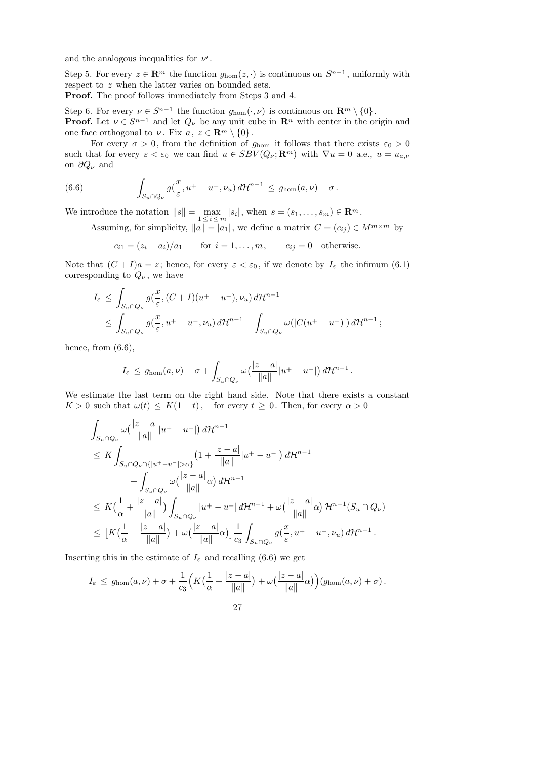and the analogous inequalities for  $\nu'$ .

Step 5. For every  $z \in \mathbb{R}^m$  the function  $g_{\text{hom}}(z, \cdot)$  is continuous on  $S^{n-1}$ , uniformly with respect to z when the latter varies on bounded sets.

Proof. The proof follows immediately from Steps 3 and 4.

Step 6. For every  $\nu \in S^{n-1}$  the function  $g_{\text{hom}}(\cdot, \nu)$  is continuous on  $\mathbb{R}^m \setminus \{0\}$ . **Proof.** Let  $\nu \in S^{n-1}$  and let  $Q_{\nu}$  be any unit cube in  $\mathbb{R}^n$  with center in the origin and one face orthogonal to  $\nu$ . Fix  $a, z \in \mathbb{R}^m \setminus \{0\}$ .

For every  $\sigma > 0$ , from the definition of  $g_{\text{hom}}$  it follows that there exists  $\varepsilon_0 > 0$ such that for every  $\varepsilon < \varepsilon_0$  we can find  $u \in SBV(Q_\nu; \mathbf{R}^m)$  with  $\nabla u = 0$  a.e.,  $u = u_{a,\nu}$ on  $\partial Q_{\nu}$  and

(6.6) 
$$
\int_{S_u \cap Q_{\nu}} g(\frac{x}{\varepsilon}, u^+ - u^-, \nu_u) d\mathcal{H}^{n-1} \leq g_{\text{hom}}(a, \nu) + \sigma.
$$

We introduce the notation  $||s|| = \max_{1 \leq i \leq m} |s_i|$ , when  $s = (s_1, \ldots, s_m) \in \mathbb{R}^m$ .

Assuming, for simplicity,  $||a|| = |a_1|$ , we define a matrix  $C = (c_{ij}) \in M^{m \times m}$  by

$$
c_{i1} = (z_i - a_i)/a_1 \qquad \text{for } i = 1, \dots, m, \qquad c_{ij} = 0 \quad \text{otherwise.}
$$

Note that  $(C + I)a = z$ ; hence, for every  $\varepsilon < \varepsilon_0$ , if we denote by  $I_{\varepsilon}$  the infimum (6.1) corresponding to  $Q_{\nu}$ , we have

$$
I_{\varepsilon} \leq \int_{S_u \cap Q_{\nu}} g(\frac{x}{\varepsilon}, (C+I)(u^+ - u^-), \nu_u) d\mathcal{H}^{n-1}
$$
  

$$
\leq \int_{S_u \cap Q_{\nu}} g(\frac{x}{\varepsilon}, u^+ - u^-, \nu_u) d\mathcal{H}^{n-1} + \int_{S_u \cap Q_{\nu}} \omega(|C(u^+ - u^-)|) d\mathcal{H}^{n-1};
$$

hence, from  $(6.6)$ ,

$$
I_{\varepsilon} \leq g_{\text{hom}}(a,\nu) + \sigma + \int_{S_u \cap Q_{\nu}} \omega \left( \frac{|z-a|}{\|a\|} |u^+ - u^-| \right) d\mathcal{H}^{n-1}.
$$

We estimate the last term on the right hand side. Note that there exists a constant  $K > 0$  such that  $\omega(t) \leq K(1+t)$ , for every  $t \geq 0$ . Then, for every  $\alpha > 0$ 

$$
\int_{S_u \cap Q_{\nu}} \omega\left(\frac{|z-a|}{\|a\|}|u^+-u^-\right) d\mathcal{H}^{n-1}
$$
\n
$$
\leq K \int_{S_u \cap Q_{\nu} \cap \{|u^+-u^-\|>\alpha\}} \left(1 + \frac{|z-a|}{\|a\|}|u^+-u^-\right) d\mathcal{H}^{n-1}
$$
\n
$$
+ \int_{S_u \cap Q_{\nu}} \omega\left(\frac{|z-a|}{\|a\|}\alpha\right) d\mathcal{H}^{n-1}
$$
\n
$$
\leq K \left(\frac{1}{\alpha} + \frac{|z-a|}{\|a\|}\right) \int_{S_u \cap Q_{\nu}} |u^+-u^-| d\mathcal{H}^{n-1} + \omega\left(\frac{|z-a|}{\|a\|}\alpha\right) \mathcal{H}^{n-1}(S_u \cap Q_{\nu})
$$
\n
$$
\leq \left[K\left(\frac{1}{\alpha} + \frac{|z-a|}{\|a\|}\right) + \omega\left(\frac{|z-a|}{\|a\|}\alpha\right)\right] \frac{1}{c_3} \int_{S_u \cap Q_{\nu}} g\left(\frac{x}{\varepsilon}, u^+-u^-, \nu_u\right) d\mathcal{H}^{n-1}.
$$

Inserting this in the estimate of  $I_{\varepsilon}$  and recalling (6.6) we get

$$
I_{\varepsilon} \leq g_{\text{hom}}(a,\nu) + \sigma + \frac{1}{c_3} \Big( K\big(\frac{1}{\alpha} + \frac{|z-a|}{\|a\|}\big) + \omega\big(\frac{|z-a|}{\|a\|}\alpha\big) \Big) \big(g_{\text{hom}}(a,\nu) + \sigma\big).
$$

27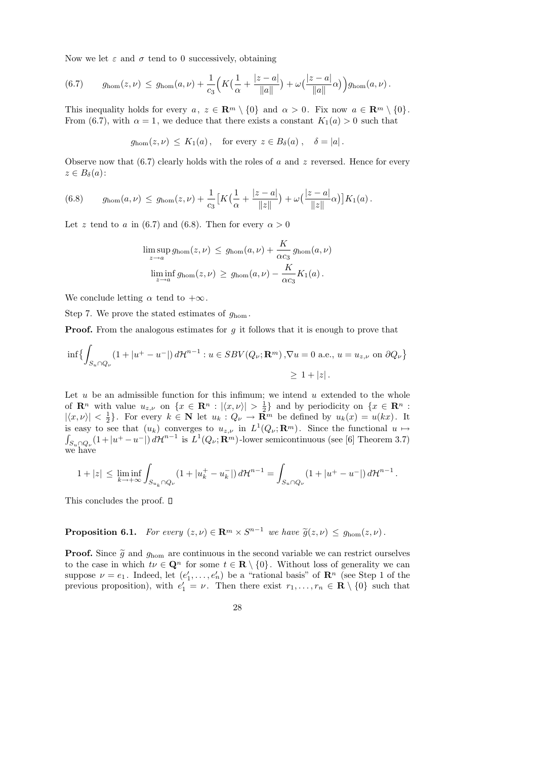Now we let  $\varepsilon$  and  $\sigma$  tend to 0 successively, obtaining

(6.7) 
$$
g_{\text{hom}}(z,\nu) \le g_{\text{hom}}(a,\nu) + \frac{1}{c_3} \Big( K \big( \frac{1}{\alpha} + \frac{|z-a|}{\|a\|} \big) + \omega \big( \frac{|z-a|}{\|a\|} \alpha \big) \Big) g_{\text{hom}}(a,\nu).
$$

This inequality holds for every  $a, z \in \mathbb{R}^m \setminus \{0\}$  and  $\alpha > 0$ . Fix now  $a \in \mathbb{R}^m \setminus \{0\}$ . From (6.7), with  $\alpha = 1$ , we deduce that there exists a constant  $K_1(a) > 0$  such that

$$
g_{\text{hom}}(z,\nu) \le K_1(a)
$$
, for every  $z \in B_\delta(a)$ ,  $\delta = |a|$ .

Observe now that  $(6.7)$  clearly holds with the roles of a and z reversed. Hence for every  $z \in B_\delta(a)$ :

(6.8) 
$$
g_{\text{hom}}(a,\nu) \leq g_{\text{hom}}(z,\nu) + \frac{1}{c_3} \big[ K\big(\frac{1}{\alpha} + \frac{|z-a|}{\|z\|}\big) + \omega\big(\frac{|z-a|}{\|z\|}\alpha\big) \big] K_1(a) .
$$

Let z tend to a in (6.7) and (6.8). Then for every  $\alpha > 0$ 

$$
\limsup_{z \to a} g_{\text{hom}}(z, \nu) \le g_{\text{hom}}(a, \nu) + \frac{K}{\alpha c_3} g_{\text{hom}}(a, \nu)
$$
  

$$
\liminf_{z \to a} g_{\text{hom}}(z, \nu) \ge g_{\text{hom}}(a, \nu) - \frac{K}{\alpha c_3} K_1(a).
$$

We conclude letting  $\alpha$  tend to  $+\infty$ .

Step 7. We prove the stated estimates of  $g_{\text{hom}}$ .

**Proof.** From the analogous estimates for  $g$  it follows that it is enough to prove that

$$
\inf \left\{ \int_{S_u \cap Q_\nu} (1+|u^+-u^-|) d\mathcal{H}^{n-1} : u \in SBV(Q_\nu; \mathbf{R}^m), \nabla u = 0 \text{ a.e., } u = u_{z,\nu} \text{ on } \partial Q_\nu \right\}
$$
  
 
$$
\geq 1 + |z|.
$$

Let  $u$  be an admissible function for this infimum; we intend  $u$  extended to the whole of  $\mathbf{R}^n$  with value  $u_{z,\nu}$  on  $\{x \in \mathbf{R}^n : |\langle x, \nu \rangle| > \frac{1}{2}\}$  $\frac{1}{2}$  and by periodicity on  $\{x \in \mathbb{R}^n :$  $|\langle x, \nu\rangle| < \frac{1}{2}$  $\{\frac{1}{2}\}.$  For every  $k \in \mathbb{N}$  let  $u_k : Q_{\nu} \to \mathbb{R}^m$  be defined by  $u_k(x) = u(kx).$  It is easy to see that  $(u_k)$  converges to  $u_{z,\nu}$  in  $L^1$ R  $(Q_{\nu}; \mathbf{R}^m)$ . Since the functional  $u \mapsto$  $S_{u\cap Q_{\nu}}(1+|u^+-u^-|) d\mathcal{H}^{n-1}$  is  $L^1(Q_{\nu}; \mathbf{R}^m)$ -lower semicontinuous (see [6] Theorem 3.7) we have

$$
1+|z| \leq \liminf_{k \to +\infty} \int_{S_{u_k} \cap Q_{\nu}} (1+|u_k^+ - u_k^-|) d\mathcal{H}^{n-1} = \int_{S_u \cap Q_{\nu}} (1+|u^+ - u^-|) d\mathcal{H}^{n-1}.
$$

This concludes the proof.  $\square$ 

# **Proposition 6.1.** For every  $(z, \nu) \in \mathbb{R}^m \times S^{n-1}$  we have  $\widetilde{g}(z, \nu) \leq g_{\text{hom}}(z, \nu)$ .

**Proof.** Since  $\tilde{g}$  and  $g_{\text{hom}}$  are continuous in the second variable we can restrict ourselves to the case in which  $t\nu \in \mathbf{Q}^n$  for some  $t \in \mathbf{R} \setminus \{0\}$ . Without loss of generality we can suppose  $\nu = e_1$ . Indeed, let  $(e'_1, \ldots, e'_n)$  be a "rational basis" of  $\mathbb{R}^n$  (see Step 1 of the previous proposition), with  $e'_1 = \nu$ . Then there exist  $r_1, \ldots, r_n \in \mathbf{R} \setminus \{0\}$  such that

28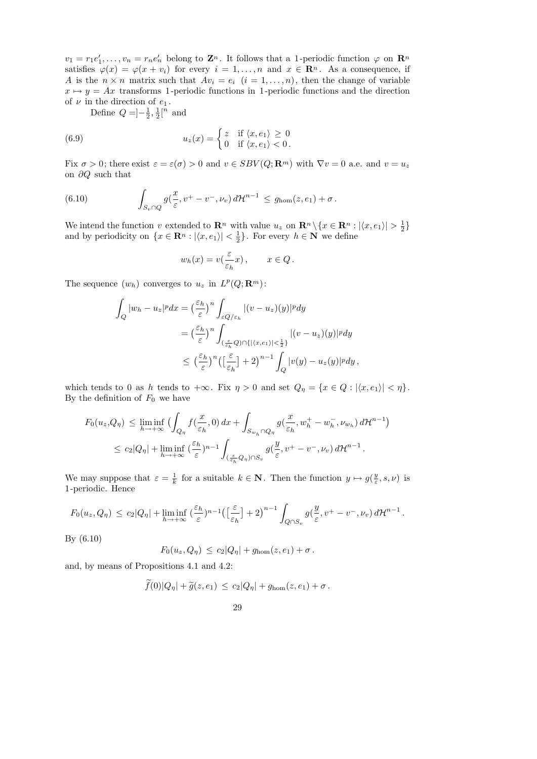$v_1 = r_1 e'_1, \ldots, v_n = r_n e'_n$  belong to  $\mathbf{Z}^n$ . It follows that a 1-periodic function  $\varphi$  on  $\mathbf{R}^n$ satisfies  $\varphi(x) = \varphi(x + v_i)$  for every  $i = 1, ..., n$  and  $x \in \mathbb{R}^n$ . As a consequence, if A is the  $n \times n$  matrix such that  $Av_i = e_i$   $(i = 1, ..., n)$ , then the change of variable  $x \mapsto y = Ax$  transforms 1-periodic functions in 1-periodic functions and the direction of  $\nu$  in the direction of  $e_1$ .

Define  $Q = -\frac{1}{2}$  $\frac{1}{2}, \frac{1}{2}$  $\frac{1}{2}$ [<sup>n</sup> and

(6.9) 
$$
u_z(x) = \begin{cases} z & \text{if } \langle x, e_1 \rangle \ge 0 \\ 0 & \text{if } \langle x, e_1 \rangle < 0. \end{cases}
$$

Fix  $\sigma > 0$ ; there exist  $\varepsilon = \varepsilon(\sigma) > 0$  and  $v \in SBV(Q; \mathbf{R}^m)$  with  $\nabla v = 0$  a.e. and  $v = u_z$ on ∂Q such that

(6.10) 
$$
\int_{S_v \cap Q} g(\frac{x}{\varepsilon}, v^+ - v^-, \nu_v) d\mathcal{H}^{n-1} \leq g_{\text{hom}}(z, e_1) + \sigma.
$$

We intend the function v extended to  $\mathbf{R}^n$  with value  $u_z$  on  $\mathbf{R}^n \setminus \{x \in \mathbf{R}^n : |\langle x, e_1 \rangle| > \frac{1}{2}\}$  $\frac{1}{2}$ and by periodicity on  $\{x \in \mathbb{R}^n : |\langle x, e_1 \rangle| < \frac{1}{2}\}$  $\frac{1}{2}$ . For every  $h \in \mathbf{N}$  we define

$$
w_h(x) = v\left(\frac{\varepsilon}{\varepsilon_h}x\right), \qquad x \in Q.
$$

The sequence  $(w_h)$  converges to  $u_z$  in  $L^p(Q; \mathbf{R}^m)$ :

$$
\int_{Q} |w_{h} - u_{z}|^{p} dx = \left(\frac{\varepsilon_{h}}{\varepsilon}\right)^{n} \int_{\varepsilon Q/\varepsilon_{h}} |(v - u_{z})(y)|^{p} dy
$$
\n
$$
= \left(\frac{\varepsilon_{h}}{\varepsilon}\right)^{n} \int_{\left(\frac{\varepsilon}{\varepsilon_{h}} Q\right) \cap \{|\langle x, e_{1}\rangle| < \frac{1}{2}\}} |(v - u_{z})(y)|^{p} dy
$$
\n
$$
\leq \left(\frac{\varepsilon_{h}}{\varepsilon}\right)^{n} \left(\left[\frac{\varepsilon}{\varepsilon_{h}}\right] + 2\right)^{n-1} \int_{Q} |v(y) - u_{z}(y)|^{p} dy,
$$

which tends to 0 as h tends to  $+\infty$ . Fix  $\eta > 0$  and set  $Q_{\eta} = \{x \in Q : |\langle x, e_1 \rangle| < \eta\}.$ By the definition of  $F_0$  we have

$$
F_0(u_z,Q_\eta) \leq \liminf_{h \to +\infty} \Big( \int_{Q_\eta} f(\frac{x}{\varepsilon_h},0) dx + \int_{S_{w_h} \cap Q_\eta} g(\frac{x}{\varepsilon_h}, w_h^+ - w_h^-, \nu_{w_h}) d\mathcal{H}^{n-1} \Big) \leq c_2|Q_\eta| + \liminf_{h \to +\infty} (\frac{\varepsilon_h}{\varepsilon})^{n-1} \int_{(\frac{\varepsilon}{\varepsilon_h}Q_\eta) \cap S_v} g(\frac{y}{\varepsilon}, v^+ - v^-, \nu_v) d\mathcal{H}^{n-1}.
$$

We may suppose that  $\varepsilon = \frac{1}{k}$  $\frac{1}{k}$  for a suitable  $k \in \mathbb{N}$ . Then the function  $y \mapsto g(\frac{y}{\varepsilon})$  $\frac{y}{\varepsilon}, s, \nu$ ) is 1 -periodic. Hence

$$
F_0(u_z,Q_\eta) \leq c_2|Q_\eta| + \liminf_{h \to +\infty} \left(\frac{\varepsilon_h}{\varepsilon}\right)^{n-1} \left(\left[\frac{\varepsilon}{\varepsilon_h}\right] + 2\right)^{n-1} \int_{Q \cap S_v} g\left(\frac{y}{\varepsilon}, v^+ - v^-, \nu_v\right) d\mathcal{H}^{n-1}.
$$

By (6.10)

$$
F_0(u_z,Q_\eta) \leq c_2|Q_\eta| + g_{\text{hom}}(z,e_1) + \sigma.
$$

and, by means of Propositions 4.1 and 4.2:

$$
f(0)|Q_{\eta}| + \widetilde{g}(z, e_1) \leq c_2|Q_{\eta}| + g_{\text{hom}}(z, e_1) + \sigma.
$$

29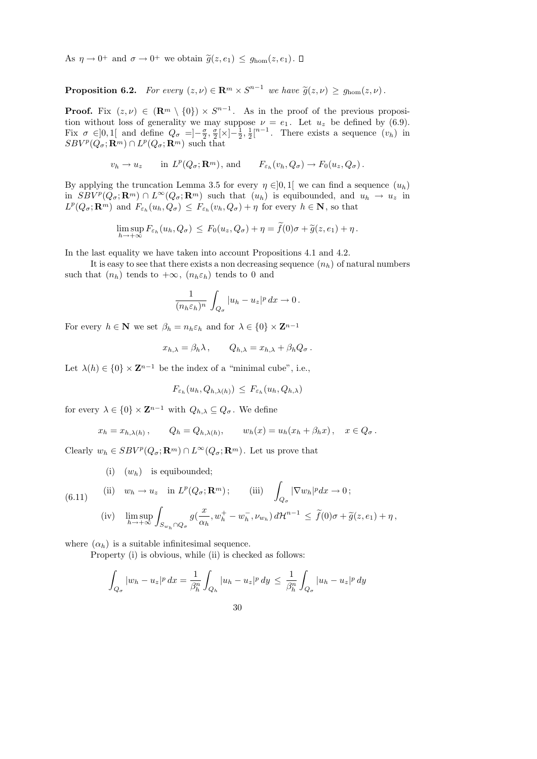As  $\eta \to 0^+$  and  $\sigma \to 0^+$  we obtain  $\widetilde{g}(z, e_1) \leq g_{\text{hom}}(z, e_1)$ .

**Proposition 6.2.** For every  $(z, \nu) \in \mathbb{R}^m \times S^{n-1}$  we have  $\widetilde{g}(z, \nu) \geq g_{\text{hom}}(z, \nu)$ .

**Proof.** Fix  $(z, \nu) \in (\mathbb{R}^m \setminus \{0\}) \times S^{n-1}$ . As in the proof of the previous proposition without loss of generality we may suppose  $\nu = e_1$ . Let  $u_z$  be defined by (6.9). Fix  $\sigma \in ]0,1[$  and define  $Q_{\sigma} = ]-\frac{\sigma}{2}$  $\frac{\sigma}{2}, \frac{\sigma}{2}$  $\frac{\sigma}{2}[\times]-\frac{1}{2}$  $\frac{1}{2}, \frac{1}{2}$  $\frac{1}{2}$ [<sup>n-1</sup>. There exists a sequence  $(v_h)$  in  $SBV^p(Q_\sigma; \mathbf{R}^m) \cap L^p(Q_\sigma; \mathbf{R}^m)$  such that

$$
v_h \to u_z
$$
 in  $L^p(Q_\sigma; \mathbf{R}^m)$ , and  $F_{\varepsilon_h}(v_h, Q_\sigma) \to F_0(u_z, Q_\sigma)$ .

By applying the truncation Lemma 3.5 for every  $\eta \in ]0,1[$  we can find a sequence  $(u_h)$ in  $SBV^p(Q_{\sigma}; \mathbf{R}^m) \cap L^{\infty}(Q_{\sigma}; \mathbf{R}^m)$  such that  $(u_h)$  is equibounded, and  $u_h \to u_z$  in  $L^p(Q_\sigma; \mathbf{R}^m)$  and  $F_{\varepsilon_h}(u_h, Q_\sigma) \leq F_{\varepsilon_h}(v_h, Q_\sigma) + \eta$  for every  $h \in \mathbf{N}$ , so that

$$
\limsup_{h\to+\infty} F_{\varepsilon_h}(u_h,Q_{\sigma}) \leq F_0(u_z,Q_{\sigma}) + \eta = f(0)\sigma + \widetilde{g}(z,e_1) + \eta.
$$

In the last equality we have taken into account Propositions 4.1 and 4.2.

It is easy to see that there exists a non decreasing sequence  $(n_h)$  of natural numbers such that  $(n_h)$  tends to  $+\infty$ ,  $(n_h \varepsilon_h)$  tends to 0 and

$$
\frac{1}{(n_h \varepsilon_h)^n} \int_{Q_{\sigma}} |u_h - u_z|^p \, dx \to 0 \, .
$$

For every  $h \in \mathbf{N}$  we set  $\beta_h = n_h \varepsilon_h$  and for  $\lambda \in \{0\} \times \mathbf{Z}^{n-1}$ 

$$
x_{h,\lambda} = \beta_h \lambda \,, \qquad Q_{h,\lambda} = x_{h,\lambda} + \beta_h Q_\sigma \,.
$$

Let  $\lambda(h) \in \{0\} \times \mathbb{Z}^{n-1}$  be the index of a "minimal cube", i.e.,

$$
F_{\varepsilon_h}(u_h, Q_{h,\lambda(h)}) \leq F_{\varepsilon_h}(u_h, Q_{h,\lambda})
$$

for every  $\lambda \in \{0\} \times \mathbb{Z}^{n-1}$  with  $Q_{h,\lambda} \subseteq Q_{\sigma}$ . We define

$$
x_h = x_{h,\lambda(h)},
$$
  $Q_h = Q_{h,\lambda(h)},$   $w_h(x) = u_h(x_h + \beta_h x),$   $x \in Q_\sigma.$ 

Clearly  $w_h \in SBV^p(Q_\sigma; \mathbf{R}^m) \cap L^\infty(Q_\sigma; \mathbf{R}^m)$ . Let us prove that

(i)  $(w_h)$  is equibounded;

(6.11) (ii) 
$$
w_h \to u_z
$$
 in  $L^p(Q_\sigma; \mathbf{R}^m)$ ; (iii)  $\int_{Q_\sigma} |\nabla w_h|^p dx \to 0$ ;

$$
\text{(iv)} \quad \limsup_{h \to +\infty} \int_{S_{w_h} \cap Q_{\sigma}} g\left(\frac{x}{\alpha_h}, w_h^+ - w_h^-, \nu_{w_h}\right) d\mathcal{H}^{n-1} \le \tilde{f}(0)\sigma + \tilde{g}(z, e_1) + \eta \,,
$$

where  $(\alpha_h)$  is a suitable infinitesimal sequence.

Property (i) is obvious, while (ii) is checked as follows:

$$
\int_{Q_{\sigma}} |w_h - u_z|^p \, dx = \frac{1}{\beta_h^n} \int_{Q_h} |u_h - u_z|^p \, dy \leq \frac{1}{\beta_h^n} \int_{Q_{\sigma}} |u_h - u_z|^p \, dy
$$

30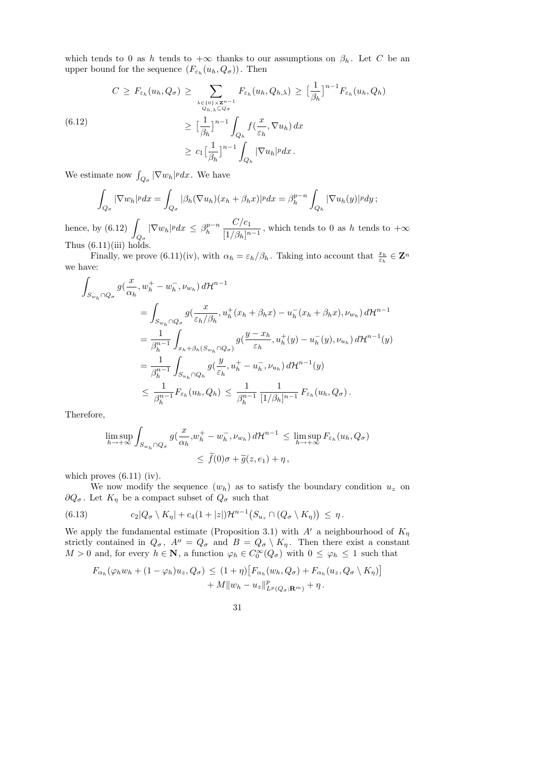which tends to 0 as h tends to  $+\infty$  thanks to our assumptions on  $\beta_h$ . Let C be an upper bound for the sequence  $(F_{\varepsilon_h}(u_h, Q_{\sigma}))$ . Then

$$
C \geq F_{\varepsilon_h}(u_h, Q_{\sigma}) \geq \sum_{\substack{\lambda \in \{0\} \times \mathbb{Z}^{n-1} \\ Q_{h,\lambda} \subseteq Q_{\sigma} \\ \geq \left[\frac{1}{\beta_h}\right]^{n-1} \int_{Q_h} f\left(\frac{x}{\varepsilon_h}, \nabla u_h\right) dx \\ \geq c_1 \left[\frac{1}{\beta_h}\right]^{n-1} \int_{Q_h} f\left(\frac{x}{\varepsilon_h}, \nabla u_h\right) dx \\ \geq c_1 \left[\frac{1}{\beta_h}\right]^{n-1} \int_{Q_h} |\nabla u_h|^p dx.
$$

We estimate now  $\int_{Q_{\sigma}} |\nabla w_h|^p dx$ . We have

$$
\int_{Q_{\sigma}} |\nabla w_h|^p dx = \int_{Q_{\sigma}} |\beta_h(\nabla u_h)(x_h + \beta_h x)|^p dx = \beta_h^{p-n} \int_{Q_h} |\nabla u_h(y)|^p dy ;
$$

hence, by  $(6.12)$  $Q_{\pmb{\sigma}}$  $|\nabla w_h|^p dx \leq \beta_h^{p-n}$ h  $C/c_1$  $\frac{C}{\left[\frac{1}{\beta_h}\right]^{n-1}}$ , which tends to 0 as h tends to  $+\infty$ Thus  $(6.11)(iii)$  holds.

Finally, we prove (6.11)(iv), with  $\alpha_h = \varepsilon_h/\beta_h$ . Taking into account that  $\frac{x_h}{\varepsilon_h} \in \mathbf{Z}^n$ we have:

$$
\int_{S_{w_h} \cap Q_{\sigma}} g(\frac{x}{\alpha_h}, w_h^+ - w_h^-, \nu_{w_h}) d\mathcal{H}^{n-1}
$$
\n
$$
= \int_{S_{w_h} \cap Q_{\sigma}} g(\frac{x}{\varepsilon_h/\beta_h}, u_h^+(x_h + \beta_h x) - u_h^-(x_h + \beta_h x), \nu_{w_h}) d\mathcal{H}^{n-1}
$$
\n
$$
= \frac{1}{\beta_h^{n-1}} \int_{x_h + \beta_h(S_{w_h} \cap Q_{\sigma})} g(\frac{y - x_h}{\varepsilon_h}, u_h^+(y) - u_h^-(y), \nu_{u_h}) d\mathcal{H}^{n-1}(y)
$$
\n
$$
= \frac{1}{\beta_h^{n-1}} \int_{S_{u_h} \cap Q_h} g(\frac{y}{\varepsilon_h}, u_h^+ - u_h^-, \nu_{u_h}) d\mathcal{H}^{n-1}(y)
$$
\n
$$
\leq \frac{1}{\beta_h^{n-1}} F_{\varepsilon_h}(u_h, Q_h) \leq \frac{1}{\beta_h^{n-1}} \frac{1}{[1/\beta_h]^{n-1}} F_{\varepsilon_h}(u_h, Q_{\sigma}).
$$

Therefore,

$$
\limsup_{h \to +\infty} \int_{S_{w_h} \cap Q_{\sigma}} g(\frac{x}{\alpha_h}, w_h^+ - w_h^-, \nu_{w_h}) d\mathcal{H}^{n-1} \leq \limsup_{h \to +\infty} F_{\varepsilon_h}(u_h, Q_{\sigma})
$$
  

$$
\leq \tilde{f}(0)\sigma + \tilde{g}(z, e_1) + \eta,
$$

which proves  $(6.11)$  (iv).

We now modify the sequence  $(w_h)$  as to satisfy the boundary condition  $u_z$  on  $\partial Q_{\sigma}$ . Let  $K_{\eta}$  be a compact subset of  $Q_{\sigma}$  such that

(6.13) 
$$
c_2|Q_{\sigma}\setminus K_{\eta}|+c_4(1+|z|)\mathcal{H}^{n-1}(S_{u_z}\cap (Q_{\sigma}\setminus K_{\eta}))\leq \eta.
$$

We apply the fundamental estimate (Proposition 3.1) with  $A'$  a neighbourhood of  $K_{\eta}$ strictly contained in  $Q_{\sigma}$ ,  $A'' = Q_{\sigma}$  and  $B = Q_{\sigma} \setminus K_{\eta}$ . Then there exist a constant  $M > 0$  and, for every  $h \in \mathbb{N}$ , a function  $\varphi_h \in C_0^{\infty}(Q_{\sigma})$  with  $0 \le \varphi_h \le 1$  such that

$$
F_{\alpha_h}(\varphi_h w_h + (1 - \varphi_h)u_z, Q_{\sigma}) \leq (1 + \eta) \big[ F_{\alpha_h}(w_h, Q_{\sigma}) + F_{\alpha_h}(u_z, Q_{\sigma} \setminus K_{\eta}) \big] + M \| w_h - u_z \|_{L^p(Q_{\sigma}; \mathbf{R}^m)}^p + \eta.
$$

31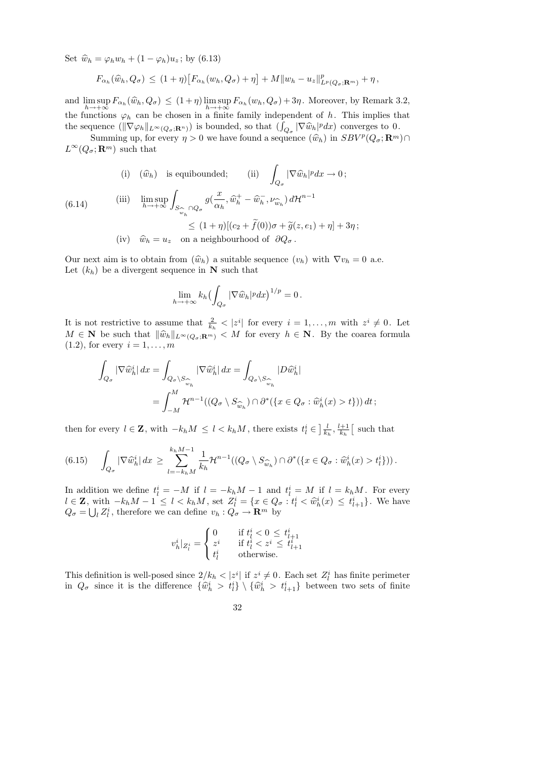Set  $\hat{w}_h = \varphi_h w_h + (1 - \varphi_h) u_z$ ; by (6.13)

$$
F_{\alpha_h}(\widehat{w}_h, Q_{\sigma}) \le (1+\eta) \big[ F_{\alpha_h}(w_h, Q_{\sigma}) + \eta \big] + M \| w_h - u_z \|_{L^p(Q_{\sigma}; \mathbf{R}^m)}^p + \eta,
$$

and  $\limsup_{h\to+\infty} F_{\alpha_h}(\widehat{w}_h, Q_{\sigma}) \leq (1+\eta) \limsup_{h\to+\infty} F_{\alpha_h}(w_h, Q_{\sigma}) + 3\eta$ . Moreover, by Remark 3.2, the functions  $\varphi_h$  can be chosen in a finite family independent of h. This implies that the sequence  $(\|\nabla \varphi_h\|_{L^{\infty}(Q_{\sigma};\mathbf{R}^n)})$  is bounded, so that  $(\int_{Q_{\sigma}} |\nabla \widehat{w}_h|^p dx)$  converges to 0.<br>Curricle in the curricle of the sequence  $(\widehat{\omega}_h)$  in  $\mathcal{L}BV^p(Q_{\sigma},\mathbf{R}^n)$ 

Summing up, for every  $\eta > 0$  we have found a sequence  $(\widehat{w}_h)$  in  $SBV^p(Q_\sigma; \mathbf{R}^m) \cap \mathbf{R}^m)$  $L^{\infty}(Q_{\sigma}; \mathbf{R}^m)$  such that

(i) 
$$
(\hat{w}_h)
$$
 is equibounded; (ii)  $\int_{Q_{\sigma}} |\nabla \hat{w}_h|^p dx \to 0$ ;  
\n(iii)  $\lim_{h \to +\infty} \int_{S_{\widehat{w}_h} \cap Q_{\sigma}} g(\frac{x}{\alpha_h}, \widehat{w}_h^+ - \widehat{w}_h^-, \nu_{\widehat{w}_h}) d\mathcal{H}^{n-1}$   
\n $\leq (1 + \eta)[(c_2 + \widetilde{f}(0))\sigma + \widetilde{g}(z, e_1) + \eta] + 3\eta$ ;

(iv)  $\widehat{w}_h = u_z$  on a neighbourhood of  $\partial Q_{\sigma}$ .

Our next aim is to obtain from  $(\widehat{w}_h)$  a suitable sequence  $(v_h)$  with  $\nabla v_h = 0$  a.e. Let  $(k_h)$  be a divergent sequence in **N** such that

$$
\lim_{h\to+\infty}k_h\bigl(\int_{Q_{\sigma}}|\nabla\widehat{w}_h|^pdx\bigr)^{1/p}=0.
$$

It is not restrictive to assume that  $\frac{2}{k_h} < |z^i|$  for every  $i = 1, \ldots, m$  with  $z^i \neq 0$ . Let  $M \in \mathbf{N}$  be such that  $\|\widehat{w}_h\|_{L^{\infty}(Q_{\sigma};\mathbf{R}^m)} < M$  for every  $h \in \mathbf{N}$ . By the coarea formula  $(1.2)$ , for every  $i = 1, \ldots, m$ 

$$
\int_{Q_{\sigma}} |\nabla \widehat{w}_h^i| dx = \int_{Q_{\sigma} \backslash S_{\widehat{w}_h}} |\nabla \widehat{w}_h^i| dx = \int_{Q_{\sigma} \backslash S_{\widehat{w}_h}} |D \widehat{w}_h^i|
$$
  
= 
$$
\int_{-M}^{M} \mathcal{H}^{n-1}((Q_{\sigma} \backslash S_{\widehat{w}_h}) \cap \partial^*(\{x \in Q_{\sigma} : \widehat{w}_h^i(x) > t\})) dt ;
$$

then for every  $l \in \mathbf{Z}$ , with  $-k_h M \leq l < k_h M$ , there exists  $t^i_l \in \left] \frac{l}{k_l} \right]$  $\frac{l}{k_h}, \frac{l+1}{k_h}$  $\frac{k+1}{k_h}$  such that

$$
(6.15) \quad \int_{Q_{\sigma}} |\nabla \widehat{w}_h^i| \, dx \ge \sum_{l=-k_h M}^{k_h M - 1} \frac{1}{k_h} \mathcal{H}^{n-1}((Q_{\sigma} \setminus S_{\widehat{w}_h}) \cap \partial^* (\lbrace x \in Q_{\sigma} : \widehat{w}_h^i(x) > t_l^i \rbrace)).
$$

In addition we define  $t_l^i = -M$  if  $l = -k_hM - 1$  and  $t_l^i = M$  if  $l = k_hM$ . For every  $l \in \mathbf{Z}$ , with  $-k_h M - 1 \leq l < k_h M$ , set  $Z_l^i = \{x \in Q_{\sigma} : t_l^i < \hat{w}_h^i(x) \leq t_{l+1}^i\}$ . We have  $Q_{\sigma} = \bigcup_{l} Z_{l}^{i}$ , therefore we can define  $v_{h}: Q_{\sigma} \to \mathbf{R}^{m}$  by

$$
v_h^i|_{Z_l^i} = \begin{cases} 0 & \text{if } t_l^i < 0 \le t_{l+1}^i \\ z^i & \text{if } t_l^i < z^i \le t_{l+1}^i \\ t_l^i & \text{otherwise.} \end{cases}
$$

This definition is well-posed since  $2/k_h < |z^i|$  if  $z^i \neq 0$ . Each set  $Z^i_l$  has finite perimeter in  $Q_{\sigma}$  since it is the difference  $\{\hat{w}_h^i > t_l^i\} \setminus \{\hat{w}_h^i > t_{l+1}^i\}$  between two sets of finite

32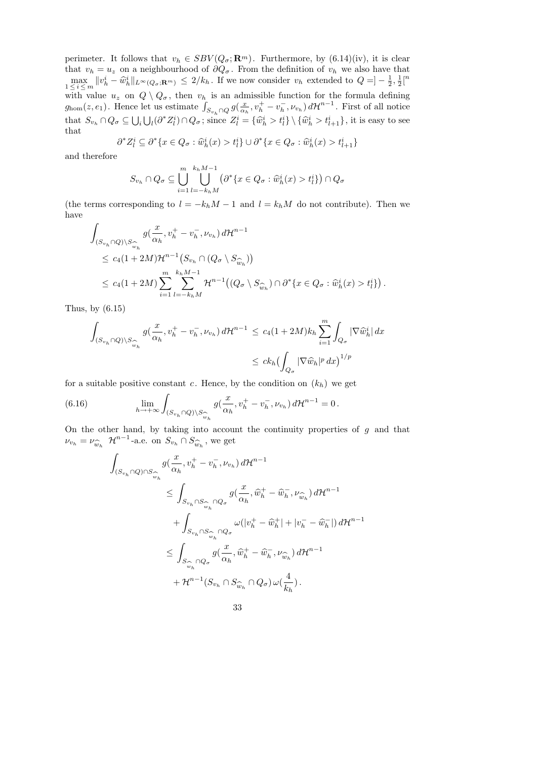perimeter. It follows that  $v_h \in SBV(Q_{\sigma}; \mathbf{R}^m)$ . Furthermore, by (6.14)(iv), it is clear that  $v_h = u_z$  on a neighbourhood of  $\partial Q_{\sigma}$ . From the definition of  $v_h$  we also have that  $\max_{1 \leq i \leq m} ||v_h^i - \hat{w}_h^i||_{L^{\infty}(Q_{\sigma}; \mathbf{R}^m)} \leq 2/k_h$ . If we now consider  $v_h$  extended to  $Q = ]-\frac{1}{2}$  $\frac{1}{2}, \frac{1}{2}$  $\frac{1}{2}$ [ $\binom{n}{2}$ with value  $u_z$  on  $Q \setminus Q_\sigma$ , then  $v_h$  is an admissible function for the formula defining  $g_{\text{hom}}(z, e_1)$ . Hence let us estimate  $\int_{S_{v_h} \cap Q} g(\frac{x}{\alpha \mu})$  $\frac{x}{\alpha_h}, v_h^+ - v_h^ (\overline{h}_h, \nu_{v_h}) d\mathcal{H}^{n-1}$ . First of all notice that  $S_{v_h} \cap Q_{\sigma} \subseteq \bigcup_i \bigcup_l (\partial^* Z_l^i) \cap Q_{\sigma}$ ; since  $Z_l^i = {\hat{w}_h^i > t_l^i} \setminus {\hat{w}_h^i > t_{l+1}^i}$ , it is easy to see that

$$
\partial^* Z_l^i \subseteq \partial^* \{x \in Q_\sigma : \widehat{w}_h^i(x) > t_l^i\} \cup \partial^* \{x \in Q_\sigma : \widehat{w}_h^i(x) > t_{l+1}^i\}
$$

and therefore

$$
S_{v_h} \cap Q_{\sigma} \subseteq \bigcup_{i=1}^m \bigcup_{l=-k_hM}^{k_hM-1} \left( \partial^* \{ x \in Q_{\sigma} : \widehat{w}_h^i(x) > t_l^i \} \right) \cap Q_{\sigma}
$$

(the terms corresponding to  $l = -k_h M - 1$  and  $l = k_h M$  do not contribute). Then we have

$$
\int_{(S_{v_h} \cap Q) \setminus S_{\widehat{w}_h}} g(\frac{x}{\alpha_h}, v_h^+ - v_h^-, \nu_{v_h}) d\mathcal{H}^{n-1}
$$
\n
$$
\leq c_4 (1 + 2M) \mathcal{H}^{n-1} \big( S_{v_h} \cap (Q_\sigma \setminus S_{\widehat{w}_h}) \big)
$$
\n
$$
\leq c_4 (1 + 2M) \sum_{i=1}^m \sum_{l=-k_h M}^{k_h M - 1} \mathcal{H}^{n-1} \big( (Q_\sigma \setminus S_{\widehat{w}_h}) \cap \partial^* \{x \in Q_\sigma : \widehat{w}_h^i(x) > t_l^i \} \big).
$$

Thus, by (6.15)

$$
\int_{(S_{v_h} \cap Q) \backslash S_{\widehat{w}_h}^{\frown}} g(\frac{x}{\alpha_h}, v_h^+ - v_h^-, \nu_{v_h}) d\mathcal{H}^{n-1} \le c_4 (1+2M) k_h \sum_{i=1}^m \int_{Q_{\sigma}} |\nabla \widehat{w}_h^i| dx
$$
  

$$
\le c k_h \bigl(\int_{Q_{\sigma}} |\nabla \widehat{w}_h|^p dx\bigr)^{1/p}
$$

for a suitable positive constant c. Hence, by the condition on  $(k_h)$  we get

(6.16) 
$$
\lim_{h \to +\infty} \int_{(S_{v_h} \cap Q) \setminus S_{\widehat{w}_h}} g(\frac{x}{\alpha_h}, v_h^+ - v_h^-, \nu_{v_h}) d\mathcal{H}^{n-1} = 0.
$$

On the other hand, by taking into account the continuity properties of  $g$  and that  $\nu_{v_h} = \nu_{\widehat{w}_h} \mathcal{H}^{n-1}$ -a.e. on  $S_{v_h} \cap S_{\widehat{w}_h}$ , we get

$$
\begin{aligned}\n\int_{(S_{v_h}\cap Q)\cap S_{\widehat{w}_h} }\!\!g(\frac{x}{\alpha_h},v_h^+-v_h^-, \nu_{v_h})\,d\mathcal{H}^{n-1} \\
&\leq \int_{S_{v_h}\cap S_{\widehat{w}_h} \cap Q_\sigma} g(\frac{x}{\alpha_h},\widehat{w}_h^+-\widehat{w}_h^-, \nu_{\widehat{w}_h})\,d\mathcal{H}^{n-1} \\
&\quad + \int_{S_{v_h}\cap S_{\widehat{w}_h} \cap Q_\sigma} \omega(|v_h^+-\widehat{w}_h^+|+|v_h^--\widehat{w}_h^-|)\,d\mathcal{H}^{n-1} \\
&\leq \int_{S_{\widehat{w}_h} \cap Q_\sigma} g(\frac{x}{\alpha_h},\widehat{w}_h^+-\widehat{w}_h^-, \nu_{\widehat{w}_h})\,d\mathcal{H}^{n-1} \\
&\quad + \mathcal{H}^{n-1}(S_{v_h}\cap S_{\widehat{w}_h} \cap Q_\sigma)\,\omega(\frac{4}{k_h}).\n\end{aligned}
$$

$$
33\,
$$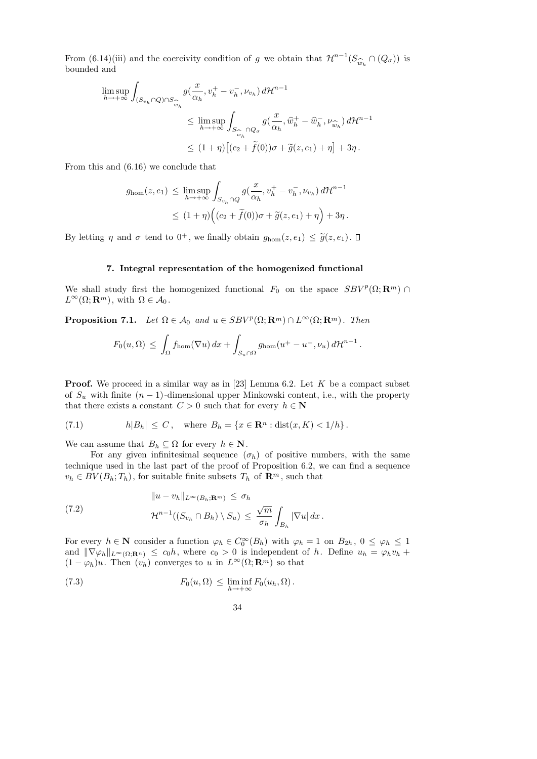From (6.14)(iii) and the coercivity condition of g we obtain that  $\mathcal{H}^{n-1}(S_{\hat{w}_h} \cap (Q_{\sigma}))$  is bounded and bounded and

$$
\limsup_{h \to +\infty} \int_{(S_{v_h} \cap Q) \cap S_{\widehat{w}_h}} g(\frac{x}{\alpha_h}, v_h^+ - v_h^-, \nu_{v_h}) d\mathcal{H}^{n-1}
$$
\n
$$
\leq \limsup_{h \to +\infty} \int_{S_{\widehat{w}_h} \cap Q_{\sigma}} g(\frac{x}{\alpha_h}, \widehat{w}_h^+ - \widehat{w}_h^-, \nu_{\widehat{w}_h}) d\mathcal{H}^{n-1}
$$
\n
$$
\leq (1 + \eta) \big[ (c_2 + \widetilde{f}(0))\sigma + \widetilde{g}(z, e_1) + \eta \big] + 3\eta \, .
$$

From this and (6.16) we conclude that

$$
g_{\text{hom}}(z, e_1) \leq \limsup_{h \to +\infty} \int_{S_{v_h} \cap Q} g(\frac{x}{\alpha_h}, v_h^+ - v_h^-, \nu_{v_h}) d\mathcal{H}^{n-1}
$$
  

$$
\leq (1 + \eta) \Big( (c_2 + \tilde{f}(0))\sigma + \tilde{g}(z, e_1) + \eta \Big) + 3\eta.
$$

By letting  $\eta$  and  $\sigma$  tend to  $0^+$ , we finally obtain  $g_{\text{hom}}(z, e_1) \leq \tilde{g}(z, e_1)$ .

# 7. Integral representation of the homogenized functional

We shall study first the homogenized functional  $F_0$  on the space  $SBV^p(\Omega; \mathbf{R}^m)$  $L^{\infty}(\Omega; \mathbf{R}^m)$ , with  $\Omega \in \mathcal{A}_0$ .

**Proposition 7.1.** Let  $\Omega \in \mathcal{A}_0$  and  $u \in SBV^p(\Omega; \mathbf{R}^m) \cap L^{\infty}(\Omega; \mathbf{R}^m)$ . Then

$$
F_0(u,\Omega) \leq \int_{\Omega} f_{\text{hom}}(\nabla u) dx + \int_{S_u \cap \Omega} g_{\text{hom}}(u^+ - u^-, \nu_u) d\mathcal{H}^{n-1}.
$$

**Proof.** We proceed in a similar way as in [23] Lemma 6.2. Let  $K$  be a compact subset of  $S_u$  with finite  $(n-1)$ -dimensional upper Minkowski content, i.e., with the property that there exists a constant  $C > 0$  such that for every  $h \in \mathbb{N}$ 

(7.1) 
$$
h|B_h| \le C
$$
, where  $B_h = \{x \in \mathbb{R}^n : dist(x, K) < 1/h\}$ .

We can assume that  $B_h \subseteq \Omega$  for every  $h \in \mathbb{N}$ .

For any given infinitesimal sequence  $(\sigma_h)$  of positive numbers, with the same technique used in the last part of the proof of Proposition 6.2, we can find a sequence  $v_h \in BV(B_h; T_h)$ , for suitable finite subsets  $T_h$  of  $\mathbb{R}^m$ , such that

(7.2) 
$$
||u - v_h||_{L^{\infty}(B_h; \mathbf{R}^m)} \leq \sigma_h
$$

$$
\mathcal{H}^{n-1}((S_{v_h} \cap B_h) \setminus S_u) \leq \frac{\sqrt{m}}{\sigma_h} \int_{B_h} |\nabla u| dx.
$$

For every  $h \in \mathbb{N}$  consider a function  $\varphi_h \in C_0^{\infty}(B_h)$  with  $\varphi_h = 1$  on  $B_{2h}$ ,  $0 \le \varphi_h \le 1$ and  $\|\nabla\varphi_h\|_{L^{\infty}(\Omega;\mathbf{R}^n)} \leq c_0h$ , where  $c_0 > 0$  is independent of h. Define  $u_h = \varphi_h v_h +$  $(1 - \varphi_h)u$ . Then  $(v_h)$  converges to u in  $L^{\infty}(\Omega; \mathbf{R}^m)$  so that

(7.3) 
$$
F_0(u,\Omega) \leq \liminf_{h \to +\infty} F_0(u_h,\Omega).
$$

34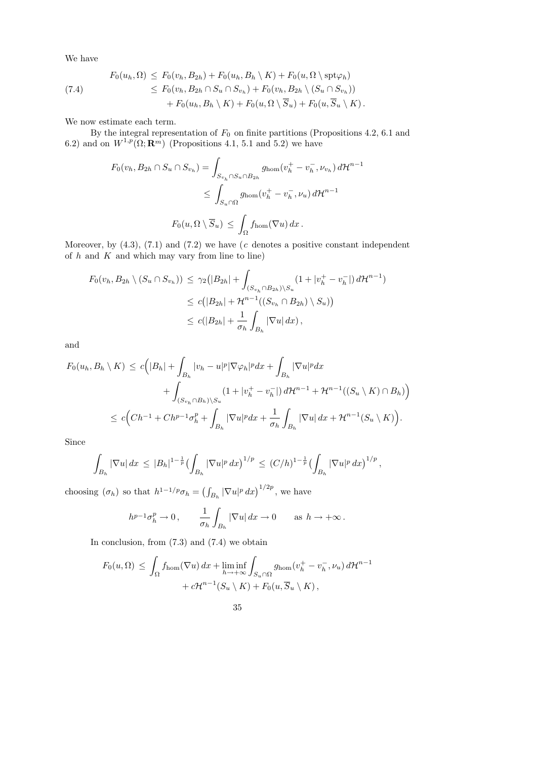We have

(7.4)  
\n
$$
F_0(u_h, \Omega) \leq F_0(v_h, B_{2h}) + F_0(u_h, B_h \setminus K) + F_0(u, \Omega \setminus \operatorname{spt} \varphi_h)
$$
\n
$$
\leq F_0(v_h, B_{2h} \cap S_u \cap S_{v_h}) + F_0(v_h, B_{2h} \setminus (S_u \cap S_{v_h}))
$$
\n
$$
+ F_0(u_h, B_h \setminus K) + F_0(u, \Omega \setminus \overline{S}_u) + F_0(u, \overline{S}_u \setminus K).
$$

We now estimate each term.

By the integral representation of  $F_0$  on finite partitions (Propositions 4.2, 6.1 and 6.2) and on  $W^{1,p}(\Omega; \mathbf{R}^m)$  (Propositions 4.1, 5.1 and 5.2) we have

$$
F_0(v_h, B_{2h} \cap S_u \cap S_{v_h}) = \int_{S_{v_h} \cap S_u \cap B_{2h}} g_{hom}(v_h^+ - v_h^-, \nu_{v_h}) d\mathcal{H}^{n-1}
$$
  

$$
\leq \int_{S_u \cap \Omega} g_{hom}(v_h^+ - v_h^-, \nu_u) d\mathcal{H}^{n-1}
$$
  

$$
F_0(u, \Omega \setminus \overline{S}_u) \leq \int_{\Omega} f_{hom}(\nabla u) dx.
$$

Moreover, by  $(4.3)$ ,  $(7.1)$  and  $(7.2)$  we have (c denotes a positive constant independent of  $h$  and  $K$  and which may vary from line to line)

$$
F_0(v_h, B_{2h} \setminus (S_u \cap S_{v_h})) \leq \gamma_2 (|B_{2h}| + \int_{(S_{v_h} \cap B_{2h}) \setminus S_u} (1 + |v_h^+ - v_h^-|) d\mathcal{H}^{n-1})
$$
  

$$
\leq c(|B_{2h}| + \mathcal{H}^{n-1}((S_{v_h} \cap B_{2h}) \setminus S_u))
$$
  

$$
\leq c(|B_{2h}| + \frac{1}{\sigma_h} \int_{B_h} |\nabla u| dx),
$$

and

$$
F_0(u_h, B_h \setminus K) \le c \Big( |B_h| + \int_{B_h} |v_h - u|^p |\nabla \varphi_h|^p dx + \int_{B_h} |\nabla u|^p dx + \int_{(S_{v_h} \cap B_h) \setminus S_u} (1 + |v_h^+ - v_h^-|) d\mathcal{H}^{n-1} + \mathcal{H}^{n-1}((S_u \setminus K) \cap B_h) \Big) \le c \Big( Ch^{-1} + Ch^{p-1} \sigma_h^p + \int_{B_h} |\nabla u|^p dx + \frac{1}{\sigma_h} \int_{B_h} |\nabla u| dx + \mathcal{H}^{n-1}(S_u \setminus K) \Big).
$$

Since

$$
\int_{B_h} |\nabla u| \, dx \, \leq \, |B_h|^{1-\frac{1}{p}} \big( \int_{B_h} |\nabla u|^p \, dx \big)^{1/p} \, \leq \, (C/h)^{1-\frac{1}{p}} \big( \int_{B_h} |\nabla u|^p \, dx \big)^{1/p} \, ,
$$

choosing  $(\sigma_h)$  so that  $h^{1-1/p}\sigma_h = \left(\int_{B_h} |\nabla u|^p dx\right)^{1/2p}$ , we have

$$
h^{p-1}\sigma_h^p \to 0 \,, \qquad \frac{1}{\sigma_h} \int_{B_h} |\nabla u| \, dx \to 0 \qquad \text{as } h \to +\infty \,.
$$

In conclusion, from (7.3) and (7.4) we obtain

$$
F_0(u,\Omega) \leq \int_{\Omega} f_{\text{hom}}(\nabla u) dx + \liminf_{h \to +\infty} \int_{S_u \cap \Omega} g_{\text{hom}}(v_h^+ - v_h^-, \nu_u) d\mathcal{H}^{n-1}
$$
  
+  $c\mathcal{H}^{n-1}(S_u \setminus K) + F_0(u, \overline{S}_u \setminus K),$ 

35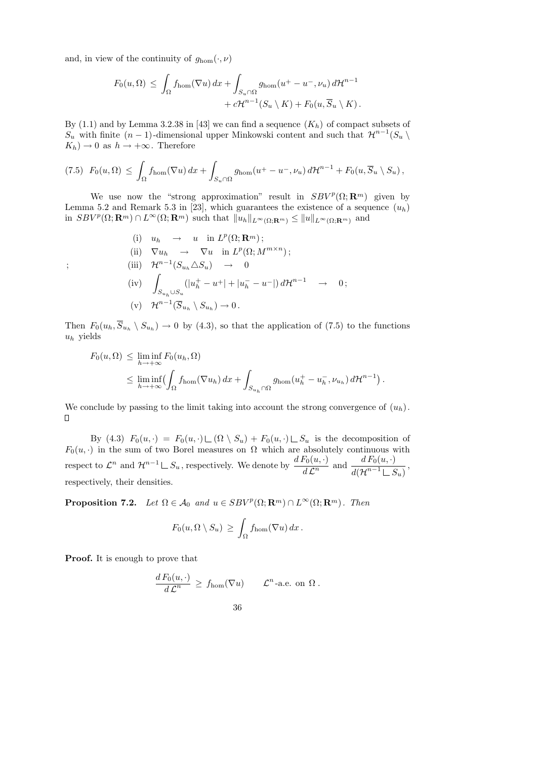and, in view of the continuity of  $g_{\text{hom}}(\cdot,\nu)$ 

$$
F_0(u,\Omega) \leq \int_{\Omega} f_{\text{hom}}(\nabla u) dx + \int_{S_u \cap \Omega} g_{\text{hom}}(u^+ - u^-, \nu_u) d\mathcal{H}^{n-1} + c\mathcal{H}^{n-1}(S_u \setminus K) + F_0(u, \overline{S}_u \setminus K).
$$

By  $(1.1)$  and by Lemma 3.2.38 in [43] we can find a sequence  $(K_h)$  of compact subsets of  $S_u$  with finite  $(n-1)$ -dimensional upper Minkowski content and such that  $\mathcal{H}^{n-1}(S_u \setminus$  $K_h$ )  $\rightarrow$  0 as  $h \rightarrow +\infty$ . Therefore

$$
(7.5) \ \ F_0(u,\Omega) \leq \int_{\Omega} f_{\rm hom}(\nabla u) \, dx + \int_{S_u \cap \Omega} g_{\rm hom}(u^+ - u^-, \nu_u) \, d\mathcal{H}^{n-1} + F_0(u, \overline{S}_u \setminus S_u),
$$

We use now the "strong approximation" result in  $SBV^p(\Omega; \mathbf{R}^m)$  given by Lemma 5.2 and Remark 5.3 in [23], which guarantees the existence of a sequence  $(u_h)$ in  $SBV^p(\Omega; \mathbf{R}^m) \cap L^{\infty}(\Omega; \mathbf{R}^m)$  such that  $||u_h||_{L^{\infty}(\Omega; \mathbf{R}^m)} \le ||u||_{L^{\infty}(\Omega; \mathbf{R}^m)}$  and

(i) 
$$
u_h \rightarrow u
$$
 in  $L^p(\Omega; \mathbf{R}^m)$ ;  
\n(ii)  $\nabla u_h \rightarrow \nabla u$  in  $L^p(\Omega; M^{m \times n})$ ;  
\n(iii)  $\mathcal{H}^{n-1}(S_{u_h} \triangle S_u) \rightarrow 0$   
\n(iv)  $\int_{S_{u_h} \cup S_u} (|u_h^+ - u^+| + |u_h^- - u^-|) d\mathcal{H}^{n-1} \rightarrow 0$ ;  
\n(v)  $\mathcal{H}^{n-1}(\overline{S}_{u_h} \setminus S_{u_h}) \rightarrow 0$ .

Then  $F_0(u_h, S_{u_h} \setminus S_{u_h}) \to 0$  by (4.3), so that the application of (7.5) to the functions  $u_h$  yields

$$
F_0(u, \Omega) \leq \liminf_{h \to +\infty} F_0(u_h, \Omega)
$$
  
\$\leq \liminf\_{h \to +\infty} \left( \int\_{\Omega} f\_{\text{hom}}(\nabla u\_h) dx + \int\_{S\_{u\_h} \cap \Omega} g\_{\text{hom}}(u\_h^+ - u\_h^-, \nu\_{u\_h}) d\mathcal{H}^{n-1} \right).

We conclude by passing to the limit taking into account the strong convergence of  $(u_h)$ .  $\Box$ 

By (4.3)  $F_0(u, \cdot) = F_0(u, \cdot) \sqcup (\Omega \setminus S_u) + F_0(u, \cdot) \sqcup S_u$  is the decomposition of  $F_0(u, \cdot)$  in the sum of two Borel measures on  $\Omega$  which are absolutely continuous with  $\text{respect to } \mathcal{L}^n \text{ and } \mathcal{H}^{n-1} \sqcup S_u \text{, respectively. We denote by } \frac{d \, F_0(u, \cdot)}{d \, \mathcal{L}^n} \text{ and } \frac{d \, F_0(u, \cdot)}{d (\mathcal{H}^{n-1} \sqcup S_u)}$  $d({\cal H}^{n-1} \, \rule{0.3cm}{.6pt} \, \rule{0.3cm}{.6pt} S_u)$ , respectively, their densities.

**Proposition 7.2.** Let  $\Omega \in \mathcal{A}_0$  and  $u \in SBV^p(\Omega; \mathbf{R}^m) \cap L^{\infty}(\Omega; \mathbf{R}^m)$ . Then

$$
F_0(u, \Omega \setminus S_u) \ge \int_{\Omega} f_{\text{hom}}(\nabla u) \, dx \, .
$$

**Proof.** It is enough to prove that

$$
\frac{d F_0(u, \cdot)}{d \mathcal{L}^n} \geq f_{\text{hom}}(\nabla u) \qquad \mathcal{L}^n \text{-a.e. on } \Omega.
$$

36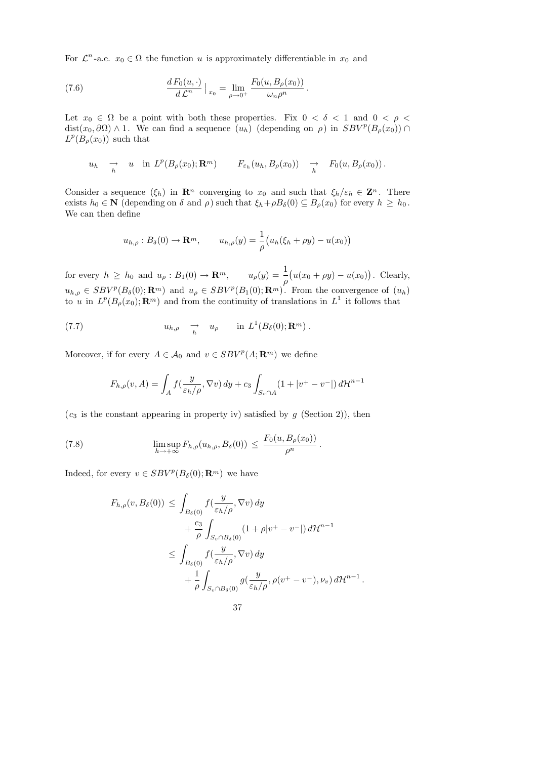For  $\mathcal{L}^n$ -a.e.  $x_0 \in \Omega$  the function u is approximately differentiable in  $x_0$  and

(7.6) 
$$
\frac{d F_0(u, \cdot)}{d L^n} \Big|_{x_0} = \lim_{\rho \to 0^+} \frac{F_0(u, B_\rho(x_0))}{\omega_n \rho^n}.
$$

Let  $x_0 \in \Omega$  be a point with both these properties. Fix  $0 < \delta < 1$  and  $0 < \rho <$ dist $(x_0, \partial \Omega) \wedge 1$ . We can find a sequence  $(u_h)$  (depending on  $\rho$ ) in  $SBV^p(B_\rho(x_0)) \cap$  $L^p(B_\rho(x_0))$  such that

$$
u_h \to u
$$
 in  $L^p(B_\rho(x_0); \mathbf{R}^m)$   $F_{\varepsilon_h}(u_h, B_\rho(x_0)) \to F_0(u, B_\rho(x_0))$ .

Consider a sequence  $(\xi_h)$  in  $\mathbb{R}^n$  converging to  $x_0$  and such that  $\xi_h/\varepsilon_h \in \mathbb{Z}^n$ . There exists  $h_0 \in \mathbb{N}$  (depending on  $\delta$  and  $\rho$ ) such that  $\xi_h + \rho B_\delta(0) \subseteq B_\rho(x_0)$  for every  $h \geq h_0$ . We can then define

$$
u_{h,\rho}: B_{\delta}(0) \to \mathbf{R}^m, \qquad u_{h,\rho}(y) = \frac{1}{\rho} \big( u_h(\xi_h + \rho y) - u(x_0) \big)
$$

for every  $h \geq h_0$  and  $u_\rho : B_1(0) \to \mathbf{R}^m$ ,  $u_\rho(y) = \frac{1}{\rho}$  $(u(x_0 + \rho y) - u(x_0))$ . Clearly,  $u_{h,\rho} \in SBV^p(B_\delta(0); \mathbf{R}^m)$  and  $u_\rho \in SBV^p(B_1(0); \mathbf{R}^m)$ . From the convergence of  $(u_h)$ to u in  $L^p(B_\rho(x_0); \mathbf{R}^m)$  and from the continuity of translations in  $L^1$  it follows that

(7.7) 
$$
u_{h,\rho} \to u_{\rho} \quad \text{in} \ L^1(B_{\delta}(0); \mathbf{R}^m) .
$$

Moreover, if for every  $A \in \mathcal{A}_0$  and  $v \in SBV^p(A; \mathbf{R}^m)$  we define

$$
F_{h,\rho}(v,A) = \int_A f\left(\frac{y}{\varepsilon_h/\rho}, \nabla v\right) dy + c_3 \int_{S_v \cap A} \left(1 + |v^+ - v^-|\right) d\mathcal{H}^{n-1}
$$

 $(c_3$  is the constant appearing in property iv) satisfied by g (Section 2)), then

(7.8) 
$$
\limsup_{h \to +\infty} F_{h,\rho}(u_{h,\rho}, B_{\delta}(0)) \leq \frac{F_0(u, B_{\rho}(x_0))}{\rho^n}.
$$

Indeed, for every  $v \in SBV^p(B_\delta(0); \mathbf{R}^m)$  we have

$$
F_{h,\rho}(v, B_{\delta}(0)) \leq \int_{B_{\delta}(0)} f(\frac{y}{\varepsilon_{h}/\rho}, \nabla v) dy
$$
  
+  $\frac{c_3}{\rho} \int_{S_{v} \cap B_{\delta}(0)} (1 + \rho |v^{+} - v^{-}|) d\mathcal{H}^{n-1}$   

$$
\leq \int_{B_{\delta}(0)} f(\frac{y}{\varepsilon_{h}/\rho}, \nabla v) dy
$$
  
+  $\frac{1}{\rho} \int_{S_{v} \cap B_{\delta}(0)} g(\frac{y}{\varepsilon_{h}/\rho}, \rho(v^{+} - v^{-}), \nu_{v}) d\mathcal{H}^{n-1}.$ 

37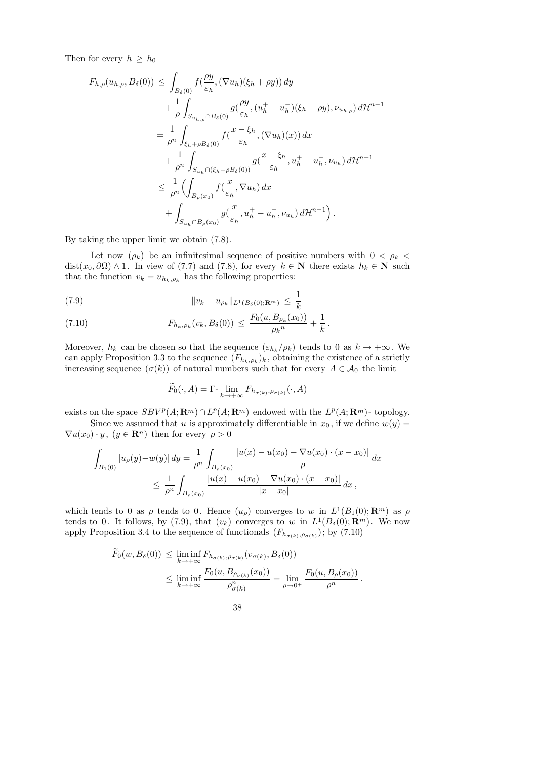Then for every  $h \geq h_0$ 

$$
F_{h,\rho}(u_{h,\rho}, B_{\delta}(0)) \leq \int_{B_{\delta}(0)} f(\frac{\rho y}{\varepsilon_h}, (\nabla u_h)(\xi_h + \rho y)) dy + \frac{1}{\rho} \int_{S_{u_{h,\rho}} \cap B_{\delta}(0)} g(\frac{\rho y}{\varepsilon_h}, (u_h^+ - u_h^-)(\xi_h + \rho y), \nu_{u_{h,\rho}}) d\mathcal{H}^{n-1} = \frac{1}{\rho^n} \int_{\xi_h + \rho B_{\delta}(0)} f(\frac{x - \xi_h}{\varepsilon_h}, (\nabla u_h)(x)) dx + \frac{1}{\rho^n} \int_{S_{u_h} \cap (\xi_h + \rho B_{\delta}(0))} g(\frac{x - \xi_h}{\varepsilon_h}, u_h^+ - u_h^-, \nu_{u_h}) d\mathcal{H}^{n-1} \leq \frac{1}{\rho^n} \Biggl( \int_{B_{\rho}(x_0)} f(\frac{x}{\varepsilon_h}, \nabla u_h) dx + \int_{S_{u_h} \cap B_{\rho}(x_0)} g(\frac{x}{\varepsilon_h}, u_h^+ - u_h^-, \nu_{u_h}) d\mathcal{H}^{n-1} \Biggr).
$$

By taking the upper limit we obtain (7.8).

Let now  $(\rho_k)$  be an infinitesimal sequence of positive numbers with  $0 < \rho_k$ dist(x<sub>0</sub>,  $\partial\Omega$ ) ∧ 1. In view of (7.7) and (7.8), for every  $k \in \mathbb{N}$  there exists  $h_k \in \mathbb{N}$  such that the function  $v_k = u_{h_k, \rho_k}$  has the following properties:

(7.9) 
$$
\|v_k - u_{\rho_k}\|_{L^1(B_\delta(0); \mathbf{R}^m)} \leq \frac{1}{k}
$$

(7.10) 
$$
F_{h_k, \rho_k}(v_k, B_\delta(0)) \leq \frac{F_0(u, B_{\rho_k}(x_0))}{\rho_k^n} + \frac{1}{k}.
$$

Moreover,  $h_k$  can be chosen so that the sequence  $(\varepsilon_{h_k}/\rho_k)$  tends to 0 as  $k \to +\infty$ . We can apply Proposition 3.3 to the sequence  $(F_{h_k,\rho_k})_k$ , obtaining the existence of a strictly increasing sequence  $(\sigma(k))$  of natural numbers such that for every  $A \in \mathcal{A}_0$  the limit

$$
\widetilde{F}_0(\cdot, A) = \Gamma \cdot \lim_{k \to +\infty} F_{h_{\sigma(k)}, \rho_{\sigma(k)}}(\cdot, A)
$$

exists on the space  $SBV^p(A; \mathbf{R}^m) \cap L^p(A; \mathbf{R}^m)$  endowed with the  $L^p(A; \mathbf{R}^m)$ - topology. Since we assumed that u is approximately differentiable in  $x_0$ , if we define  $w(y) =$ 

 $\nabla u(x_0) \cdot y$ ,  $(y \in \mathbf{R}^n)$  then for every  $\rho > 0$ 

$$
\int_{B_1(0)} |u_{\rho}(y) - w(y)| dy = \frac{1}{\rho^n} \int_{B_{\rho}(x_0)} \frac{|u(x) - u(x_0) - \nabla u(x_0) \cdot (x - x_0)|}{\rho} dx
$$
  

$$
\leq \frac{1}{\rho^n} \int_{B_{\rho}(x_0)} \frac{|u(x) - u(x_0) - \nabla u(x_0) \cdot (x - x_0)|}{|x - x_0|} dx,
$$

which tends to 0 as  $\rho$  tends to 0. Hence  $(u_{\rho})$  converges to w in  $L^1(B_1(0); \mathbb{R}^m)$  as  $\rho$ tends to 0. It follows, by (7.9), that  $(v_k)$  converges to w in  $L^1(B_\delta(0); \mathbf{R}^m)$ . We now apply Proposition 3.4 to the sequence of functionals  $(F_{h_{\sigma(k)},\rho_{\sigma(k)}})$ ; by (7.10)

$$
\widetilde{F}_0(w, B_\delta(0)) \le \liminf_{k \to +\infty} F_{h_{\sigma(k)}, \rho_{\sigma(k)}}(v_{\sigma(k)}, B_\delta(0))
$$
\n
$$
\le \liminf_{k \to +\infty} \frac{F_0(u, B_{\rho_{\sigma(k)}}(x_0))}{\rho_{\sigma(k)}^n} = \lim_{\rho \to 0^+} \frac{F_0(u, B_\rho(x_0))}{\rho^n}.
$$

38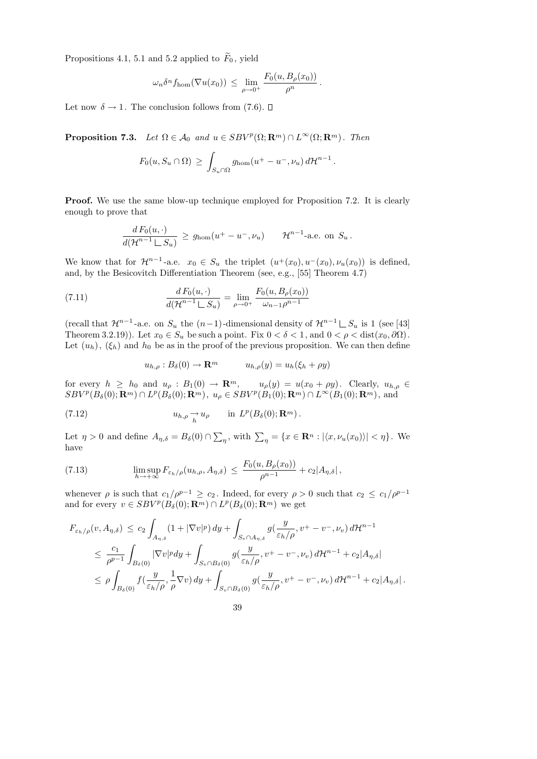Propositions 4.1, 5.1 and 5.2 applied to  $\widetilde{F}_0$ , yield

$$
\omega_n \delta^n f_{\rm hom}(\nabla u(x_0)) \ \leq \ \lim_{\rho \to 0^+} \frac{F_0(u, B_\rho(x_0))}{\rho^n} \, .
$$

Let now  $\delta \rightarrow 1$ . The conclusion follows from (7.6).  $\Box$ 

**Proposition 7.3.** Let  $\Omega \in \mathcal{A}_0$  and  $u \in SBV^p(\Omega; \mathbf{R}^m) \cap L^{\infty}(\Omega; \mathbf{R}^m)$ . Then

$$
F_0(u, S_u \cap \Omega) \geq \int_{S_u \cap \Omega} g_{\text{hom}}(u^+ - u^-, \nu_u) d\mathcal{H}^{n-1}.
$$

Proof. We use the same blow-up technique employed for Proposition 7.2. It is clearly enough to prove that

$$
\frac{d F_0(u, \cdot)}{d(\mathcal{H}^{n-1} \sqcup S_u)} \geq g_{\text{hom}}(u^+ - u^-, \nu_u) \qquad \mathcal{H}^{n-1}\text{-a.e. on } S_u.
$$

We know that for  $\mathcal{H}^{n-1}$ -a.e.  $x_0 \in S_u$  the triplet  $(u^+(x_0), u^-(x_0), \nu_u(x_0))$  is defined, and, by the Besicovitch Differentiation Theorem (see, e.g., [55] Theorem 4.7)

(7.11) 
$$
\frac{d F_0(u, \cdot)}{d(\mathcal{H}^{n-1} \sqcup S_u)} = \lim_{\rho \to 0^+} \frac{F_0(u, B_{\rho}(x_0))}{\omega_{n-1} \rho^{n-1}}
$$

(recall that  $\mathcal{H}^{n-1}$ -a.e. on  $S_u$  the  $(n-1)$ -dimensional density of  $\mathcal{H}^{n-1} \sqcup S_u$  is 1 (see [43] Theorem 3.2.19)). Let  $x_0 \in S_u$  be such a point. Fix  $0 < \delta < 1$ , and  $0 < \rho <$  dist $(x_0, \partial \Omega)$ . Let  $(u_h)$ ,  $(\xi_h)$  and  $h_0$  be as in the proof of the previous proposition. We can then define

$$
u_{h,\rho}: B_{\delta}(0) \to \mathbf{R}^m \qquad u_{h,\rho}(y) = u_h(\xi_h + \rho y)
$$

for every  $h \geq h_0$  and  $u_\rho : B_1(0) \to \mathbf{R}^m$ ,  $u_\rho(y) = u(x_0 + \rho y)$ . Clearly,  $u_{h,\rho} \in$  $SBV^p(B_\delta(0); \mathbf{R}^m) \cap L^p(B_\delta(0); \mathbf{R}^m), u_\rho \in SBV^p(B_1(0); \mathbf{R}^m) \cap L^\infty(B_1(0); \mathbf{R}^m), \text{ and}$ 

(7.12) 
$$
u_{h,\rho} \underset{h}{\rightarrow} u_{\rho} \quad \text{in } L^p(B_\delta(0); \mathbf{R}^m) .
$$

Let  $\eta > 0$  and define  $A_{\eta,\delta} = B_{\delta}(0) \cap \sum_{\eta}$ , with  $\sum_{\eta} = \{x \in \mathbb{R}^n : |\langle x, \nu_u(x_0) \rangle| < \eta\}$ . We have

(7.13) 
$$
\limsup_{h \to +\infty} F_{\varepsilon_h/\rho}(u_{h,\rho}, A_{\eta,\delta}) \leq \frac{F_0(u, B_{\rho}(x_0))}{\rho^{n-1}} + c_2 |A_{\eta,\delta}|,
$$

whenever  $\rho$  is such that  $c_1/\rho^{p-1} \ge c_2$ . Indeed, for every  $\rho > 0$  such that  $c_2 \le c_1/\rho^{p-1}$ and for every  $v \in SBV^p(B_\delta(0); \mathbf{R}^m) \cap L^p(B_\delta(0); \mathbf{R}^m)$  we get

$$
F_{\varepsilon_h/\rho}(v, A_{\eta,\delta}) \le c_2 \int_{A_{\eta,\delta}} (1+|\nabla v|^p) dy + \int_{S_v \cap A_{\eta,\delta}} g(\frac{y}{\varepsilon_h/\rho}, v^+ - v^-, \nu_v) d\mathcal{H}^{n-1}
$$
  

$$
\le \frac{c_1}{\rho^{p-1}} \int_{B_\delta(0)} |\nabla v|^p dy + \int_{S_v \cap B_\delta(0)} g(\frac{y}{\varepsilon_h/\rho}, v^+ - v^-, \nu_v) d\mathcal{H}^{n-1} + c_2 |A_{\eta,\delta}|
$$
  

$$
\le \rho \int_{B_\delta(0)} f(\frac{y}{\varepsilon_h/\rho}, \frac{1}{\rho} \nabla v) dy + \int_{S_v \cap B_\delta(0)} g(\frac{y}{\varepsilon_h/\rho}, v^+ - v^-, \nu_v) d\mathcal{H}^{n-1} + c_2 |A_{\eta,\delta}|.
$$

39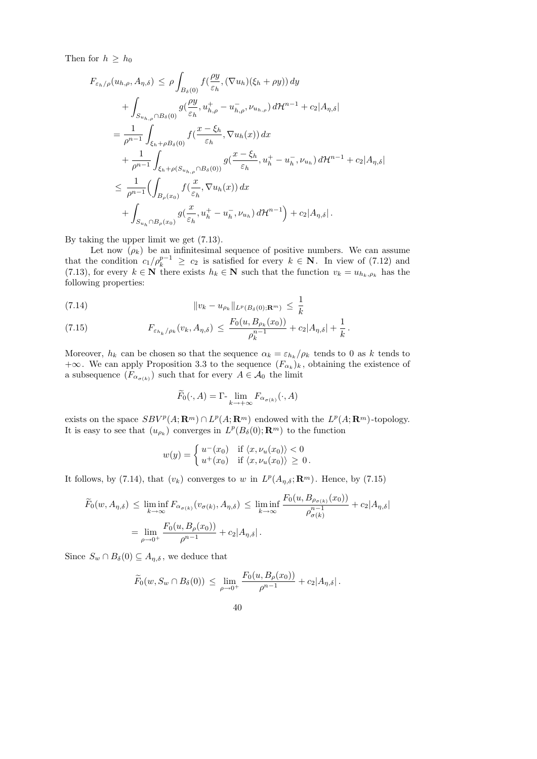Then for  $h \geq h_0$ 

$$
F_{\varepsilon_h/\rho}(u_{h,\rho}, A_{\eta,\delta}) \leq \rho \int_{B_{\delta}(0)} f(\frac{\rho y}{\varepsilon_h}, (\nabla u_h)(\xi_h + \rho y)) dy + \int_{S_{u_{h,\rho}} \cap B_{\delta}(0)} g(\frac{\rho y}{\varepsilon_h}, u_{h,\rho}^+ - u_{h,\rho}^-, \nu_{u_{h,\rho}}) d\mathcal{H}^{n-1} + c_2 |A_{\eta,\delta}| = \frac{1}{\rho^{n-1}} \int_{\xi_h + \rho B_{\delta}(0)} f(\frac{x - \xi_h}{\varepsilon_h}, \nabla u_h(x)) dx + \frac{1}{\rho^{n-1}} \int_{\xi_h + \rho(S_{u_{h,\rho}} \cap B_{\delta}(0))} g(\frac{x - \xi_h}{\varepsilon_h}, u_h^+ - u_h^-, \nu_{u_h}) d\mathcal{H}^{n-1} + c_2 |A_{\eta,\delta}| \leq \frac{1}{\rho^{n-1}} (\int_{B_{\rho}(x_0)} f(\frac{x}{\varepsilon_h}, \nabla u_h(x)) dx + \int_{S_{u_h} \cap B_{\rho}(x_0)} g(\frac{x}{\varepsilon_h}, u_h^+ - u_h^-, \nu_{u_h}) d\mathcal{H}^{n-1}) + c_2 |A_{\eta,\delta}|.
$$

By taking the upper limit we get (7.13).

Let now  $(\rho_k)$  be an infinitesimal sequence of positive numbers. We can assume that the condition  $c_1/\rho_k^{p-1} \ge c_2$  is satisfied for every  $k \in \mathbb{N}$ . In view of (7.12) and (7.13), for every  $k \in \mathbb{N}$  there exists  $h_k \in \mathbb{N}$  such that the function  $v_k = u_{h_k, \rho_k}$  has the following properties:

(7.14) 
$$
||v_k - u_{\rho_k}||_{L^p(B_\delta(0); \mathbf{R}^m)} \leq \frac{1}{k}
$$

(7.15) 
$$
F_{\varepsilon_{h_k}/\rho_k}(v_k, A_{\eta,\delta}) \leq \frac{F_0(u, B_{\rho_k}(x_0))}{\rho_k^{n-1}} + c_2|A_{\eta,\delta}| + \frac{1}{k}.
$$

Moreover,  $h_k$  can be chosen so that the sequence  $\alpha_k = \varepsilon_{h_k}/\rho_k$  tends to 0 as k tends to  $+\infty$ . We can apply Proposition 3.3 to the sequence  $(F_{\alpha_k})_k$ , obtaining the existence of a subsequence  $(F_{\alpha_{\sigma(k)}})$  such that for every  $A \in \mathcal{A}_0$  the limit

$$
\widetilde{F}_0(\cdot, A) = \Gamma \cdot \lim_{k \to +\infty} F_{\alpha_{\sigma(k)}}(\cdot, A)
$$

exists on the space  $SBV^p(A; \mathbf{R}^m) \cap L^p(A; \mathbf{R}^m)$  endowed with the  $L^p(A; \mathbf{R}^m)$ -topology. It is easy to see that  $(u_{\rho_k})$  converges in  $L^p(B_\delta(0); \mathbf{R}^m)$  to the function

$$
w(y) = \begin{cases} u^-(x_0) & \text{if } \langle x, \nu_u(x_0) \rangle < 0 \\ u^+(x_0) & \text{if } \langle x, \nu_u(x_0) \rangle \ge 0. \end{cases}
$$

It follows, by (7.14), that  $(v_k)$  converges to w in  $L^p(A_{\eta,\delta};\mathbf{R}^m)$ . Hence, by (7.15)

$$
\widetilde{F}_0(w, A_{\eta, \delta}) \le \liminf_{k \to \infty} F_{\alpha_{\sigma(k)}}(v_{\sigma(k)}, A_{\eta, \delta}) \le \liminf_{k \to \infty} \frac{F_0(u, B_{\rho_{\sigma(k)}}(x_0))}{\rho_{\sigma(k)}^{n-1}} + c_2 |A_{\eta, \delta}|
$$
\n
$$
= \lim_{\rho \to 0^+} \frac{F_0(u, B_{\rho}(x_0))}{\rho^{n-1}} + c_2 |A_{\eta, \delta}|.
$$

Since  $S_w \cap B_\delta(0) \subseteq A_{\eta,\delta}$ , we deduce that

$$
\widetilde{F}_0(w, S_w \cap B_\delta(0)) \le \lim_{\rho \to 0^+} \frac{F_0(u, B_\rho(x_0))}{\rho^{n-1}} + c_2 |A_{\eta, \delta}|.
$$

40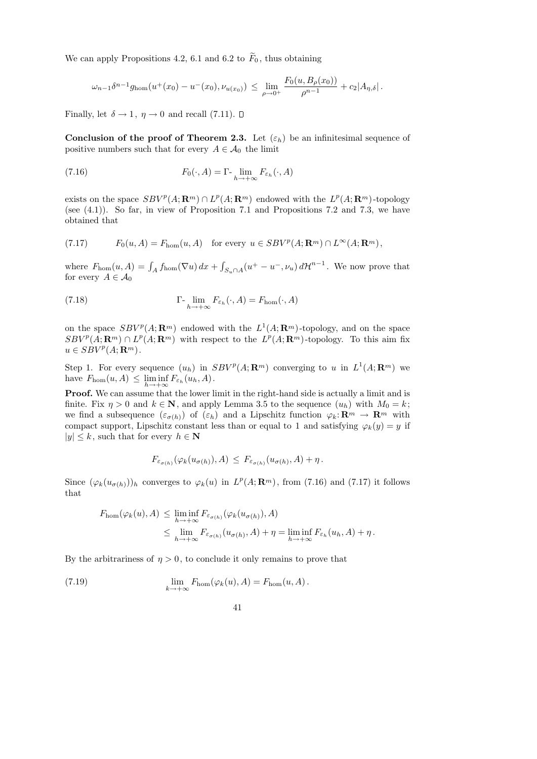We can apply Propositions 4.2, 6.1 and 6.2 to  $\widetilde{F}_0$ , thus obtaining

$$
\omega_{n-1}\delta^{n-1}g_{\text{hom}}(u^+(x_0)-u^-(x_0),\nu_{u(x_0)})\,\leq\,\lim_{\rho\to 0^+}\frac{F_0(u,B_\rho(x_0))}{\rho^{n-1}}+c_2|A_{\eta,\delta}|.
$$

Finally, let  $\delta \rightarrow 1$ ,  $\eta \rightarrow 0$  and recall (7.11).  $\Box$ 

Conclusion of the proof of Theorem 2.3. Let  $(\varepsilon_h)$  be an infinitesimal sequence of positive numbers such that for every  $A \in \mathcal{A}_0$  the limit

(7.16) 
$$
F_0(\cdot, A) = \Gamma \cdot \lim_{h \to +\infty} F_{\varepsilon_h}(\cdot, A)
$$

exists on the space  $SBV^p(A; \mathbf{R}^m) \cap L^p(A; \mathbf{R}^m)$  endowed with the  $L^p(A; \mathbf{R}^m)$ -topology (see  $(4.1)$ ). So far, in view of Proposition 7.1 and Propositions 7.2 and 7.3, we have obtained that

(7.17) 
$$
F_0(u, A) = F_{\text{hom}}(u, A) \text{ for every } u \in SBV^p(A; \mathbf{R}^m) \cap L^{\infty}(A; \mathbf{R}^m),
$$

where  $F_{\text{hom}}(u, A) = \int_A f_{\text{hom}}(\nabla u) dx + \int_{S_u \cap A} (u^+ - u^-, \nu_u) d\mathcal{H}^{n-1}$ . We now prove that for every  $A \in \mathcal{A}_0$ 

(7.18) 
$$
\Gamma_{\lim_{h \to +\infty} F_{\varepsilon_h}}(\cdot, A) = F_{\text{hom}}(\cdot, A)
$$

on the space  $SBV^p(A; \mathbf{R}^m)$  endowed with the  $L^1(A; \mathbf{R}^m)$ -topology, and on the space  $SBV^p(A; \mathbf{R}^m) \cap L^p(A; \mathbf{R}^m)$  with respect to the  $L^p(A; \mathbf{R}^m)$ -topology. To this aim fix  $u \in SBV^p(A; \mathbf{R}^m)$ .

Step 1. For every sequence  $(u_h)$  in  $SBV^p(A; \mathbf{R}^m)$  converging to u in  $L^1(A; \mathbf{R}^m)$  we have  $F_{\text{hom}}(u, A) \leq \liminf_{h \to +\infty} F_{\varepsilon_h}(u_h, A)$ .

Proof. We can assume that the lower limit in the right-hand side is actually a limit and is finite. Fix  $\eta > 0$  and  $k \in \mathbb{N}$ , and apply Lemma 3.5 to the sequence  $(u_h)$  with  $M_0 = k$ ; we find a subsequence  $(\varepsilon_{\sigma(h)})$  of  $(\varepsilon_h)$  and a Lipschitz function  $\varphi_k: \mathbf{R}^m \to \mathbf{R}^m$  with compact support, Lipschitz constant less than or equal to 1 and satisfying  $\varphi_k(y) = y$  if  $|y| \leq k$ , such that for every  $h \in \mathbb{N}$ 

$$
F_{\varepsilon_{\sigma(h)}}(\varphi_k(u_{\sigma(h)}), A) \leq F_{\varepsilon_{\sigma(h)}}(u_{\sigma(h)}, A) + \eta.
$$

Since  $(\varphi_k(u_{\sigma(h)}))_h$  converges to  $\varphi_k(u)$  in  $L^p(A; \mathbf{R}^m)$ , from (7.16) and (7.17) it follows that

$$
F_{\text{hom}}(\varphi_k(u), A) \leq \liminf_{h \to +\infty} F_{\varepsilon_{\sigma(h)}}(\varphi_k(u_{\sigma(h)}), A)
$$
  

$$
\leq \lim_{h \to +\infty} F_{\varepsilon_{\sigma(h)}}(u_{\sigma(h)}, A) + \eta = \liminf_{h \to +\infty} F_{\varepsilon_h}(u_h, A) + \eta.
$$

By the arbitrariness of  $\eta > 0$ , to conclude it only remains to prove that

(7.19) 
$$
\lim_{k \to +\infty} F_{\text{hom}}(\varphi_k(u), A) = F_{\text{hom}}(u, A).
$$

41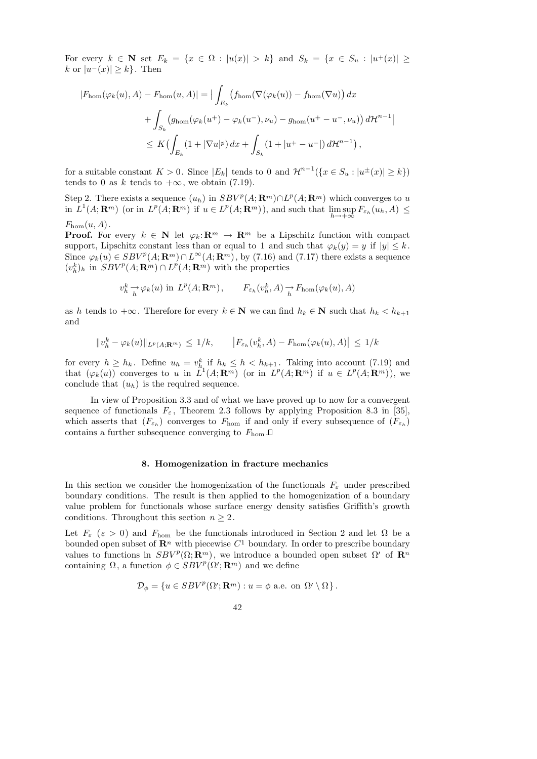For every  $k \in \mathbb{N}$  set  $E_k = \{x \in \Omega : |u(x)| > k\}$  and  $S_k = \{x \in S_u : |u^+(x)| \geq k\}$ k or  $|u^-(x)| \geq k$ . Then

$$
|F_{\text{hom}}(\varphi_k(u), A) - F_{\text{hom}}(u, A)| = \Big| \int_{E_k} \big( f_{\text{hom}}(\nabla(\varphi_k(u)) - f_{\text{hom}}(\nabla u) \big) dx
$$
  
+ 
$$
\int_{S_k} \big( g_{\text{hom}}(\varphi_k(u^+) - \varphi_k(u^-), \nu_u) - g_{\text{hom}}(u^+ - u^-, \nu_u) \big) d\mathcal{H}^{n-1} \Big|
$$
  

$$
\leq K \big( \int_{E_k} (1 + |\nabla u|^p) dx + \int_{S_k} (1 + |u^+ - u^-|) d\mathcal{H}^{n-1} \big),
$$

for a suitable constant  $K > 0$ . Since  $|E_k|$  tends to 0 and  $\mathcal{H}^{n-1}(\lbrace x \in S_u : |u^{\pm}(x)| \geq k \rbrace)$ tends to 0 as k tends to  $+\infty$ , we obtain (7.19).

Step 2. There exists a sequence  $(u_h)$  in  $SBV^p(A; \mathbf{R}^m) \cap L^p(A; \mathbf{R}^m)$  which converges to u in  $L^1(A; \mathbf{R}^m)$  (or in  $L^p(A; \mathbf{R}^m)$  if  $u \in L^p(A; \mathbf{R}^m)$ ), and such that  $\limsup_{h \to \infty} F_{\varepsilon_h}(u_h, A) \leq$  $h\rightarrow+\infty$ 

 $F_{\text{hom}}(u, A)$ .

**Proof.** For every  $k \in \mathbb{N}$  let  $\varphi_k: \mathbb{R}^m \to \mathbb{R}^m$  be a Lipschitz function with compact support, Lipschitz constant less than or equal to 1 and such that  $\varphi_k(y) = y$  if  $|y| \leq k$ . Since  $\varphi_k(u) \in SBV^p(A; \mathbf{R}^m) \cap L^{\infty}(A; \mathbf{R}^m)$ , by (7.16) and (7.17) there exists a sequence  $(v_h^k)_h$  in  $SBV^p(A; \mathbf{R}^m) \cap L^p(A; \mathbf{R}^m)$  with the properties

$$
v_h^k \to \varphi_k(u)
$$
 in  $L^p(A; \mathbf{R}^m)$ ,  $F_{\varepsilon_h}(v_h^k, A) \to F_{\text{hom}}(\varphi_k(u), A)$ 

as h tends to  $+\infty$ . Therefore for every  $k \in \mathbb{N}$  we can find  $h_k \in \mathbb{N}$  such that  $h_k < h_{k+1}$ and

$$
||v_h^k - \varphi_k(u)||_{L^p(A; \mathbf{R}^m)} \leq 1/k, \qquad |F_{\varepsilon_h}(v_h^k, A) - F_{\text{hom}}(\varphi_k(u), A)| \leq 1/k
$$

for every  $h \geq h_k$ . Define  $u_h = v_{h_i}^k$  if  $h_k \leq h \lt h_{k+1}$ . Taking into account (7.19) and that  $(\varphi_k(u))$  converges to u in  $L^1(A; \mathbf{R}^m)$  (or in  $L^p(A; \mathbf{R}^m)$  if  $u \in L^p(A; \mathbf{R}^m)$ ), we conclude that  $(u_h)$  is the required sequence.

In view of Proposition 3.3 and of what we have proved up to now for a convergent sequence of functionals  $F_{\varepsilon}$ , Theorem 2.3 follows by applying Proposition 8.3 in [35], which asserts that  $(F_{\varepsilon_h})$  converges to  $F_{\text{hom}}$  if and only if every subsequence of  $(F_{\varepsilon_h})$ contains a further subsequence converging to  $F_{\text{hom}}$ .

## 8. Homogenization in fracture mechanics

In this section we consider the homogenization of the functionals  $F_{\varepsilon}$  under prescribed boundary conditions. The result is then applied to the homogenization of a boundary value problem for functionals whose surface energy density satisfies Griffith's growth conditions. Throughout this section  $n \geq 2$ .

Let  $F_{\varepsilon}$  ( $\varepsilon > 0$ ) and  $F_{\text{hom}}$  be the functionals introduced in Section 2 and let  $\Omega$  be a bounded open subset of  $\mathbb{R}^n$  with piecewise  $C^1$  boundary. In order to prescribe boundary values to functions in  $SBV^p(\Omega;\mathbf{R}^m)$ , we introduce a bounded open subset  $\Omega'$  of  $\mathbf{R}^n$ containing  $\Omega$ , a function  $\phi \in SBV^p(\Omega';\mathbf{R}^m)$  and we define

$$
\mathcal{D}_{\phi} = \{ u \in SBV^{p}(\Omega'; \mathbf{R}^{m}) : u = \phi \text{ a.e. on } \Omega' \setminus \Omega \}.
$$

$$
42\,
$$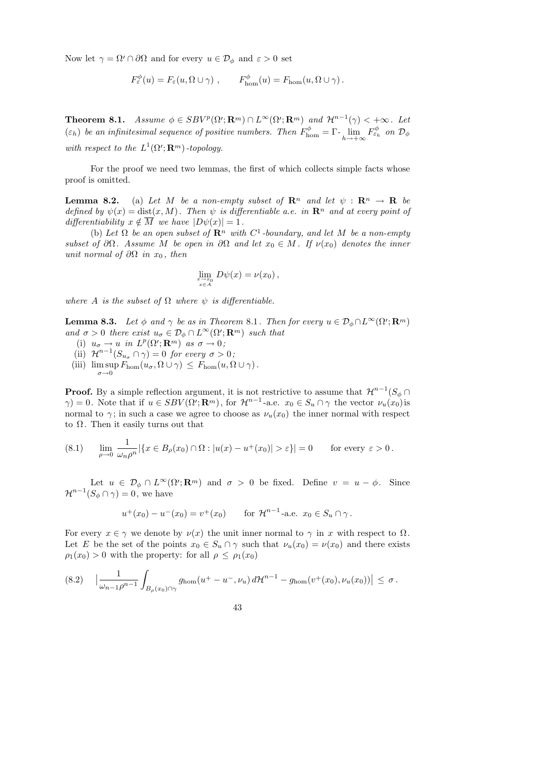Now let  $\gamma = \Omega' \cap \partial \Omega$  and for every  $u \in \mathcal{D}_{\phi}$  and  $\varepsilon > 0$  set

$$
F_{\varepsilon}^{\phi}(u) = F_{\varepsilon}(u, \Omega \cup \gamma) , \qquad F_{\text{hom}}^{\phi}(u) = F_{\text{hom}}(u, \Omega \cup \gamma) .
$$

Theorem 8.1. Assume  $\phi \in SBV^p(\Omega';\mathbf{R}^m) \cap L^{\infty}(\Omega';\mathbf{R}^m)$  and  $\mathcal{H}^{n-1}(\gamma) < +\infty$ . Let ( $\varepsilon_h$ ) be an infinitesimal sequence of positive numbers. Then  $F_{\text{hom}}^{\phi} = \Gamma \cdot \lim_{h \to +\infty} F_{\varepsilon_h}^{\phi}$  on  $\mathcal{D}_{\phi}$ with respect to the  $L^1(\Omega';\mathbf{R}^m)$ -topology.

For the proof we need two lemmas, the first of which collects simple facts whose proof is omitted.

**Lemma 8.2.** (a) Let M be a non-empty subset of  $\mathbb{R}^n$  and let  $\psi$  :  $\mathbb{R}^n \to \mathbb{R}$  be defined by  $\psi(x) = \text{dist}(x, M)$ . Then  $\psi$  is differentiable a.e. in  $\mathbb{R}^n$  and at every point of differentiability  $x \notin \overline{M}$  we have  $|D\psi(x)| = 1$ .

(b) Let  $\Omega$  be an open subset of  $\mathbb{R}^n$  with  $C^1$ -boundary, and let M be a non-empty subset of  $\partial\Omega$ . Assume M be open in  $\partial\Omega$  and let  $x_0 \in M$ . If  $\nu(x_0)$  denotes the inner unit normal of  $\partial\Omega$  in  $x_0$ , then

$$
\lim_{\substack{x \to x_0 \\ x \in A}} D\psi(x) = \nu(x_0),
$$

where A is the subset of  $\Omega$  where  $\psi$  is differentiable.

**Lemma 8.3.** Let  $\phi$  and  $\gamma$  be as in Theorem 8.1. Then for every  $u \in \mathcal{D}_{\phi} \cap L^{\infty}(\Omega'; \mathbf{R}^m)$ and  $\sigma > 0$  there exist  $u_{\sigma} \in \mathcal{D}_{\phi} \cap L^{\infty}(\Omega'; \mathbf{R}^m)$  such that

- (i)  $u_{\sigma} \to u$  in  $L^p(\Omega'; \mathbf{R}^m)$  as  $\sigma \to 0$ ;
- (ii)  $\mathcal{H}^{n-1}(S_{u_{\sigma}} \cap \gamma) = 0$  for every  $\sigma > 0$ ;
- (iii)  $\limsup F_{\text{hom}}(u_{\sigma}, \Omega \cup \gamma) \leq F_{\text{hom}}(u, \Omega \cup \gamma)$ .  $\sigma \rightarrow 0$

**Proof.** By a simple reflection argument, it is not restrictive to assume that  $\mathcal{H}^{n-1}(S_{\phi} \cap \mathbb{R})$  $\gamma$ ) = 0. Note that if  $u \in SBV(\Omega'; \mathbf{R}^m)$ , for  $\mathcal{H}^{n-1}$ -a.e.  $x_0 \in S_u \cap \gamma$  the vector  $\nu_u(x_0)$  is normal to  $\gamma$ ; in such a case we agree to choose as  $\nu_u(x_0)$  the inner normal with respect to  $\Omega$ . Then it easily turns out that

(8.1) 
$$
\lim_{\rho \to 0} \frac{1}{\omega_n \rho^n} |\{x \in B_\rho(x_0) \cap \Omega : |u(x) - u^+(x_0)| > \varepsilon\}| = 0 \quad \text{for every } \varepsilon > 0.
$$

Let  $u \in \mathcal{D}_{\phi} \cap L^{\infty}(\Omega'; \mathbf{R}^m)$  and  $\sigma > 0$  be fixed. Define  $v = u - \phi$ . Since  $\mathcal{H}^{n-1}(S_{\phi} \cap \gamma) = 0$ , we have

$$
u^+(x_0) - u^-(x_0) = v^+(x_0)
$$
 for  $\mathcal{H}^{n-1}$ -a.e.  $x_0 \in S_u \cap \gamma$ .

For every  $x \in \gamma$  we denote by  $\nu(x)$  the unit inner normal to  $\gamma$  in x with respect to  $\Omega$ . Let E be the set of the points  $x_0 \in S_u \cap \gamma$  such that  $\nu_u(x_0) = \nu(x_0)$  and there exists  $\rho_1(x_0) > 0$  with the property: for all  $\rho \leq \rho_1(x_0)$ 

$$
(8.2) \quad \left| \frac{1}{\omega_{n-1}\rho^{n-1}} \int_{B_{\rho}(x_0)\cap \gamma} g_{\text{hom}}(u^+ - u^-, \nu_u) d\mathcal{H}^{n-1} - g_{\text{hom}}(v^+(x_0), \nu_u(x_0)) \right| \leq \sigma.
$$

43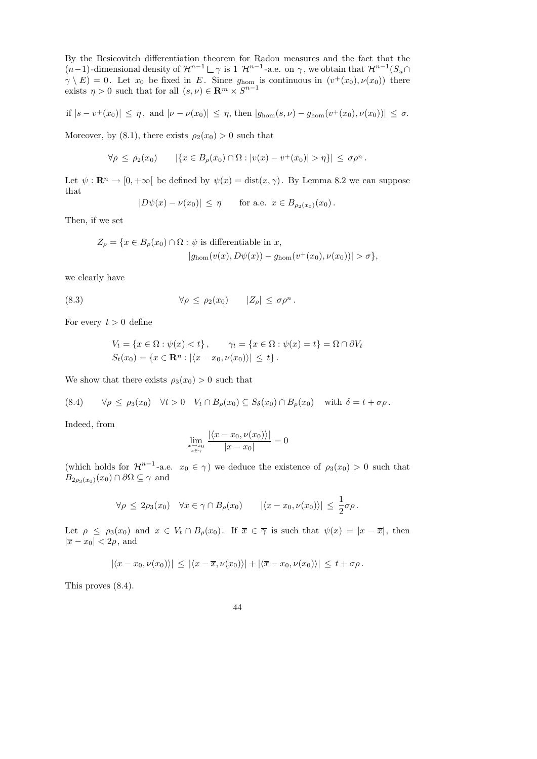By the Besicovitch differentiation theorem for Radon measures and the fact that the  $(n-1)$ -dimensional density of  $\mathcal{H}^{n-1} \sqcup \gamma$  is 1  $\mathcal{H}^{n-1}$ -a.e. on  $\gamma$ , we obtain that  $\mathcal{H}^{n-1}(S_u \cap$  $\gamma \setminus E = 0$ . Let  $x_0$  be fixed in E. Since  $g_{\text{hom}}$  is continuous in  $(v^+(x_0), \nu(x_0))$  there exists  $\eta > 0$  such that for all  $(s, \nu) \in \mathbb{R}^m \times S^{n-1}$ 

if 
$$
|s - v^+(x_0)| \leq \eta
$$
, and  $|\nu - \nu(x_0)| \leq \eta$ , then  $|g_{\text{hom}}(s, \nu) - g_{\text{hom}}(v^+(x_0), \nu(x_0))| \leq \sigma$ .

Moreover, by (8.1), there exists  $\rho_2(x_0) > 0$  such that

$$
\forall \rho \leq \rho_2(x_0) \qquad |\{x \in B_\rho(x_0) \cap \Omega : |v(x) - v^+(x_0)| > \eta\}| \leq \sigma \rho^n.
$$

Let  $\psi : \mathbf{R}^n \to [0, +\infty[$  be defined by  $\psi(x) = \text{dist}(x, \gamma)$ . By Lemma 8.2 we can suppose that

$$
|D\psi(x) - \nu(x_0)| \leq \eta
$$
 for a.e.  $x \in B_{\rho_2(x_0)}(x_0)$ .

Then, if we set

$$
Z_{\rho} = \{x \in B_{\rho}(x_0) \cap \Omega : \psi \text{ is differentiable in } x, |g_{\text{hom}}(v(x), D\psi(x)) - g_{\text{hom}}(v^+(x_0), \nu(x_0))| > \sigma \},\
$$

we clearly have

(8.3) 
$$
\forall \rho \leq \rho_2(x_0) \qquad |Z_\rho| \leq \sigma \rho^n.
$$

For every  $t > 0$  define

$$
V_t = \{x \in \Omega : \psi(x) < t\}, \qquad \gamma_t = \{x \in \Omega : \psi(x) = t\} = \Omega \cap \partial V_t
$$
\n
$$
S_t(x_0) = \{x \in \mathbb{R}^n : |\langle x - x_0, \nu(x_0) \rangle| \le t\}.
$$

We show that there exists  $\rho_3(x_0) > 0$  such that

$$
(8.4) \qquad \forall \rho \le \rho_3(x_0) \quad \forall t > 0 \quad V_t \cap B_{\rho}(x_0) \subseteq S_{\delta}(x_0) \cap B_{\rho}(x_0) \quad \text{with } \delta = t + \sigma \rho.
$$

Indeed, from

$$
\lim_{\substack{x \to x_0 \\ x \in \gamma}} \frac{|\langle x - x_0, \nu(x_0) \rangle|}{|x - x_0|} = 0
$$

(which holds for  $\mathcal{H}^{n-1}$ -a.e.  $x_0 \in \gamma$ ) we deduce the existence of  $\rho_3(x_0) > 0$  such that  $B_{2\rho_3(x_0)}(x_0) \cap \partial\Omega \subseteq \gamma$  and

$$
\forall \rho \leq 2\rho_3(x_0) \quad \forall x \in \gamma \cap B_{\rho}(x_0) \qquad |\langle x - x_0, \nu(x_0) \rangle| \leq \frac{1}{2}\sigma\rho.
$$

Let  $\rho \leq \rho_3(x_0)$  and  $x \in V_t \cap B_\rho(x_0)$ . If  $\overline{x} \in \overline{\gamma}$  is such that  $\psi(x) = |x - \overline{x}|$ , then  $|\overline{x} - x_0| < 2\rho$ , and

$$
|\langle x-x_0,\nu(x_0)\rangle| \leq |\langle x-\overline{x},\nu(x_0)\rangle| + |\langle \overline{x}-x_0,\nu(x_0)\rangle| \leq t + \sigma \rho.
$$

This proves (8.4).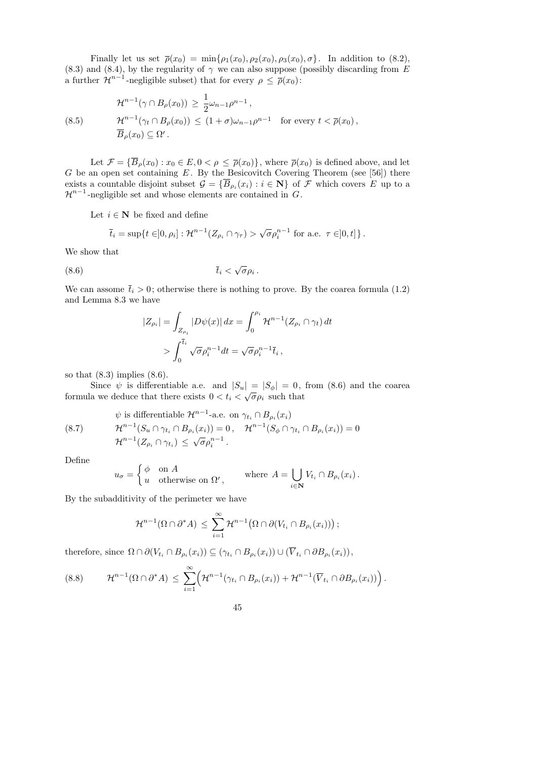Finally let us set  $\bar{\rho}(x_0) = \min\{\rho_1(x_0), \rho_2(x_0), \rho_3(x_0), \sigma\}.$  In addition to (8.2), (8.3) and (8.4), by the regularity of  $\gamma$  we can also suppose (possibly discarding from E a further  $\mathcal{H}^{n-1}$ -negligible subset) that for every  $\rho \leq \bar{\rho}(x_0)$ :

(8.5) 
$$
\mathcal{H}^{n-1}(\gamma \cap B_{\rho}(x_0)) \geq \frac{1}{2}\omega_{n-1}\rho^{n-1},
$$

$$
\mathcal{H}^{n-1}(\gamma_t \cap B_{\rho}(x_0)) \leq (1+\sigma)\omega_{n-1}\rho^{n-1} \text{ for every } t < \overline{\rho}(x_0),
$$

$$
\overline{B}_{\rho}(x_0) \subseteq \Omega'.
$$

Let  $\mathcal{F} = {\overline{B}_{\rho}(x_0) : x_0 \in E, 0 < \rho \leq \overline{\rho}(x_0)}$ , where  $\overline{\rho}(x_0)$  is defined above, and let G be an open set containing  $E$ . By the Besicovitch Covering Theorem (see [56]) there exists a countable disjoint subset  $\mathcal{G} = \{B_{\rho_i}(x_i) : i \in \mathbb{N}\}\$  of  $\mathcal F$  which covers  $E$  up to a  $\mathcal{H}^{n-1}$ -negligible set and whose elements are contained in G.

Let  $i \in \mathbb{N}$  be fixed and define

$$
\overline{t}_i = \sup\{t \in ]0, \rho_i]: \mathcal{H}^{n-1}(Z_{\rho_i} \cap \gamma_\tau) > \sqrt{\sigma} \rho_i^{n-1} \text{ for a.e. } \tau \in ]0, t] \}.
$$

We show that

$$
(8.6) \t\t \bar{t}_i < \sqrt{\sigma} \rho_i .
$$

We can assome  $\bar{t}_i > 0$ ; otherwise there is nothing to prove. By the coarea formula (1.2) and Lemma 8.3 we have

$$
|Z_{\rho_i}| = \int_{Z_{\rho_i}} |D\psi(x)| dx = \int_0^{\rho_i} \mathcal{H}^{n-1}(Z_{\rho_i} \cap \gamma_t) dt
$$
  
> 
$$
\int_0^{\overline{t}_i} \sqrt{\sigma} \rho_i^{n-1} dt = \sqrt{\sigma} \rho_i^{n-1} \overline{t}_i ,
$$

so that  $(8.3)$  implies  $(8.6)$ .

Since  $\psi$  is differentiable a.e. and  $|S_u| = |S_{\phi}| = 0$ , from (8.6) and the coarea formula we deduce that there exists  $0 < t_i < \sqrt{\sigma \rho_i}$  such that

(8.7) 
$$
\psi \text{ is differentiable } \mathcal{H}^{n-1}\text{-a.e. on } \gamma_{t_i} \cap B_{\rho_i}(x_i)
$$

$$
\mathcal{H}^{n-1}(S_u \cap \gamma_{t_i} \cap B_{\rho_i}(x_i)) = 0, \quad \mathcal{H}^{n-1}(S_{\phi} \cap \gamma_{t_i} \cap B_{\rho_i}(x_i)) = 0
$$

$$
\mathcal{H}^{n-1}(Z_{\rho_i} \cap \gamma_{t_i}) \leq \sqrt{\sigma} \rho_i^{n-1}.
$$

Define

$$
u_{\sigma} = \begin{cases} \phi & \text{on } A \\ u & \text{otherwise on } \Omega', \end{cases} \quad \text{where } A = \bigcup_{i \in \mathbf{N}} V_{t_i} \cap B_{\rho_i}(x_i) \,.
$$

By the subadditivity of the perimeter we have

$$
\mathcal{H}^{n-1}(\Omega \cap \partial^* A) \leq \sum_{i=1}^{\infty} \mathcal{H}^{n-1}(\Omega \cap \partial (V_{t_i} \cap B_{\rho_i}(x_i)))
$$

therefore, since  $\Omega \cap \partial (V_{t_i} \cap B_{\rho_i}(x_i)) \subseteq (\gamma_{t_i} \cap B_{\rho_i}(x_i)) \cup (V_{t_i} \cap \partial B_{\rho_i}(x_i)),$ 

$$
(8.8) \qquad \mathcal{H}^{n-1}(\Omega \cap \partial^* A) \leq \sum_{i=1}^{\infty} \Bigl(\mathcal{H}^{n-1}(\gamma_{t_i} \cap B_{\rho_i}(x_i)) + \mathcal{H}^{n-1}(\overline{V}_{t_i} \cap \partial B_{\rho_i}(x_i))\Bigr).
$$

45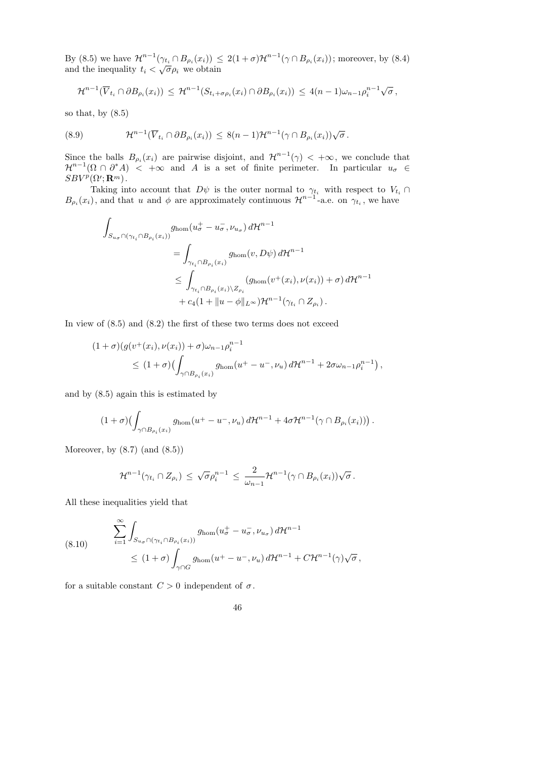By (8.5) we have  $\mathcal{H}^{n-1}(\gamma_{t_i} \cap B_{\rho_i}(x_i)) \leq 2(1+\sigma)\mathcal{H}^{n-1}(\gamma \cap B_{\rho_i}(x_i))$ ; moreover, by (8.4) and the inequality  $t_i$  < √  $\overline{\sigma} \rho_i$  we obtain

$$
\mathcal{H}^{n-1}(\overline{V}_{t_i} \cap \partial B_{\rho_i}(x_i)) \leq \mathcal{H}^{n-1}(S_{t_i+\sigma\rho_i}(x_i) \cap \partial B_{\rho_i}(x_i)) \leq 4(n-1)\omega_{n-1}\rho_i^{n-1}\sqrt{\sigma},
$$

so that, by  $(8.5)$ 

(8.9) 
$$
\mathcal{H}^{n-1}(\overline{V}_{t_i} \cap \partial B_{\rho_i}(x_i)) \leq 8(n-1)\mathcal{H}^{n-1}(\gamma \cap B_{\rho_i}(x_i))\sqrt{\sigma}.
$$

Since the balls  $B_{\rho_i}(x_i)$  are pairwise disjoint, and  $\mathcal{H}^{n-1}(\gamma) < +\infty$ , we conclude that  $\mathcal{H}^{n-1}(\Omega \cap \partial^* A)$  <  $+\infty$  and A is a set of finite perimeter. In particular  $u_{\sigma} \in$  $SBV^p(\Omega';\mathbf{R}^m)$ .

Taking into account that  $D\psi$  is the outer normal to  $\gamma_{t_i}$  with respect to  $V_{t_i} \cap$  $B_{\rho_i}(x_i)$ , and that u and  $\phi$  are approximately continuous  $\mathcal{H}^{n-1}$ -a.e. on  $\gamma_{t_i}$ , we have

$$
\int_{S_{u_{\sigma}} \cap (\gamma_{t_i} \cap B_{\rho_i}(x_i))} g_{\text{hom}}(u_{\sigma}^+ - u_{\sigma}^-, \nu_{u_{\sigma}}) d\mathcal{H}^{n-1}
$$
\n
$$
= \int_{\gamma_{t_i} \cap B_{\rho_i}(x_i)} g_{\text{hom}}(v, D\psi) d\mathcal{H}^{n-1}
$$
\n
$$
\leq \int_{\gamma_{t_i} \cap B_{\rho_i}(x_i) \setminus Z_{\rho_i}} (g_{\text{hom}}(v^+(x_i), \nu(x_i)) + \sigma) d\mathcal{H}^{n-1}
$$
\n
$$
+ c_4 (1 + ||u - \phi||_{L^{\infty}}) \mathcal{H}^{n-1}(\gamma_{t_i} \cap Z_{\rho_i}).
$$

In view of  $(8.5)$  and  $(8.2)$  the first of these two terms does not exceed

$$
(1+\sigma)(g(v^+(x_i), \nu(x_i)) + \sigma)\omega_{n-1}\rho_i^{n-1}
$$
  
\$\leq (1+\sigma)(\int\_{\gamma \cap B\_{\rho\_i}(x\_i)} g\_{\text{hom}}(u^+ - u^-, \nu\_u) d\mathcal{H}^{n-1} + 2\sigma\omega\_{n-1}\rho\_i^{n-1}),\$

and by (8.5) again this is estimated by

$$
(1+\sigma)\bigl(\int_{\gamma\cap B_{\rho_i}(x_i)}g_{\text{hom}}(u^+-u^-,\nu_u)\,d\mathcal{H}^{n-1}+4\sigma\mathcal{H}^{n-1}(\gamma\cap B_{\rho_i}(x_i))\bigr)\,.
$$

Moreover, by  $(8.7)$   $(and (8.5))$ 

$$
\mathcal{H}^{n-1}(\gamma_{t_i}\cap Z_{\rho_i})\,\leq\,\sqrt{\sigma}\rho_i^{n-1}\,\leq\,\frac{2}{\omega_{n-1}}\mathcal{H}^{n-1}(\gamma\cap B_{\rho_i}(x_i))\sqrt{\sigma}\,.
$$

All these inequalities yield that

(8.10) 
$$
\sum_{i=1}^{\infty} \int_{S_{u_{\sigma}} \cap (\gamma_{t_i} \cap B_{\rho_i}(x_i))} g_{\text{hom}}(u_{\sigma}^+ - u_{\sigma}^-, \nu_{u_{\sigma}}) d\mathcal{H}^{n-1} \le (1+\sigma) \int_{\gamma \cap G} g_{\text{hom}}(u^+ - u^-, \nu_u) d\mathcal{H}^{n-1} + C\mathcal{H}^{n-1}(\gamma) \sqrt{\sigma},
$$

for a suitable constant  $C > 0$  independent of  $\sigma$ .

46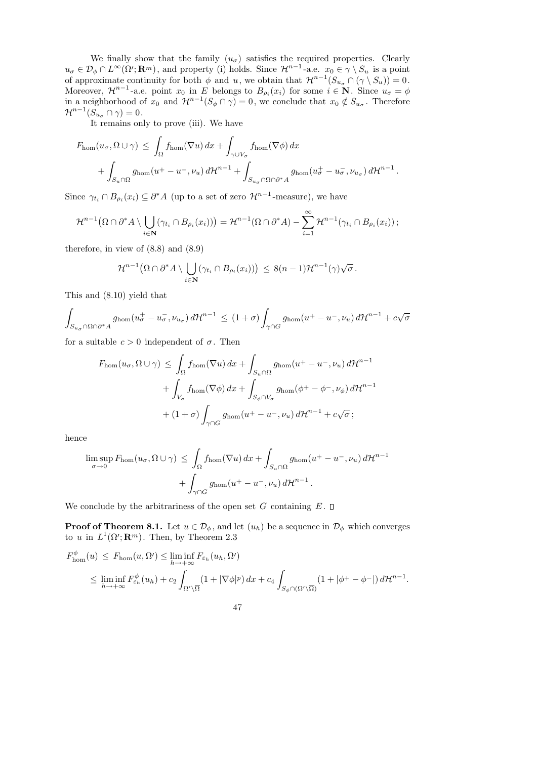We finally show that the family  $(u_{\sigma})$  satisfies the required properties. Clearly  $u_{\sigma} \in \mathcal{D}_{\phi} \cap L^{\infty}(\Omega'; \mathbf{R}^m)$ , and property (i) holds. Since  $\mathcal{H}^{n-1}$ -a.e.  $x_0 \in \gamma \setminus S_u$  is a point of approximate continuity for both  $\phi$  and u, we obtain that  $\mathcal{H}^{n-1}(S_{u_{\sigma}} \cap (\gamma \setminus S_u)) = 0$ . Moreover,  $\mathcal{H}^{n-1}$ -a.e. point  $x_0$  in E belongs to  $B_{\rho_i}(x_i)$  for some  $i \in \mathbb{N}$ . Since  $u_{\sigma} = \phi$ in a neighborhood of  $x_0$  and  $\mathcal{H}^{n-1}(S_{\phi} \cap \gamma) = 0$ , we conclude that  $x_0 \notin S_{u_{\sigma}}$ . Therefore  $\mathcal{H}^{n-1}(S_{u_{\sigma}}\cap \gamma)=0.$ 

It remains only to prove (iii). We have

$$
F_{\text{hom}}(u_{\sigma}, \Omega \cup \gamma) \leq \int_{\Omega} f_{\text{hom}}(\nabla u) dx + \int_{\gamma \cup V_{\sigma}} f_{\text{hom}}(\nabla \phi) dx + \int_{S_{u_{\sigma}} \cap \Omega \cap \partial^{*} A} g_{\text{hom}}(u_{\sigma}^{+} - u_{\sigma}^{-}, \nu_{u_{\sigma}}) d\mathcal{H}^{n-1}.
$$

Since  $\gamma_{t_i} \cap B_{\rho_i}(x_i) \subseteq \partial^* A$  (up to a set of zero  $\mathcal{H}^{n-1}$ -measure), we have

$$
\mathcal{H}^{n-1}(\Omega \cap \partial^* A \setminus \bigcup_{i \in \mathbf{N}} (\gamma_{t_i} \cap B_{\rho_i}(x_i))) = \mathcal{H}^{n-1}(\Omega \cap \partial^* A) - \sum_{i=1}^{\infty} \mathcal{H}^{n-1}(\gamma_{t_i} \cap B_{\rho_i}(x_i));
$$

therefore, in view of  $(8.8)$  and  $(8.9)$ 

$$
\mathcal{H}^{n-1}(\Omega \cap \partial^* A \setminus \bigcup_{i \in \mathbf{N}} (\gamma_{t_i} \cap B_{\rho_i}(x_i))) \leq 8(n-1)\mathcal{H}^{n-1}(\gamma)\sqrt{\sigma}.
$$

This and (8.10) yield that

$$
\int_{S_{u_{\sigma}} \cap \Omega \cap \partial^* A} g_{\text{hom}}(u_{\sigma}^+ - u_{\sigma}^-, \nu_{u_{\sigma}}) d\mathcal{H}^{n-1} \le (1+\sigma) \int_{\gamma \cap G} g_{\text{hom}}(u^+ - u^-, \nu_u) d\mathcal{H}^{n-1} + c\sqrt{\sigma}
$$

for a suitable  $c > 0$  independent of  $\sigma$ . Then

$$
F_{\text{hom}}(u_{\sigma}, \Omega \cup \gamma) \leq \int_{\Omega} f_{\text{hom}}(\nabla u) dx + \int_{S_u \cap \Omega} g_{\text{hom}}(u^+ - u^-, \nu_u) d\mathcal{H}^{n-1}
$$
  
+ 
$$
\int_{V_{\sigma}} f_{\text{hom}}(\nabla \phi) dx + \int_{S_{\phi} \cap V_{\sigma}} g_{\text{hom}}(\phi^+ - \phi^-, \nu_{\phi}) d\mathcal{H}^{n-1}
$$
  
+ 
$$
(1 + \sigma) \int_{\gamma \cap G} g_{\text{hom}}(u^+ - u^-, \nu_u) d\mathcal{H}^{n-1} + c\sqrt{\sigma} ;
$$

hence

$$
\limsup_{\sigma \to 0} F_{\text{hom}}(u_{\sigma}, \Omega \cup \gamma) \leq \int_{\Omega} f_{\text{hom}}(\nabla u) dx + \int_{S_u \cap \Omega} g_{\text{hom}}(u^+ - u^-, \nu_u) d\mathcal{H}^{n-1} + \int_{\gamma \cap G} g_{\text{hom}}(u^+ - u^-, \nu_u) d\mathcal{H}^{n-1}.
$$

We conclude by the arbitrariness of the open set G containing  $E$ .  $\square$ 

**Proof of Theorem 8.1.** Let  $u \in \mathcal{D}_{\phi}$ , and let  $(u_h)$  be a sequence in  $\mathcal{D}_{\phi}$  which converges to u in  $L^1(\Omega'; \mathbf{R}^m)$ . Then, by Theorem 2.3

$$
F_{\text{hom}}^{\phi}(u) \leq F_{\text{hom}}(u, \Omega') \leq \liminf_{h \to +\infty} F_{\varepsilon_h}(u_h, \Omega')
$$
  
\$\leq \liminf\_{h \to +\infty} F\_{\varepsilon\_h}^{\phi}(u\_h) + c\_2 \int\_{\Omega' \setminus \overline{\Omega}} (1 + |\nabla \phi|^p) dx + c\_4 \int\_{S\_{\phi} \cap (\Omega' \setminus \overline{\Omega})} (1 + |\phi^+ - \phi^-|) d\mathcal{H}^{n-1}\$.

47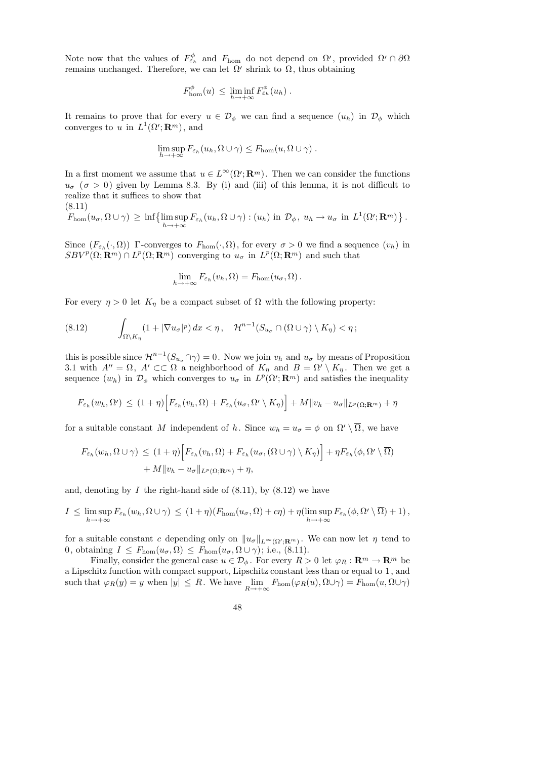Note now that the values of  $F_{\varepsilon_h}^{\phi}$  and  $F_{\text{hom}}$  do not depend on  $\Omega'$ , provided  $\Omega' \cap \partial \Omega$ remains unchanged. Therefore, we can let  $\Omega'$  shrink to  $\Omega$ , thus obtaining

$$
F_{\rm hom}^{\phi}(u) \leq \liminf_{h \to +\infty} F_{\varepsilon_h}^{\phi}(u_h) .
$$

It remains to prove that for every  $u \in \mathcal{D}_{\phi}$  we can find a sequence  $(u_h)$  in  $\mathcal{D}_{\phi}$  which converges to u in  $L^1(\Omega'; \mathbf{R}^m)$ , and

$$
\limsup_{h\to+\infty} F_{\varepsilon_h}(u_h,\Omega\cup\gamma)\leq F_{\rm hom}(u,\Omega\cup\gamma).
$$

In a first moment we assume that  $u \in L^{\infty}(\Omega'; \mathbf{R}^m)$ . Then we can consider the functions  $u_{\sigma}$  ( $\sigma > 0$ ) given by Lemma 8.3. By (i) and (iii) of this lemma, it is not difficult to realize that it suffices to show that

$$
(8.11)
$$

$$
F_{\text{hom}}(u_{\sigma}, \Omega \cup \gamma) \geq \inf \{ \limsup_{h \to +\infty} F_{\varepsilon_h}(u_h, \Omega \cup \gamma) : (u_h) \text{ in } \mathcal{D}_{\phi}, u_h \to u_{\sigma} \text{ in } L^1(\Omega'; \mathbf{R}^m) \}.
$$

Since  $(F_{\varepsilon_h}(\cdot, \Omega))$  Γ-converges to  $F_{\text{hom}}(\cdot, \Omega)$ , for every  $\sigma > 0$  we find a sequence  $(v_h)$  in  $SBV^p(\Omega; \mathbf{R}^m) \cap L^p(\Omega; \mathbf{R}^m)$  converging to  $u_{\sigma}$  in  $L^p(\Omega; \mathbf{R}^m)$  and such that

$$
\lim_{h\to+\infty} F_{\varepsilon_h}(v_h,\Omega) = F_{\text{hom}}(u_\sigma,\Omega).
$$

For every  $\eta > 0$  let  $K_{\eta}$  be a compact subset of  $\Omega$  with the following property:

(8.12) 
$$
\int_{\Omega\setminus K_{\eta}} (1+|\nabla u_{\sigma}|^{p}) dx < \eta, \quad \mathcal{H}^{n-1}(S_{u_{\sigma}} \cap (\Omega \cup \gamma) \setminus K_{\eta}) < \eta;
$$

this is possible since  $\mathcal{H}^{n-1}(S_{u_\sigma} \cap \gamma) = 0$ . Now we join  $v_h$  and  $u_\sigma$  by means of Proposition 3.1 with  $A'' = \Omega$ ,  $A' \subset\subset \Omega$  a neighborhood of  $K_{\eta}$  and  $B = \Omega' \setminus K_{\eta}$ . Then we get a sequence  $(w_h)$  in  $\mathcal{D}_{\phi}$  which converges to  $u_{\sigma}$  in  $L^p(\Omega'; \mathbf{R}^m)$  and satisfies the inequality

$$
F_{\varepsilon_h}(w_h, \Omega') \le (1+\eta) \Big[ F_{\varepsilon_h}(v_h, \Omega) + F_{\varepsilon_h}(u_\sigma, \Omega' \setminus K_\eta) \Big] + M \| v_h - u_\sigma \|_{L^p(\Omega; \mathbf{R}^m)} + \eta
$$

for a suitable constant M independent of h. Since  $w_h = u_{\sigma} = \phi$  on  $\Omega' \setminus \overline{\Omega}$ , we have

$$
F_{\varepsilon_h}(w_h, \Omega \cup \gamma) \le (1 + \eta) \Big[ F_{\varepsilon_h}(v_h, \Omega) + F_{\varepsilon_h}(u_\sigma, (\Omega \cup \gamma) \setminus K_\eta) \Big] + \eta F_{\varepsilon_h}(\phi, \Omega' \setminus \overline{\Omega})
$$
  
+  $M \| v_h - u_\sigma \|_{L^p(\Omega; \mathbf{R}^m)} + \eta,$ 

and, denoting by  $I$  the right-hand side of  $(8.11)$ , by  $(8.12)$  we have

$$
I \leq \limsup_{h \to +\infty} F_{\varepsilon_h}(w_h, \Omega \cup \gamma) \leq (1+\eta)(F_{\text{hom}}(u_{\sigma}, \Omega) + c\eta) + \eta(\limsup_{h \to +\infty} F_{\varepsilon_h}(\phi, \Omega' \setminus \overline{\Omega}) + 1),
$$

for a suitable constant c depending only on  $||u_{\sigma}||_{L^{\infty}(\Omega';\mathbf{R}^m)}$ . We can now let  $\eta$  tend to 0, obtaining  $I \leq F_{\text{hom}}(u_{\sigma}, \Omega) \leq F_{\text{hom}}(u_{\sigma}, \Omega \cup \gamma)$ ; i.e., (8.11).

Finally, consider the general case  $u \in \mathcal{D}_{\phi}$ . For every  $R > 0$  let  $\varphi_R : \mathbf{R}^m \to \mathbf{R}^m$  be a Lipschitz function with compact support, Lipschitz constant less than or equal to 1, and such that  $\varphi_R(y) = y$  when  $|y| \le R$ . We have  $\lim_{R \to +\infty} F_{\text{hom}}(\varphi_R(u), \Omega \cup \gamma) = F_{\text{hom}}(u, \Omega \cup \gamma)$ 

48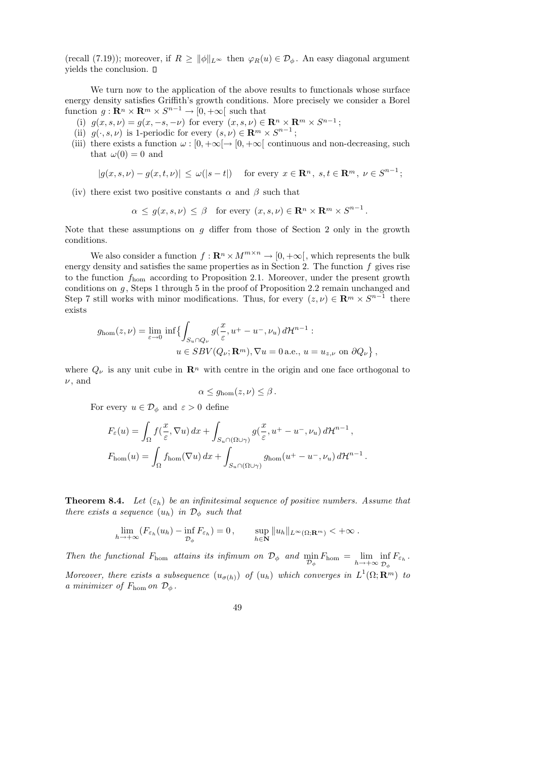(recall (7.19)); moreover, if  $R \ge ||\phi||_{L^{\infty}}$  then  $\varphi_R(u) \in \mathcal{D}_{\phi}$ . An easy diagonal argument yields the conclusion.

We turn now to the application of the above results to functionals whose surface energy density satisfies Griffith's growth conditions. More precisely we consider a Borel function  $g: \mathbf{R}^n \times \mathbf{R}^m \times S^{n-1} \to [0, +\infty[$  such that

- (i)  $g(x, s, \nu) = g(x, -s, -\nu)$  for every  $(x, s, \nu) \in \mathbb{R}^n \times \mathbb{R}^m \times S^{n-1}$ ;
- (ii)  $g(\cdot, s, \nu)$  is 1-periodic for every  $(s, \nu) \in \mathbb{R}^m \times S^{n-1}$ ;
- (iii) there exists a function  $\omega : [0, +\infty) \to [0, +\infty)$  continuous and non-decreasing, such that  $\omega(0) = 0$  and

$$
|g(x, s, \nu) - g(x, t, \nu)| \le \omega(|s - t|) \quad \text{for every } x \in \mathbf{R}^n, s, t \in \mathbf{R}^m, \nu \in S^{n-1};
$$

(iv) there exist two positive constants  $\alpha$  and  $\beta$  such that

$$
\alpha \leq g(x, s, \nu) \leq \beta
$$
 for every  $(x, s, \nu) \in \mathbb{R}^n \times \mathbb{R}^m \times S^{n-1}$ .

Note that these assumptions on g differ from those of Section 2 only in the growth conditions.

We also consider a function  $f: \mathbf{R}^n \times M^{m \times n} \to [0, +\infty]$ , which represents the bulk energy density and satisfies the same properties as in Section 2. The function  $f$  gives rise to the function fhom according to Proposition 2.1. Moreover, under the present growth conditions on  $g$ , Steps 1 through 5 in the proof of Proposition 2.2 remain unchanged and Step 7 still works with minor modifications. Thus, for every  $(z, \nu) \in \mathbb{R}^m \times S^{n-1}$  there exists

$$
g_{\text{hom}}(z,\nu) = \lim_{\varepsilon \to 0} \inf \{ \int_{S_u \cap Q_{\nu}} g(\frac{x}{\varepsilon}, u^+ - u^-, \nu_u) d\mathcal{H}^{n-1} :
$$
  

$$
u \in SBV(Q_{\nu}; \mathbf{R}^m), \nabla u = 0 \text{ a.e., } u = u_{z,\nu} \text{ on } \partial Q_{\nu} \},
$$

where  $Q_{\nu}$  is any unit cube in  $\mathbb{R}^n$  with centre in the origin and one face orthogonal to  $\nu$ , and

$$
\alpha \leq g_{\rm hom}(z,\nu) \leq \beta.
$$

For every  $u \in \mathcal{D}_{\phi}$  and  $\varepsilon > 0$  define

$$
F_{\varepsilon}(u) = \int_{\Omega} f(\frac{x}{\varepsilon}, \nabla u) dx + \int_{S_u \cap (\Omega \cup \gamma)} g(\frac{x}{\varepsilon}, u^+ - u^-, \nu_u) d\mathcal{H}^{n-1},
$$
  

$$
F_{\text{hom}}(u) = \int_{\Omega} f_{\text{hom}}(\nabla u) dx + \int_{S_u \cap (\Omega \cup \gamma)} g_{\text{hom}}(u^+ - u^-, \nu_u) d\mathcal{H}^{n-1}
$$

.

**Theorem 8.4.** Let  $(\varepsilon_h)$  be an infinitesimal sequence of positive numbers. Assume that there exists a sequence  $(u_h)$  in  $\mathcal{D}_{\phi}$  such that

$$
\lim_{h \to +\infty} (F_{\varepsilon_h}(u_h) - \inf_{\mathcal{D}_{\phi}} F_{\varepsilon_h}) = 0, \qquad \sup_{h \in \mathbf{N}} \|u_h\|_{L^{\infty}(\Omega; \mathbf{R}^m)} < +\infty.
$$

Then the functional  $F_{\text{hom}}$  attains its infimum on  $\mathcal{D}_{\phi}$  and  $\min_{\mathcal{D}_{\phi}} F_{\text{hom}} = \lim_{h \to +\infty} \inf_{\mathcal{D}_{\phi}}$  ${\cal D}_\phi$  $F_{\varepsilon_h}$  . Moreover, there exists a subsequence  $(u_{\sigma(h)})$  of  $(u_h)$  which converges in  $L^1(\Omega;\mathbf{R}^m)$  to a minimizer of  $F_{\text{hom}}$  on  $\mathcal{D}_{\phi}$ .

$$
49\,
$$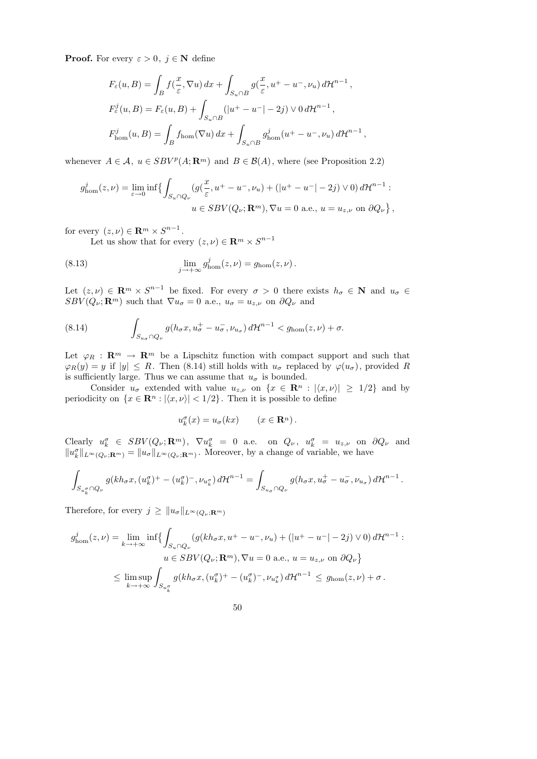**Proof.** For every  $\varepsilon > 0$ ,  $j \in \mathbb{N}$  define

$$
F_{\varepsilon}(u, B) = \int_{B} f(\frac{x}{\varepsilon}, \nabla u) dx + \int_{S_{u} \cap B} g(\frac{x}{\varepsilon}, u^{+} - u^{-}, \nu_{u}) d\mathcal{H}^{n-1},
$$
  
\n
$$
F_{\varepsilon}^{j}(u, B) = F_{\varepsilon}(u, B) + \int_{S_{u} \cap B} (|u^{+} - u^{-}| - 2j) \vee 0 d\mathcal{H}^{n-1},
$$
  
\n
$$
F_{\text{hom}}^{j}(u, B) = \int_{B} f_{\text{hom}}(\nabla u) dx + \int_{S_{u} \cap B} g_{\text{hom}}^{j}(u^{+} - u^{-}, \nu_{u}) d\mathcal{H}^{n-1},
$$

whenever  $A \in \mathcal{A}$ ,  $u \in SBV^p(A; \mathbf{R}^m)$  and  $B \in \mathcal{B}(A)$ , where (see Proposition 2.2)

$$
g_{\text{hom}}^j(z,\nu) = \lim_{\varepsilon \to 0} \inf \left\{ \int_{S_u \cap Q_\nu} (g(\frac{x}{\varepsilon}, u^+ - u^-, \nu_u) + (|u^+ - u^-| - 2j) \vee 0) d\mathcal{H}^{n-1} : u \in SBV(Q_\nu; \mathbf{R}^m), \nabla u = 0 \text{ a.e., } u = u_{z,\nu} \text{ on } \partial Q_\nu \right\},
$$

for every  $(z, \nu) \in \mathbf{R}^m \times S^{n-1}$ .

Let us show that for every  $(z, \nu) \in \mathbb{R}^m \times S^{n-1}$ 

(8.13) 
$$
\lim_{j \to +\infty} g_{\text{hom}}^j(z,\nu) = g_{\text{hom}}(z,\nu).
$$

Let  $(z, \nu) \in \mathbf{R}^m \times S^{n-1}$  be fixed. For every  $\sigma > 0$  there exists  $h_{\sigma} \in \mathbf{N}$  and  $u_{\sigma} \in$  $SBV(Q_{\nu};\mathbf{R}^m)$  such that  $\nabla u_{\sigma}=0$  a.e.,  $u_{\sigma}=u_{z,\nu}$  on  $\partial Q_{\nu}$  and

(8.14) 
$$
\int_{S_{u_{\sigma}} \cap Q_{\nu}} g(h_{\sigma} x, u_{\sigma}^+ - u_{\sigma}^-, \nu_{u_{\sigma}}) d\mathcal{H}^{n-1} < g_{\text{hom}}(z, \nu) + \sigma.
$$

Let  $\varphi_R : \mathbb{R}^m \to \mathbb{R}^m$  be a Lipschitz function with compact support and such that  $\varphi_R(y) = y$  if  $|y| \leq R$ . Then (8.14) still holds with  $u_{\sigma}$  replaced by  $\varphi(u_{\sigma})$ , provided R is sufficiently large. Thus we can assume that  $u_{\sigma}$  is bounded.

Consider  $u_{\sigma}$  extended with value  $u_{z,\nu}$  on  $\{x \in \mathbb{R}^n : |\langle x, \nu \rangle| \geq 1/2\}$  and by periodicity on  $\{x \in \mathbb{R}^n : |\langle x, \nu \rangle| < 1/2\}$ . Then it is possible to define

$$
u_k^{\sigma}(x) = u_{\sigma}(kx) \qquad (x \in \mathbf{R}^n).
$$

Clearly  $u_k^{\sigma} \in SBV(Q_{\nu}; \mathbf{R}^m)$ ,  $\nabla u_k^{\sigma} = 0$  a.e. on  $Q_{\nu}$ ,  $u_k^{\sigma} = u_{z, \nu}$  on  $\partial Q_{\nu}$  and  $||u_k^{\sigma}||_{L^{\infty}(Q_{\nu};\mathbf{R}^m)} = ||u_{\sigma}||_{L^{\infty}(Q_{\nu};\mathbf{R}^m)}$ . Moreover, by a change of variable, we have

$$
\int_{S_{u_{k}^{\sigma}}\cap Q_{\nu}} g(kh_{\sigma}x,(u_{k}^{\sigma})^{+}-(u_{k}^{\sigma})^{-},\nu_{u_{k}^{\sigma}}) d\mathcal{H}^{n-1} = \int_{S_{u_{\sigma}}\cap Q_{\nu}} g(h_{\sigma}x, u_{\sigma}^{+}-u_{\sigma}^{-}, \nu_{u_{\sigma}}) d\mathcal{H}^{n-1}.
$$

Therefore, for every  $j \geq ||u_{\sigma}||_{L^{\infty}(Q_{\nu};\mathbf{R}^m)}$ 

$$
g_{\text{hom}}^j(z,\nu) = \lim_{k \to +\infty} \inf \left\{ \int_{S_u \cap Q_{\nu}} (g(kh_{\sigma}x, u^+ - u^-, \nu_u) + (|u^+ - u^-| - 2j) \vee 0) d\mathcal{H}^{n-1} : u \in SBV(Q_{\nu}; \mathbf{R}^m), \nabla u = 0 \text{ a.e., } u = u_{z,\nu} \text{ on } \partial Q_{\nu} \right\}
$$
  

$$
\leq \limsup_{k \to +\infty} \int_{S_{u_k^{\sigma}}} g(kh_{\sigma}x, (u_k^{\sigma})^+ - (u_k^{\sigma})^-, \nu_{u_k^{\sigma}}) d\mathcal{H}^{n-1} \leq g_{\text{hom}}(z, \nu) + \sigma.
$$

50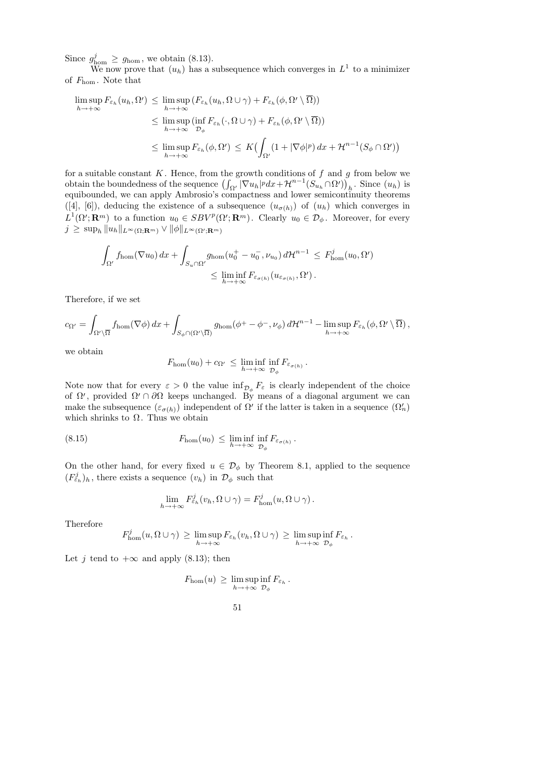Since  $g_{\text{hom}}^j \geq g_{\text{hom}}$ , we obtain (8.13).

We now prove that  $(u_h)$  has a subsequence which converges in  $L^1$  to a minimizer of  $F_{\text{hom}}$ . Note that

$$
\limsup_{h \to +\infty} F_{\varepsilon_h}(u_h, \Omega') \leq \limsup_{h \to +\infty} (F_{\varepsilon_h}(u_h, \Omega \cup \gamma) + F_{\varepsilon_h}(\phi, \Omega' \setminus \overline{\Omega}))
$$
\n
$$
\leq \limsup_{h \to +\infty} (\inf_{\mathcal{D}_{\phi}} F_{\varepsilon_h}(\cdot, \Omega \cup \gamma) + F_{\varepsilon_h}(\phi, \Omega' \setminus \overline{\Omega}))
$$
\n
$$
\leq \limsup_{h \to +\infty} F_{\varepsilon_h}(\phi, \Omega') \leq K \big( \int_{\Omega'} (1 + |\nabla \phi|^p) \, dx + \mathcal{H}^{n-1} (S_\phi \cap \Omega') \big)
$$

for a suitable constant  $K$ . Hence, from the growth conditions of  $f$  and  $g$  from below we obtain the boundedness of the sequence  $\left(\int_{\Omega'} |\nabla u_h|^p dx + \mathcal{H}^{n-1}(S_{u_h} \cap \Omega')\right)_h$ . Since  $(u_h)$  is equibounded, we can apply Ambrosio's compactness and lower semicontinuity theorems  $([4], [6])$ , deducing the existence of a subsequence  $(u_{\sigma(h)})$  of  $(u_h)$  which converges in  $L^1(\Omega'; \mathbf{R}^m)$  to a function  $u_0 \in SBV^p(\Omega'; \mathbf{R}^m)$ . Clearly  $u_0 \in \mathcal{D}_{\phi}$ . Moreover, for every  $j\,\geq\,\sup_{h}\|u_h\|_{L^{\infty}(\Omega;{\mathbf{R}}^m)}\vee\|\phi\|_{L^{\infty}(\Omega';{\mathbf{R}}^m)}$ 

$$
\int_{\Omega'} f_{\text{hom}}(\nabla u_0) dx + \int_{S_u \cap \Omega'} g_{\text{hom}}(u_0^+ - u_0^-, \nu_{u_0}) d\mathcal{H}^{n-1} \leq F_{\text{hom}}^j(u_0, \Omega')
$$
  

$$
\leq \liminf_{h \to +\infty} F_{\varepsilon_{\sigma(h)}}(u_{\varepsilon_{\sigma(h)}}, \Omega').
$$

Therefore, if we set

$$
c_{\Omega'} = \int_{\Omega' \setminus \overline{\Omega}} f_{\text{hom}}(\nabla \phi) dx + \int_{S_{\phi} \cap (\Omega' \setminus \overline{\Omega})} g_{\text{hom}}(\phi^+ - \phi^-, \nu_{\phi}) d\mathcal{H}^{n-1} - \limsup_{h \to +\infty} F_{\varepsilon_h}(\phi, \Omega' \setminus \overline{\Omega}),
$$

we obtain

$$
F_{\rm hom}(u_0)+c_{\Omega'}\,\leq\,\liminf_{h\to+\infty}\inf_{\mathcal{D}_{\phi}}F_{\varepsilon_{\sigma(h)}}\,.
$$

Note now that for every  $\varepsilon > 0$  the value  $\inf_{\mathcal{D}_{\phi}} F_{\varepsilon}$  is clearly independent of the choice of  $\Omega'$ , provided  $\Omega' \cap \partial \Omega$  keeps unchanged. By means of a diagonal argument we can make the subsequence  $(\varepsilon_{\sigma(h)})$  independent of  $\Omega'$  if the latter is taken in a sequence  $(\Omega'_n)$ which shrinks to  $\Omega$ . Thus we obtain

(8.15) 
$$
F_{\text{hom}}(u_0) \leq \liminf_{h \to +\infty} \inf_{\mathcal{D}_{\phi}} F_{\varepsilon_{\sigma(h)}}.
$$

On the other hand, for every fixed  $u \in \mathcal{D}_{\phi}$  by Theorem 8.1, applied to the sequence  $(F_{\varepsilon_h}^j)_h$ , there exists a sequence  $(v_h)$  in  $\mathcal{D}_{\phi}$  such that

$$
\lim_{h \to +\infty} F_{\varepsilon_h}^j(v_h, \Omega \cup \gamma) = F_{\text{hom}}^j(u, \Omega \cup \gamma).
$$

Therefore

$$
F_{\text{hom}}^j(u, \Omega \cup \gamma) \geq \limsup_{h \to +\infty} F_{\varepsilon_h}(v_h, \Omega \cup \gamma) \geq \limsup_{h \to +\infty} \inf_{\mathcal{D}_{\phi}} F_{\varepsilon_h}
$$

.

Let j tend to  $+\infty$  and apply (8.13); then

$$
F_{\rm hom}(u) \, \geq \, \limsup_{h \to +\infty} \inf_{\mathcal{D}_{\phi}} F_{\varepsilon_h} \, .
$$

51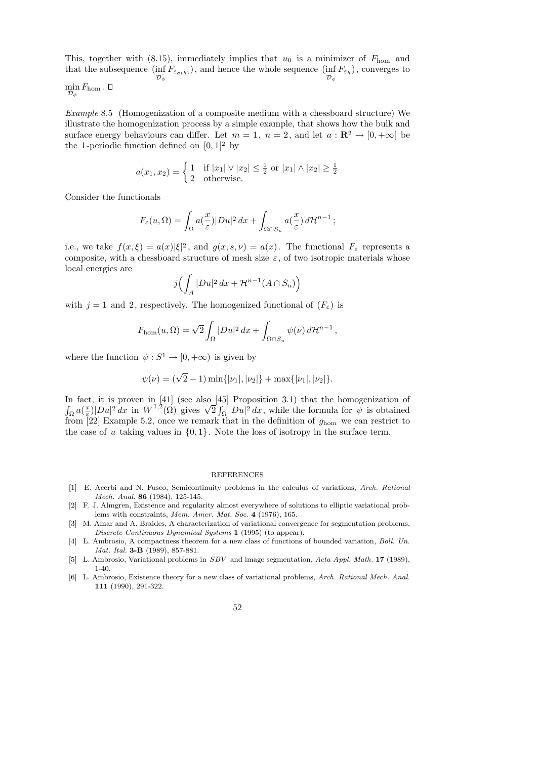This, together with (8.15), immediately implies that  $u_0$  is a minimizer of  $F_{\text{hom}}$  and that the subsequence  $(\inf F_{\varepsilon_{\sigma(h)}})$ , and hence the whole sequence  $(\inf F_{\varepsilon_h})$ , converges to  ${\cal D}_{\phi}$  ${\cal D}_{\phi}$  $\Box$ 

$$
\min_{{\cal D}_{\phi}} F_{\rm hom}\,.
$$

Example 8.5 (Homogenization of a composite medium with a chessboard structure) We illustrate the homogenization process by a simple example, that shows how the bulk and surface energy behaviours can differ. Let  $m = 1$ ,  $n = 2$ , and let  $a : \mathbb{R}^2 \to [0, +\infty[$  be the 1-periodic function defined on  $[0, 1]^2$  by

$$
a(x_1, x_2) = \begin{cases} 1 & \text{if } |x_1| \vee |x_2| \le \frac{1}{2} \text{ or } |x_1| \wedge |x_2| \ge \frac{1}{2} \\ 2 & \text{otherwise.} \end{cases}
$$

Consider the functionals

$$
F_{\varepsilon}(u,\Omega) = \int_{\Omega} a(\frac{x}{\varepsilon}) |Du|^2 \, dx + \int_{\Omega \cap S_u} a(\frac{x}{\varepsilon}) \, d\mathcal{H}^{n-1} ;
$$

i.e., we take  $f(x,\xi) = a(x)|\xi|^2$ , and  $g(x,s,\nu) = a(x)$ . The functional  $F_{\varepsilon}$  represents a composite, with a chessboard structure of mesh size  $\varepsilon$ , of two isotropic materials whose local energies are

$$
j\Bigl(\int_A |Du|^2\,dx + \mathcal{H}^{n-1}(A \cap S_u)\Bigr)
$$

with  $j = 1$  and 2, respectively. The homogenized functional of  $(F_{\varepsilon})$  is

$$
F_{\rm hom}(u,\Omega) = \sqrt{2} \int_{\Omega} |Du|^2 \, dx + \int_{\Omega \cap S_u} \psi(\nu) \, d\mathcal{H}^{n-1},
$$

where the function  $\psi : S^1 \to [0, +\infty)$  is given by

$$
\psi(\nu) = (\sqrt{2} - 1) \min\{|\nu_1|, |\nu_2|\} + \max\{|\nu_1|, |\nu_2|\}.
$$

In fact, it is proven in [41] (see also [45] Proposition 3.1) that the homogenization of  $\int_{\Omega} a(\frac{x}{\varepsilon})$  $\frac{d}{dx}$  =  $|Du|^2 dx$  in  $W^{1,2}(\Omega)$  gives  $\sqrt{2} \int_{\Omega} |Du|^2 dx$ , while the formula for  $\psi$  is obtained from [22] Example 5.2, once we remark that in the definition of  $g_{\text{hom}}$  we can restrict to the case of u taking values in  $\{0, 1\}$ . Note the loss of isotropy in the surface term.

#### REFERENCES

- [1] E. Acerbi and N. Fusco, Semicontinuity problems in the calculus of variations, Arch. Rational Mech. Anal. 86 (1984), 125-145.
- [2] F. J. Almgren, Existence and regularity almost everywhere of solutions to elliptic variational problems with constraints, Mem. Amer. Mat. Soc. 4 (1976), 165.
- [3] M. Amar and A. Braides, A characterization of variational convergence for segmentation problems, Discrete Continuous Dynamical Systems 1 (1995) (to appear).
- [4] L. Ambrosio, A compactness theorem for a new class of functions of bounded variation, *Boll. Un.* Mat. Ital. **3-B** (1989), 857-881.
- [5] L. Ambrosio, Variational problems in SBV and image segmentation, Acta Appl. Math. 17 (1989), 1-40.
- [6] L. Ambrosio, Existence theory for a new class of variational problems, Arch. Rational Mech. Anal. 111 (1990), 291-322.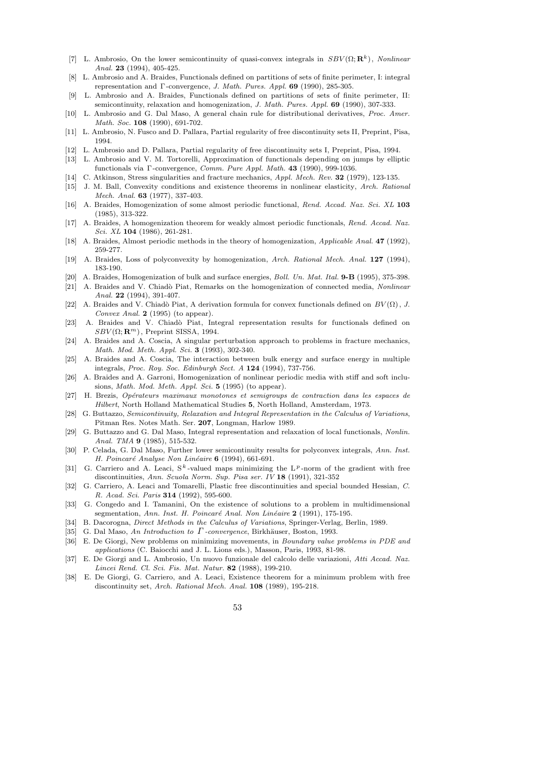- [7] L. Ambrosio, On the lower semicontinuity of quasi-convex integrals in  $SBV(\Omega; \mathbf{R}^k)$ , Nonlinear Anal. 23 (1994), 405-425.
- [8] L. Ambrosio and A. Braides, Functionals defined on partitions of sets of finite perimeter, I: integral representation and Γ -convergence, J. Math. Pures. Appl. 69 (1990), 285-305.
- L. Ambrosio and A. Braides, Functionals defined on partitions of sets of finite perimeter, II: semicontinuity, relaxation and homogenization, J. Math. Pures. Appl. 69 (1990), 307-333.
- [10] L. Ambrosio and G. Dal Maso, A general chain rule for distributional derivatives, Proc. Amer. Math. Soc. 108 (1990), 691-702.
- [11] L. Ambrosio, N. Fusco and D. Pallara, Partial regularity of free discontinuity sets II, Preprint, Pisa, 1994.
- [12] L. Ambrosio and D. Pallara, Partial regularity of free discontinuity sets I, Preprint, Pisa, 1994.
- [13] L. Ambrosio and V. M. Tortorelli, Approximation of functionals depending on jumps by elliptic functionals via Γ -convergence, Comm. Pure Appl. Math. 43 (1990), 999-1036.
- [14] C. Atkinson, Stress singularities and fracture mechanics, Appl. Mech. Rev. 32 (1979), 123-135.
- [15] J. M. Ball, Convexity conditions and existence theorems in nonlinear elasticity, Arch. Rational Mech. Anal. 63 (1977), 337-403.
- [16] A. Braides, Homogenization of some almost periodic functional, Rend. Accad. Naz. Sci. XL 103 (1985), 313-322.
- [17] A. Braides, A homogenization theorem for weakly almost periodic functionals, Rend. Accad. Naz. Sci. XL 104 (1986), 261-281.
- [18] A. Braides, Almost periodic methods in the theory of homogenization, Applicable Anal. 47 (1992), 259-277.
- [19] A. Braides, Loss of polyconvexity by homogenization, Arch. Rational Mech. Anal. 127 (1994), 183-190.
- [20] A. Braides, Homogenization of bulk and surface energies, Boll. Un. Mat. Ital. 9-B (1995), 375-398.
- [21] A. Braides and V. Chiadò Piat, Remarks on the homogenization of connected media, Nonlinear Anal. 22 (1994), 391-407.
- [22] A. Braides and V. Chiadò Piat, A derivation formula for convex functionals defined on  $BV(\Omega)$ , J. Convex Anal.  $2(1995)$  (to appear).
- [23] A. Braides and V. Chiadò Piat, Integral representation results for functionals defined on  $SBV(\Omega; \mathbf{R}^m)$ , Preprint SISSA, 1994.
- [24] A. Braides and A. Coscia, A singular perturbation approach to problems in fracture mechanics, Math. Mod. Meth. Appl. Sci. 3 (1993), 302-340.
- [25] A. Braides and A. Coscia, The interaction between bulk energy and surface energy in multiple integrals, Proc. Roy. Soc. Edinburgh Sect. A 124 (1994), 737-756.
- [26] A. Braides and A. Garroni, Homogenization of nonlinear periodic media with stiff and soft inclusions, Math. Mod. Meth. Appl. Sci. 5 (1995) (to appear).
- [27] H. Brezis, Op´erateurs maximaux monotones et semigroups de contraction dans les espaces de Hilbert, North Holland Mathematical Studies 5, North Holland, Amsterdam, 1973.
- [28] G. Buttazzo, Semicontinuity, Relaxation and Integral Representation in the Calculus of Variations, Pitman Res. Notes Math. Ser. 207, Longman, Harlow 1989.
- [29] G. Buttazzo and G. Dal Maso, Integral representation and relaxation of local functionals, Nonlin. Anal. TMA **9** (1985), 515-532.
- [30] P. Celada, G. Dal Maso, Further lower semicontinuity results for polyconvex integrals, Ann. Inst. H. Poincaré Analyse Non Linéaire  $6$  (1994), 661-691.
- [31] G. Carriero and A. Leaci,  $S^k$ -valued maps minimizing the L<sup>p</sup>-norm of the gradient with free discontinuities, Ann. Scuola Norm. Sup. Pisa ser. IV 18 (1991), 321-352
- [32] G. Carriero, A. Leaci and Tomarelli, Plastic free discontinuities and special bounded Hessian, C. R. Acad. Sci. Paris 314 (1992), 595-600.
- [33] G. Congedo and I. Tamanini, On the existence of solutions to a problem in multidimensional segmentation, Ann. Inst. H. Poincaré Anal. Non Linéaire 2 (1991), 175-195.
- [34] B. Dacorogna, Direct Methods in the Calculus of Variations, Springer-Verlag, Berlin, 1989.
- [35] G. Dal Maso, An Introduction to  $\Gamma$ -convergence, Birkhäuser, Boston, 1993.
- [36] E. De Giorgi, New problems on minimizing movements, in Boundary value problems in PDE and applications (C. Baiocchi and J. L. Lions eds.), Masson, Paris, 1993, 81-98.
- [37] E. De Giorgi and L. Ambrosio, Un nuovo funzionale del calcolo delle variazioni, Atti Accad. Naz. Lincei Rend. Cl. Sci. Fis. Mat. Natur. 82 (1988), 199-210.
- [38] E. De Giorgi, G. Carriero, and A. Leaci, Existence theorem for a minimum problem with free discontinuity set, Arch. Rational Mech. Anal. 108 (1989), 195-218.